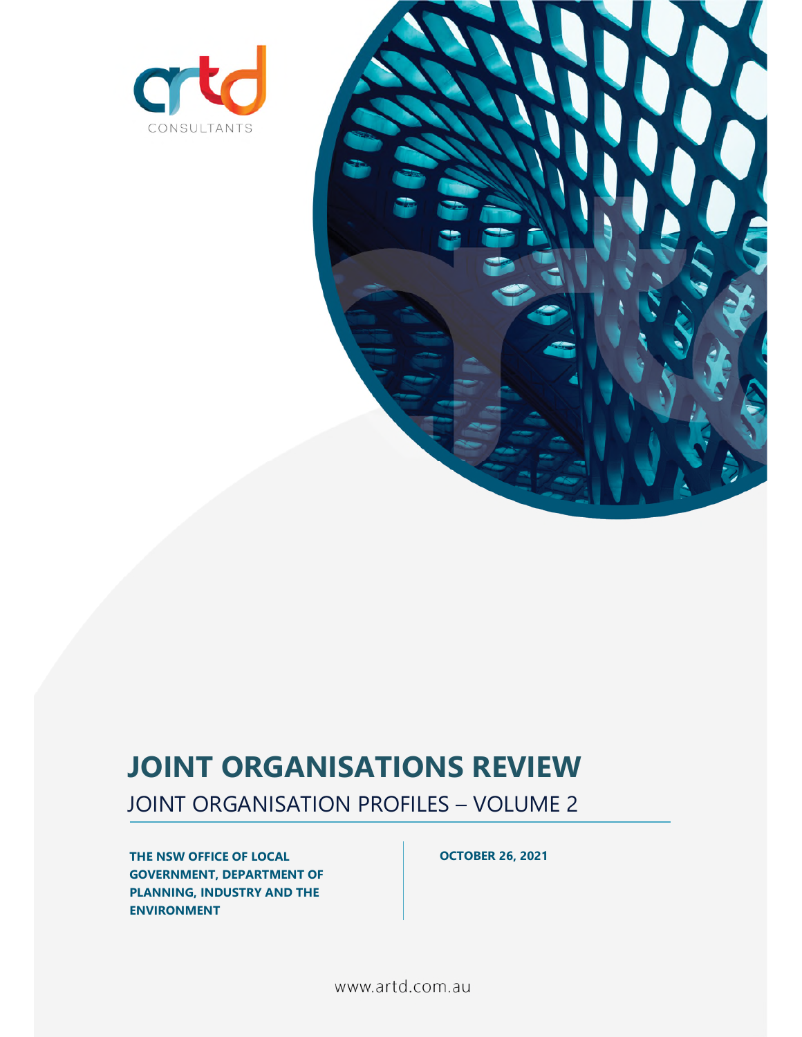



# **JOINT ORGANISATIONS REVIEW**

JOINT ORGANISATION PROFILES – VOLUME 2

**THE NSW OFFICE OF LOCAL GOVERNMENT, DEPARTMENT OF PLANNING, INDUSTRY AND THE ENVIRONMENT** 

**OCTOBER 26, 2021** 

www.artd.com.au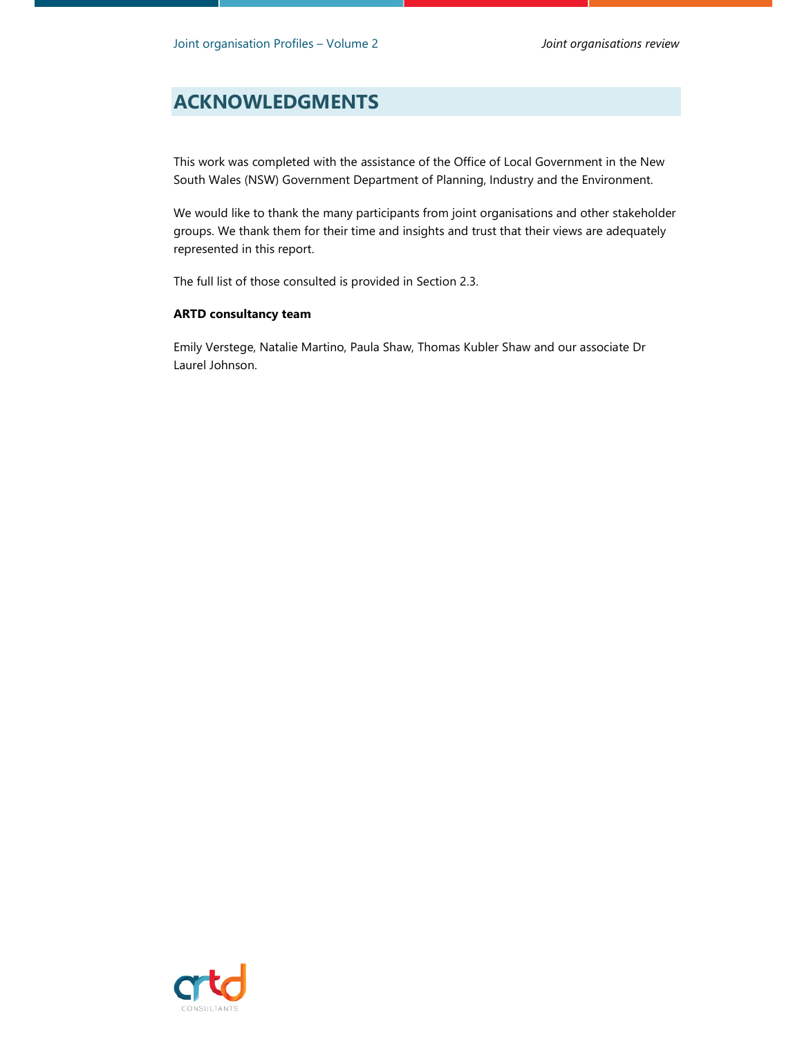## **ACKNOWLEDGMENTS**

This work was completed with the assistance of the Office of Local Government in the New South Wales (NSW) Government Department of Planning, Industry and the Environment.

We would like to thank the many participants from joint organisations and other stakeholder groups. We thank them for their time and insights and trust that their views are adequately represented in this report.

The full list of those consulted is provided in Section 2.3.

#### **ARTD consultancy team**

Emily Verstege, Natalie Martino, Paula Shaw, Thomas Kubler Shaw and our associate Dr Laurel Johnson.

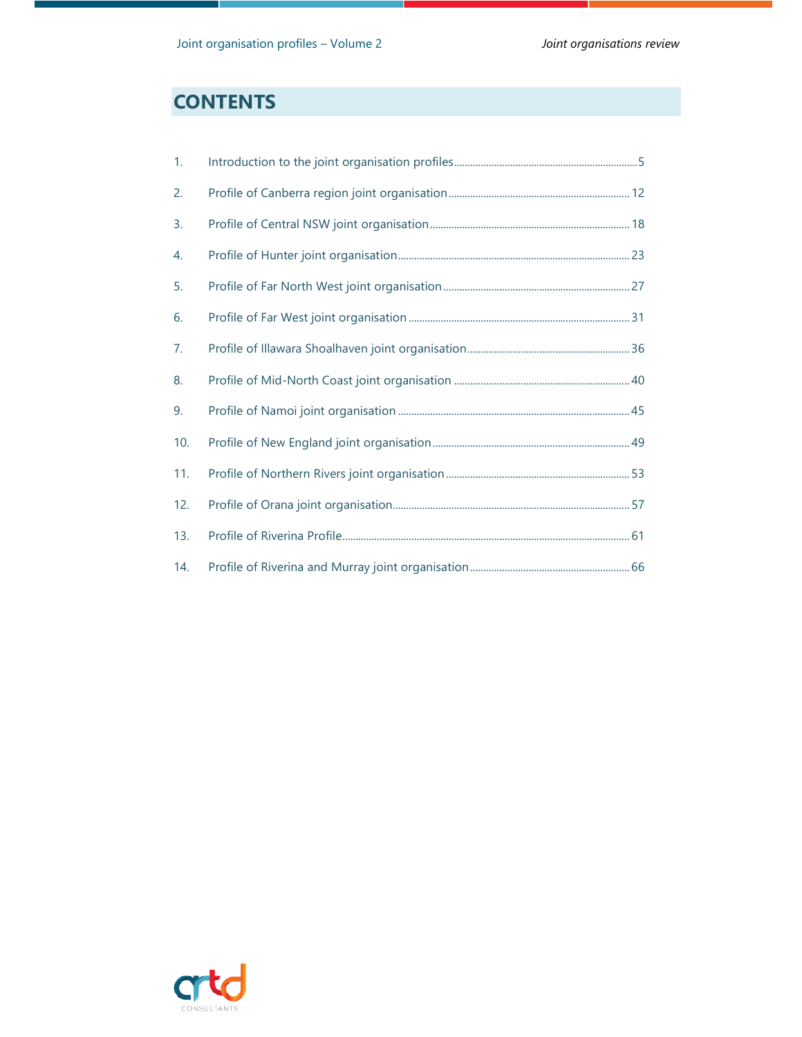# **CONTENTS**

| 1.  |  |
|-----|--|
| 2.  |  |
| 3.  |  |
| 4.  |  |
| 5.  |  |
| 6.  |  |
| 7.  |  |
| 8.  |  |
| 9.  |  |
| 10. |  |
| 11. |  |
| 12. |  |
| 13. |  |
| 14. |  |

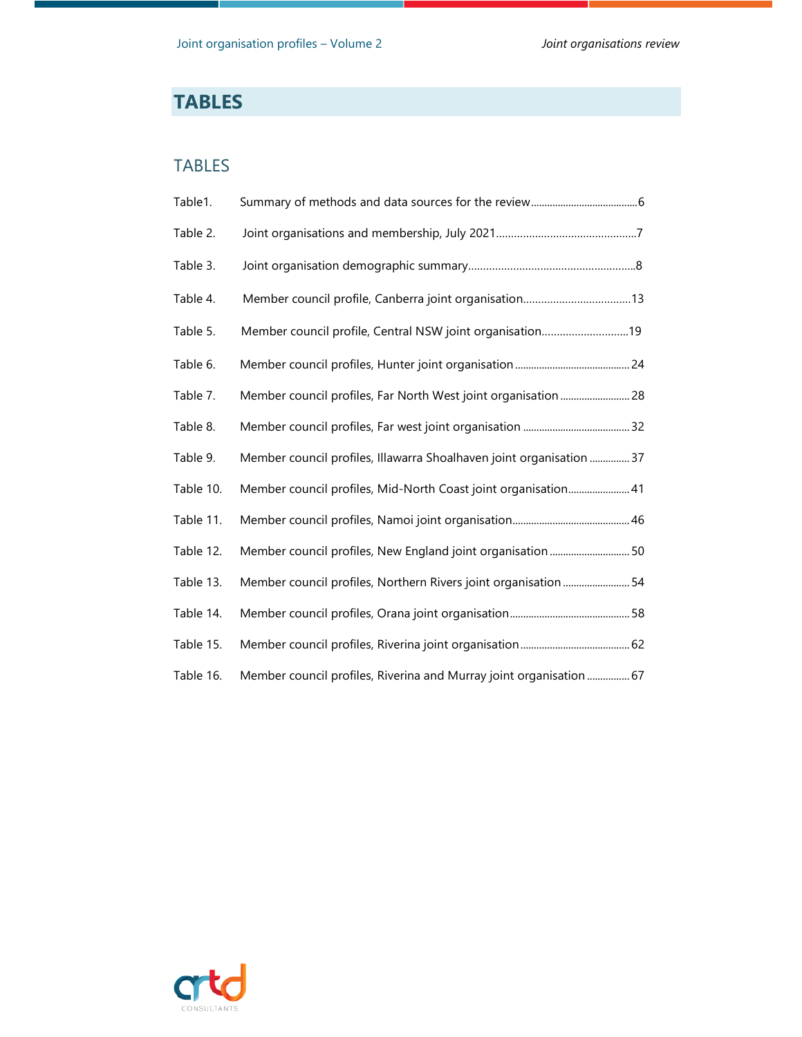# **TABLES**

### TABLES

| Table1.   |                                                                      |
|-----------|----------------------------------------------------------------------|
| Table 2.  |                                                                      |
| Table 3.  |                                                                      |
| Table 4.  | Member council profile, Canberra joint organisation13                |
| Table 5.  | Member council profile, Central NSW joint organisation19             |
| Table 6.  |                                                                      |
| Table 7.  | Member council profiles, Far North West joint organisation 28        |
| Table 8.  |                                                                      |
| Table 9.  | Member council profiles, Illawarra Shoalhaven joint organisation  37 |
| Table 10. | Member council profiles, Mid-North Coast joint organisation 41       |
| Table 11. |                                                                      |
| Table 12. | Member council profiles, New England joint organisation  50          |
| Table 13. | Member council profiles, Northern Rivers joint organisation 54       |
| Table 14. |                                                                      |
| Table 15. |                                                                      |
| Table 16. | Member council profiles, Riverina and Murray joint organisation  67  |

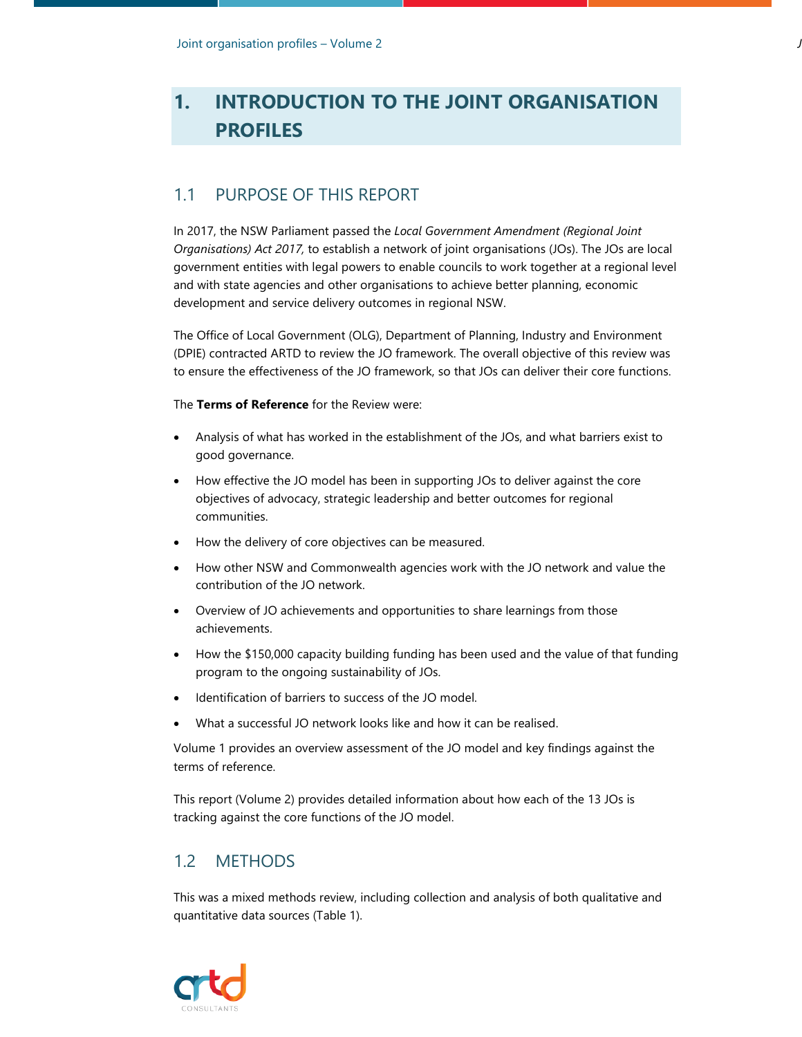# **1. INTRODUCTION TO THE JOINT ORGANISATION PROFILES**

## 1.1 PURPOSE OF THIS REPORT

In 2017, the NSW Parliament passed the *Local Government Amendment (Regional Joint Organisations) Act 2017,* to establish a network of joint organisations (JOs). The JOs are local government entities with legal powers to enable councils to work together at a regional level and with state agencies and other organisations to achieve better planning, economic development and service delivery outcomes in regional NSW.

The Office of Local Government (OLG), Department of Planning, Industry and Environment (DPIE) contracted ARTD to review the JO framework. The overall objective of this review was to ensure the effectiveness of the JO framework, so that JOs can deliver their core functions.

The **Terms of Reference** for the Review were:

- Analysis of what has worked in the establishment of the JOs, and what barriers exist to good governance.
- How effective the JO model has been in supporting JOs to deliver against the core objectives of advocacy, strategic leadership and better outcomes for regional communities.
- How the delivery of core objectives can be measured.
- How other NSW and Commonwealth agencies work with the JO network and value the contribution of the JO network.
- Overview of JO achievements and opportunities to share learnings from those achievements.
- How the \$150,000 capacity building funding has been used and the value of that funding program to the ongoing sustainability of JOs.
- Identification of barriers to success of the JO model.
- What a successful JO network looks like and how it can be realised.

Volume 1 provides an overview assessment of the JO model and key findings against the terms of reference.

This report (Volume 2) provides detailed information about how each of the 13 JOs is tracking against the core functions of the JO model.

#### 1.2 METHODS

This was a mixed methods review, including collection and analysis of both qualitative and quantitative data sources (Table 1).

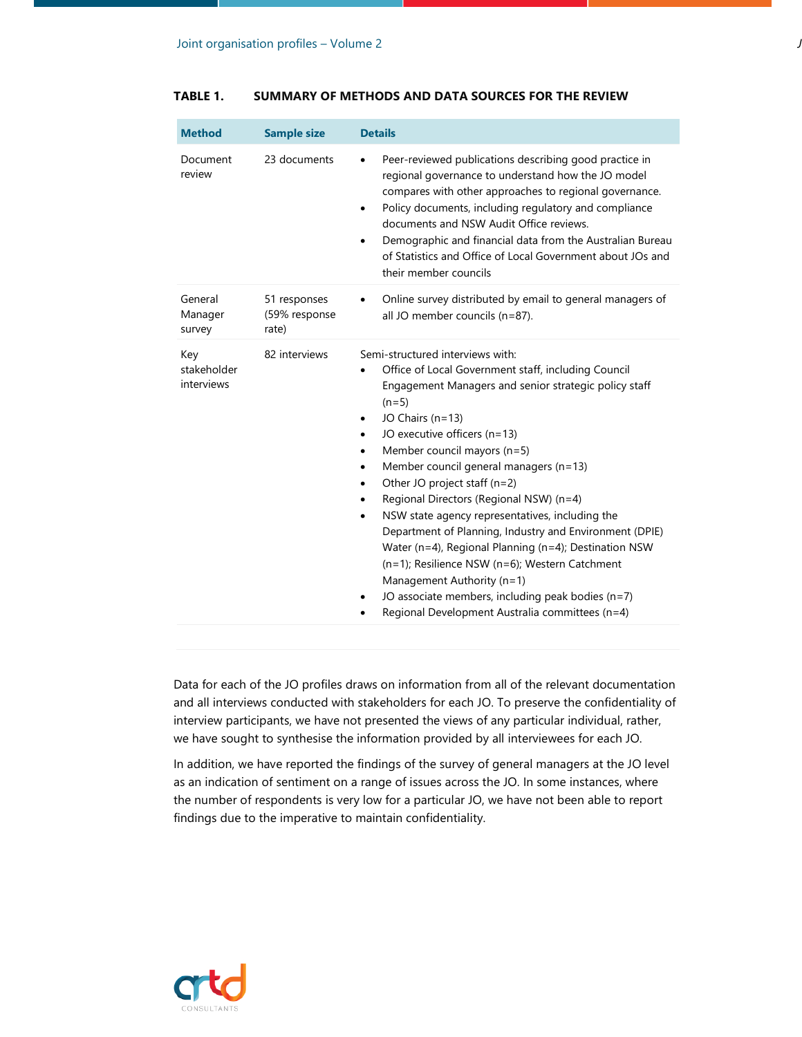| <b>Method</b>                    | <b>Sample size</b>                     | <b>Details</b>                                                                                                                                                                                                                                                                                                                                                                                                                                                                                                                                                                                                                                                                                                                                                                                                                  |
|----------------------------------|----------------------------------------|---------------------------------------------------------------------------------------------------------------------------------------------------------------------------------------------------------------------------------------------------------------------------------------------------------------------------------------------------------------------------------------------------------------------------------------------------------------------------------------------------------------------------------------------------------------------------------------------------------------------------------------------------------------------------------------------------------------------------------------------------------------------------------------------------------------------------------|
| Document<br>review               | 23 documents                           | Peer-reviewed publications describing good practice in<br>regional governance to understand how the JO model<br>compares with other approaches to regional governance.<br>Policy documents, including regulatory and compliance<br>$\bullet$<br>documents and NSW Audit Office reviews.<br>Demographic and financial data from the Australian Bureau<br>$\bullet$<br>of Statistics and Office of Local Government about JOs and<br>their member councils                                                                                                                                                                                                                                                                                                                                                                        |
| General<br>Manager<br>survey     | 51 responses<br>(59% response<br>rate) | Online survey distributed by email to general managers of<br>$\bullet$<br>all JO member councils (n=87).                                                                                                                                                                                                                                                                                                                                                                                                                                                                                                                                                                                                                                                                                                                        |
| Key<br>stakeholder<br>interviews | 82 interviews                          | Semi-structured interviews with:<br>Office of Local Government staff, including Council<br>$\bullet$<br>Engagement Managers and senior strategic policy staff<br>$(n=5)$<br>JO Chairs (n=13)<br>٠<br>JO executive officers (n=13)<br>$\bullet$<br>Member council mayors (n=5)<br>$\bullet$<br>Member council general managers (n=13)<br>$\bullet$<br>Other JO project staff (n=2)<br>$\bullet$<br>Regional Directors (Regional NSW) (n=4)<br>$\bullet$<br>NSW state agency representatives, including the<br>٠<br>Department of Planning, Industry and Environment (DPIE)<br>Water (n=4), Regional Planning (n=4); Destination NSW<br>(n=1); Resilience NSW (n=6); Western Catchment<br>Management Authority (n=1)<br>JO associate members, including peak bodies (n=7)<br>٠<br>Regional Development Australia committees (n=4) |

#### **TABLE 1. SUMMARY OF METHODS AND DATA SOURCES FOR THE REVIEW**

Data for each of the JO profiles draws on information from all of the relevant documentation and all interviews conducted with stakeholders for each JO. To preserve the confidentiality of interview participants, we have not presented the views of any particular individual, rather, we have sought to synthesise the information provided by all interviewees for each JO.

In addition, we have reported the findings of the survey of general managers at the JO level as an indication of sentiment on a range of issues across the JO. In some instances, where the number of respondents is very low for a particular JO, we have not been able to report findings due to the imperative to maintain confidentiality.

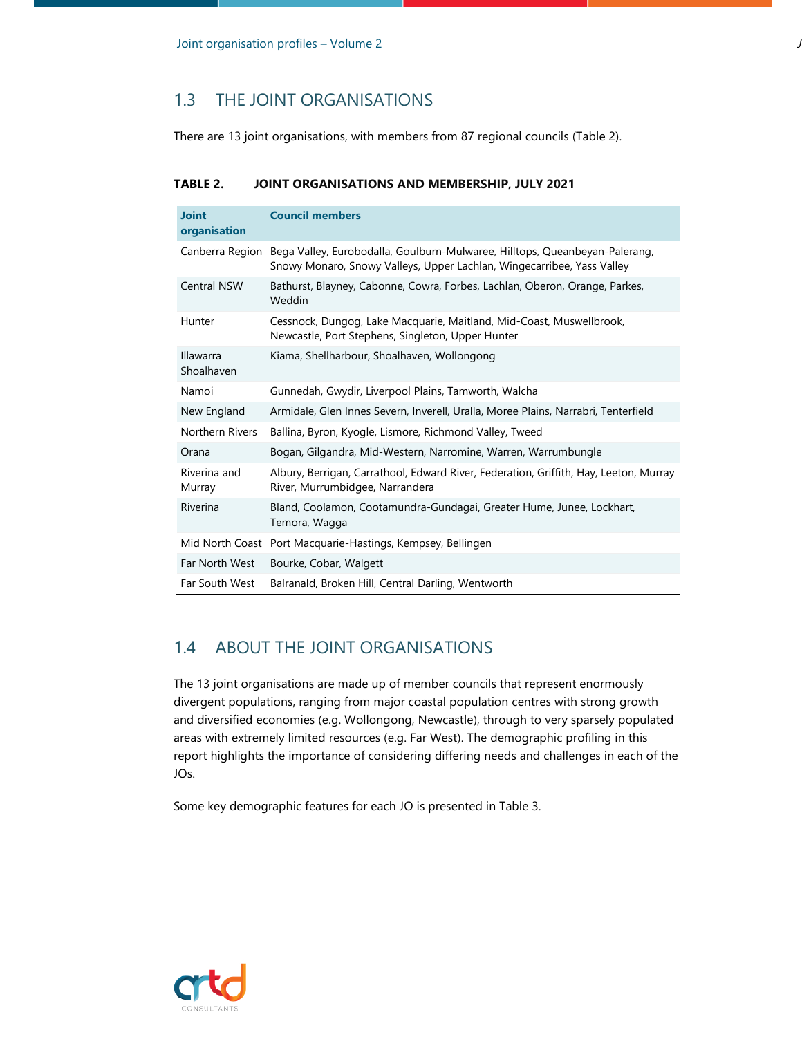## 1.3 THE JOINT ORGANISATIONS

There are 13 joint organisations, with members from 87 regional councils (Table 2).

#### **TABLE 2. JOINT ORGANISATIONS AND MEMBERSHIP, JULY 2021**

| <b>Joint</b><br>organisation | <b>Council members</b>                                                                                                                                |
|------------------------------|-------------------------------------------------------------------------------------------------------------------------------------------------------|
| Canberra Region              | Bega Valley, Eurobodalla, Goulburn-Mulwaree, Hilltops, Queanbeyan-Palerang,<br>Snowy Monaro, Snowy Valleys, Upper Lachlan, Wingecarribee, Yass Valley |
| <b>Central NSW</b>           | Bathurst, Blayney, Cabonne, Cowra, Forbes, Lachlan, Oberon, Orange, Parkes,<br>Weddin                                                                 |
| Hunter                       | Cessnock, Dungog, Lake Macquarie, Maitland, Mid-Coast, Muswellbrook,<br>Newcastle, Port Stephens, Singleton, Upper Hunter                             |
| Illawarra<br>Shoalhaven      | Kiama, Shellharbour, Shoalhaven, Wollongong                                                                                                           |
| Namoi                        | Gunnedah, Gwydir, Liverpool Plains, Tamworth, Walcha                                                                                                  |
| New England                  | Armidale, Glen Innes Severn, Inverell, Uralla, Moree Plains, Narrabri, Tenterfield                                                                    |
| Northern Rivers              | Ballina, Byron, Kyogle, Lismore, Richmond Valley, Tweed                                                                                               |
| Orana                        | Bogan, Gilgandra, Mid-Western, Narromine, Warren, Warrumbungle                                                                                        |
| Riverina and<br>Murray       | Albury, Berrigan, Carrathool, Edward River, Federation, Griffith, Hay, Leeton, Murray<br>River, Murrumbidgee, Narrandera                              |
| Riverina                     | Bland, Coolamon, Cootamundra-Gundagai, Greater Hume, Junee, Lockhart,<br>Temora, Wagga                                                                |
|                              | Mid North Coast Port Macquarie-Hastings, Kempsey, Bellingen                                                                                           |
| Far North West               | Bourke, Cobar, Walgett                                                                                                                                |
| Far South West               | Balranald, Broken Hill, Central Darling, Wentworth                                                                                                    |

#### 1.4 ABOUT THE JOINT ORGANISATIONS

The 13 joint organisations are made up of member councils that represent enormously divergent populations, ranging from major coastal population centres with strong growth and diversified economies (e.g. Wollongong, Newcastle), through to very sparsely populated areas with extremely limited resources (e.g. Far West). The demographic profiling in this report highlights the importance of considering differing needs and challenges in each of the JOs.

Some key demographic features for each JO is presented in Table 3.

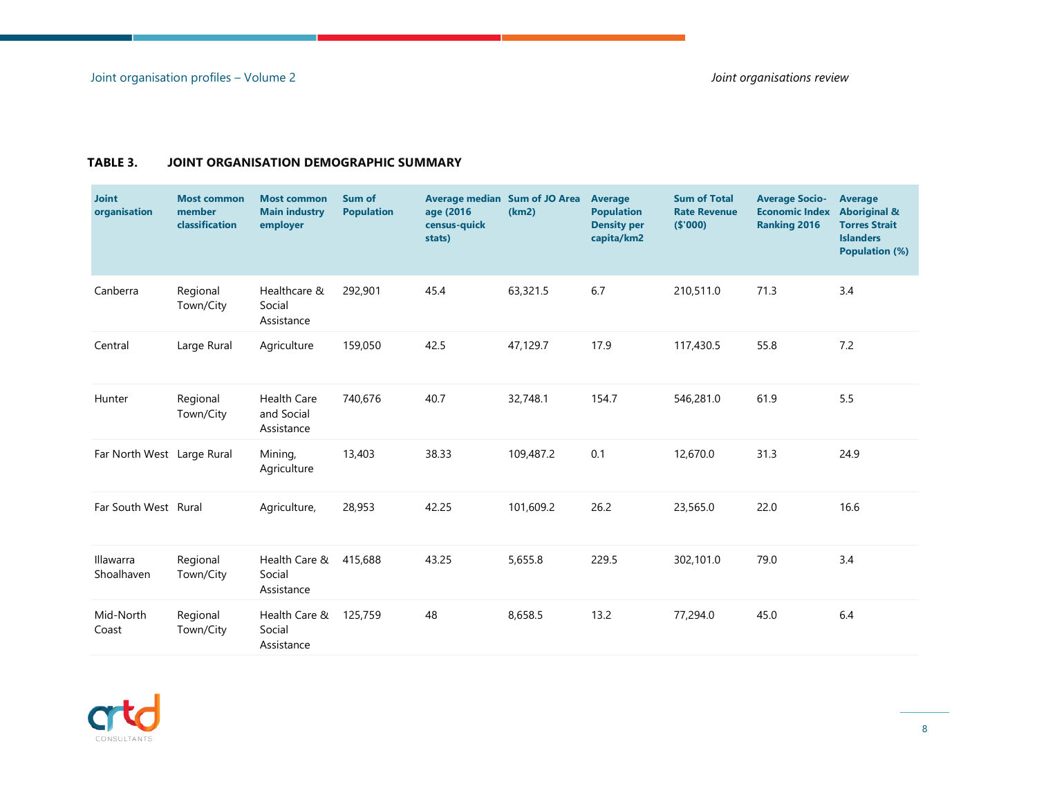#### **TABLE 3. JOINT ORGANISATION DEMOGRAPHIC SUMMARY**

| <b>Joint</b><br>organisation | <b>Most common</b><br>member<br>classification | <b>Most common</b><br><b>Main industry</b><br>employer | Sum of<br><b>Population</b> | age (2016)<br>census-quick<br>stats) | <b>Average median Sum of JO Area</b><br>(km2) | <b>Average</b><br><b>Population</b><br><b>Density per</b><br>capita/km2 | <b>Sum of Total</b><br><b>Rate Revenue</b><br>(\$'000) | <b>Average Socio-</b><br><b>Economic Index</b><br><b>Ranking 2016</b> | Average<br><b>Aboriginal &amp;</b><br><b>Torres Strait</b><br><b>Islanders</b><br><b>Population (%)</b> |
|------------------------------|------------------------------------------------|--------------------------------------------------------|-----------------------------|--------------------------------------|-----------------------------------------------|-------------------------------------------------------------------------|--------------------------------------------------------|-----------------------------------------------------------------------|---------------------------------------------------------------------------------------------------------|
| Canberra                     | Regional<br>Town/City                          | Healthcare &<br>Social<br>Assistance                   | 292,901                     | 45.4                                 | 63,321.5                                      | 6.7                                                                     | 210,511.0                                              | 71.3                                                                  | 3.4                                                                                                     |
| Central                      | Large Rural                                    | Agriculture                                            | 159,050                     | 42.5                                 | 47,129.7                                      | 17.9                                                                    | 117,430.5                                              | 55.8                                                                  | 7.2                                                                                                     |
| Hunter                       | Regional<br>Town/City                          | <b>Health Care</b><br>and Social<br>Assistance         | 740,676                     | 40.7                                 | 32,748.1                                      | 154.7                                                                   | 546,281.0                                              | 61.9                                                                  | 5.5                                                                                                     |
| Far North West Large Rural   |                                                | Mining,<br>Agriculture                                 | 13,403                      | 38.33                                | 109,487.2                                     | 0.1                                                                     | 12,670.0                                               | 31.3                                                                  | 24.9                                                                                                    |
| Far South West Rural         |                                                | Agriculture,                                           | 28,953                      | 42.25                                | 101,609.2                                     | 26.2                                                                    | 23,565.0                                               | 22.0                                                                  | 16.6                                                                                                    |
| Illawarra<br>Shoalhaven      | Regional<br>Town/City                          | Health Care &<br>Social<br>Assistance                  | 415,688                     | 43.25                                | 5,655.8                                       | 229.5                                                                   | 302,101.0                                              | 79.0                                                                  | 3.4                                                                                                     |
| Mid-North<br>Coast           | Regional<br>Town/City                          | Health Care &<br>Social<br>Assistance                  | 125,759                     | 48                                   | 8,658.5                                       | 13.2                                                                    | 77,294.0                                               | 45.0                                                                  | 6.4                                                                                                     |

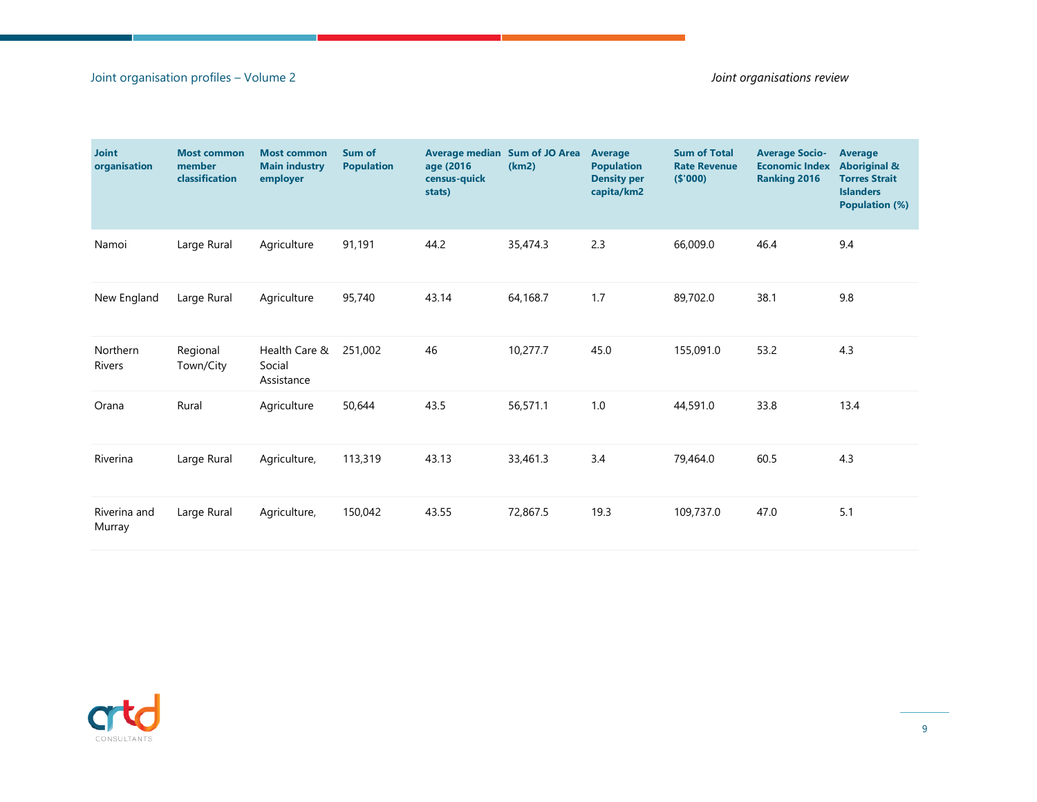#### Joint organisation profiles – Volume 2 *Joint organisations review*

| <b>Joint</b><br>organisation | <b>Most common</b><br>member<br>classification | <b>Most common</b><br><b>Main industry</b><br>employer | Sum of<br><b>Population</b> | <b>Average median Sum of JO Area</b><br>age (2016<br>census-quick<br>stats) | (km2)    | Average<br><b>Population</b><br><b>Density per</b><br>capita/km2 | <b>Sum of Total</b><br><b>Rate Revenue</b><br>(5'000) | <b>Average Socio-</b><br><b>Economic Index</b><br><b>Ranking 2016</b> | <b>Average</b><br><b>Aboriginal &amp;</b><br><b>Torres Strait</b><br><b>Islanders</b><br><b>Population (%)</b> |
|------------------------------|------------------------------------------------|--------------------------------------------------------|-----------------------------|-----------------------------------------------------------------------------|----------|------------------------------------------------------------------|-------------------------------------------------------|-----------------------------------------------------------------------|----------------------------------------------------------------------------------------------------------------|
| Namoi                        | Large Rural                                    | Agriculture                                            | 91,191                      | 44.2                                                                        | 35,474.3 | 2.3                                                              | 66,009.0                                              | 46.4                                                                  | 9.4                                                                                                            |
| New England                  | Large Rural                                    | Agriculture                                            | 95,740                      | 43.14                                                                       | 64,168.7 | 1.7                                                              | 89,702.0                                              | 38.1                                                                  | 9.8                                                                                                            |
| Northern<br><b>Rivers</b>    | Regional<br>Town/City                          | Health Care &<br>Social<br>Assistance                  | 251,002                     | 46                                                                          | 10,277.7 | 45.0                                                             | 155,091.0                                             | 53.2                                                                  | 4.3                                                                                                            |
| Orana                        | Rural                                          | Agriculture                                            | 50,644                      | 43.5                                                                        | 56,571.1 | 1.0                                                              | 44,591.0                                              | 33.8                                                                  | 13.4                                                                                                           |
| Riverina                     | Large Rural                                    | Agriculture,                                           | 113,319                     | 43.13                                                                       | 33,461.3 | 3.4                                                              | 79,464.0                                              | 60.5                                                                  | 4.3                                                                                                            |
| Riverina and<br>Murray       | Large Rural                                    | Agriculture,                                           | 150,042                     | 43.55                                                                       | 72,867.5 | 19.3                                                             | 109,737.0                                             | 47.0                                                                  | 5.1                                                                                                            |

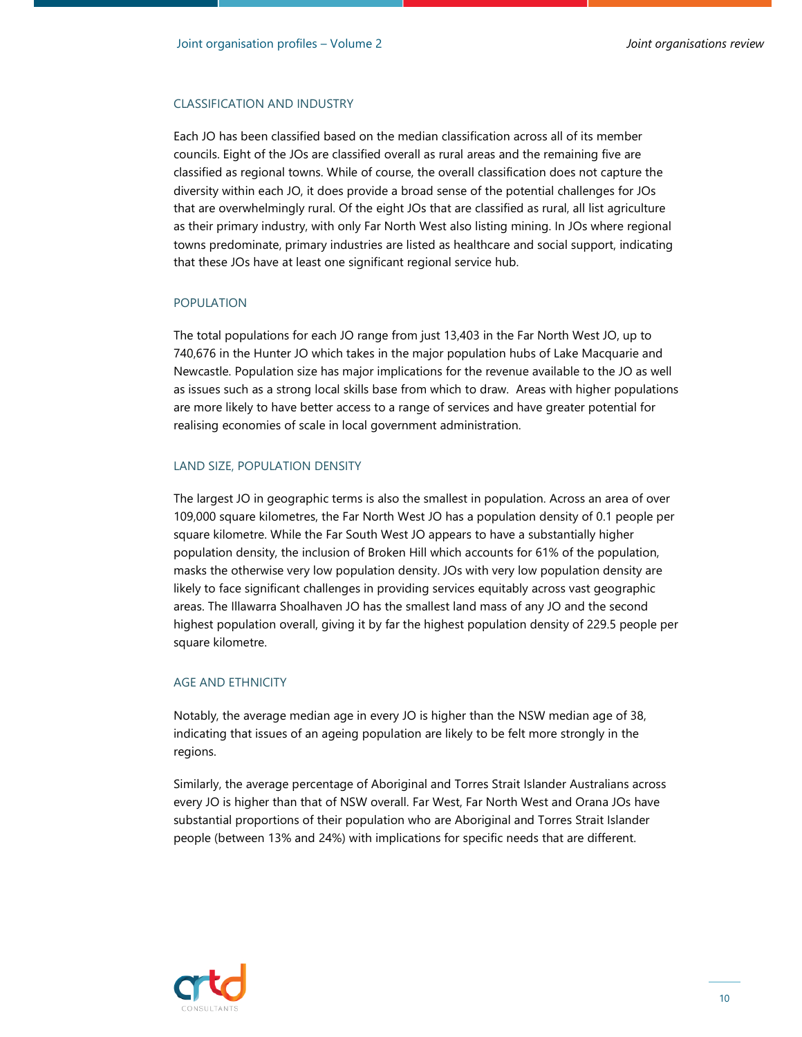#### CLASSIFICATION AND INDUSTRY

Each JO has been classified based on the median classification across all of its member councils. Eight of the JOs are classified overall as rural areas and the remaining five are classified as regional towns. While of course, the overall classification does not capture the diversity within each JO, it does provide a broad sense of the potential challenges for JOs that are overwhelmingly rural. Of the eight JOs that are classified as rural, all list agriculture as their primary industry, with only Far North West also listing mining. In JOs where regional towns predominate, primary industries are listed as healthcare and social support, indicating that these JOs have at least one significant regional service hub.

#### POPULATION

The total populations for each JO range from just 13,403 in the Far North West JO, up to 740,676 in the Hunter JO which takes in the major population hubs of Lake Macquarie and Newcastle. Population size has major implications for the revenue available to the JO as well as issues such as a strong local skills base from which to draw. Areas with higher populations are more likely to have better access to a range of services and have greater potential for realising economies of scale in local government administration.

#### LAND SIZE, POPULATION DENSITY

The largest JO in geographic terms is also the smallest in population. Across an area of over 109,000 square kilometres, the Far North West JO has a population density of 0.1 people per square kilometre. While the Far South West JO appears to have a substantially higher population density, the inclusion of Broken Hill which accounts for 61% of the population, masks the otherwise very low population density. JOs with very low population density are likely to face significant challenges in providing services equitably across vast geographic areas. The Illawarra Shoalhaven JO has the smallest land mass of any JO and the second highest population overall, giving it by far the highest population density of 229.5 people per square kilometre.

#### AGE AND ETHNICITY

Notably, the average median age in every JO is higher than the NSW median age of 38, indicating that issues of an ageing population are likely to be felt more strongly in the regions.

Similarly, the average percentage of Aboriginal and Torres Strait Islander Australians across every JO is higher than that of NSW overall. Far West, Far North West and Orana JOs have substantial proportions of their population who are Aboriginal and Torres Strait Islander people (between 13% and 24%) with implications for specific needs that are different.

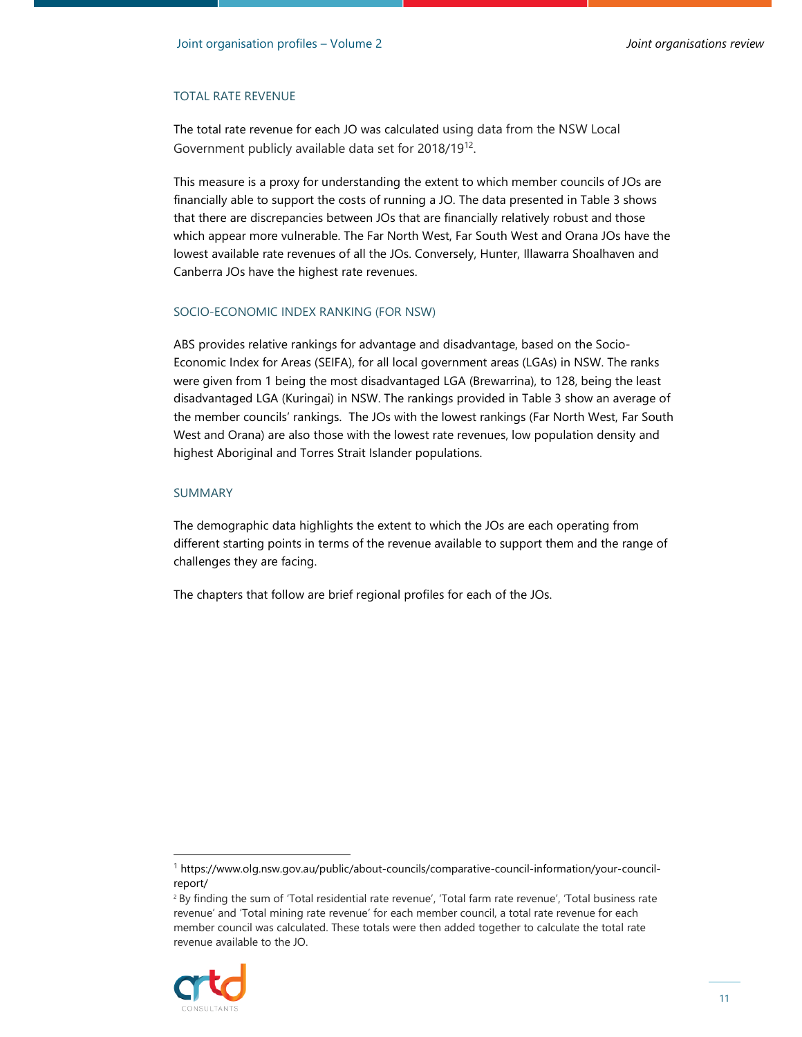#### TOTAL RATE REVENUE

The total rate revenue for each JO was calculated using data from the NSW Local Government publicly available data set for 2018/19<sup>12</sup>.

This measure is a proxy for understanding the extent to which member councils of JOs are financially able to support the costs of running a JO. The data presented in Table 3 shows that there are discrepancies between JOs that are financially relatively robust and those which appear more vulnerable. The Far North West, Far South West and Orana JOs have the lowest available rate revenues of all the JOs. Conversely, Hunter, Illawarra Shoalhaven and Canberra JOs have the highest rate revenues.

#### SOCIO-ECONOMIC INDEX RANKING (FOR NSW)

ABS provides relative rankings for advantage and disadvantage, based on the Socio-Economic Index for Areas (SEIFA), for all local government areas (LGAs) in NSW. The ranks were given from 1 being the most disadvantaged LGA (Brewarrina), to 128, being the least disadvantaged LGA (Kuringai) in NSW. The rankings provided in Table 3 show an average of the member councils' rankings. The JOs with the lowest rankings (Far North West, Far South West and Orana) are also those with the lowest rate revenues, low population density and highest Aboriginal and Torres Strait Islander populations.

#### SUMMARY

The demographic data highlights the extent to which the JOs are each operating from different starting points in terms of the revenue available to support them and the range of challenges they are facing.

The chapters that follow are brief regional profiles for each of the JOs.

<sup>2</sup> By finding the sum of 'Total residential rate revenue', 'Total farm rate revenue', 'Total business rate revenue' and 'Total mining rate revenue' for each member council, a total rate revenue for each member council was calculated. These totals were then added together to calculate the total rate revenue available to the JO.



<sup>1</sup> https://www.olg.nsw.gov.au/public/about-councils/comparative-council-information/your-councilreport/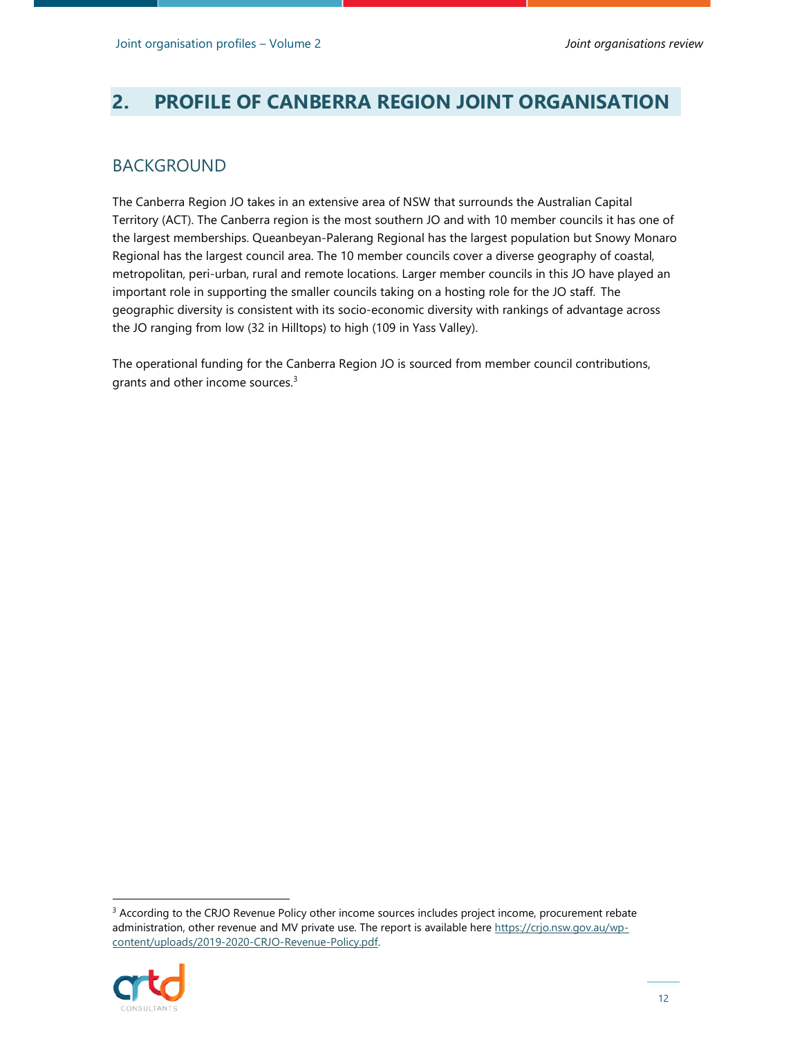## **2. PROFILE OF CANBERRA REGION JOINT ORGANISATION**

#### BACKGROUND

The Canberra Region JO takes in an extensive area of NSW that surrounds the Australian Capital Territory (ACT). The Canberra region is the most southern JO and with 10 member councils it has one of the largest memberships. Queanbeyan-Palerang Regional has the largest population but Snowy Monaro Regional has the largest council area. The 10 member councils cover a diverse geography of coastal, metropolitan, peri-urban, rural and remote locations. Larger member councils in this JO have played an important role in supporting the smaller councils taking on a hosting role for the JO staff. The geographic diversity is consistent with its socio-economic diversity with rankings of advantage across the JO ranging from low (32 in Hilltops) to high (109 in Yass Valley).

The operational funding for the Canberra Region JO is sourced from member council contributions, grants and other income sources.<sup>3</sup>

<sup>&</sup>lt;sup>3</sup> According to the CRJO Revenue Policy other income sources includes project income, procurement rebate administration, other revenue and MV private use. The report is available here https://crjo.nsw.gov.au/wpcontent/uploads/2019-2020-CRJO-Revenue-Policy.pdf.

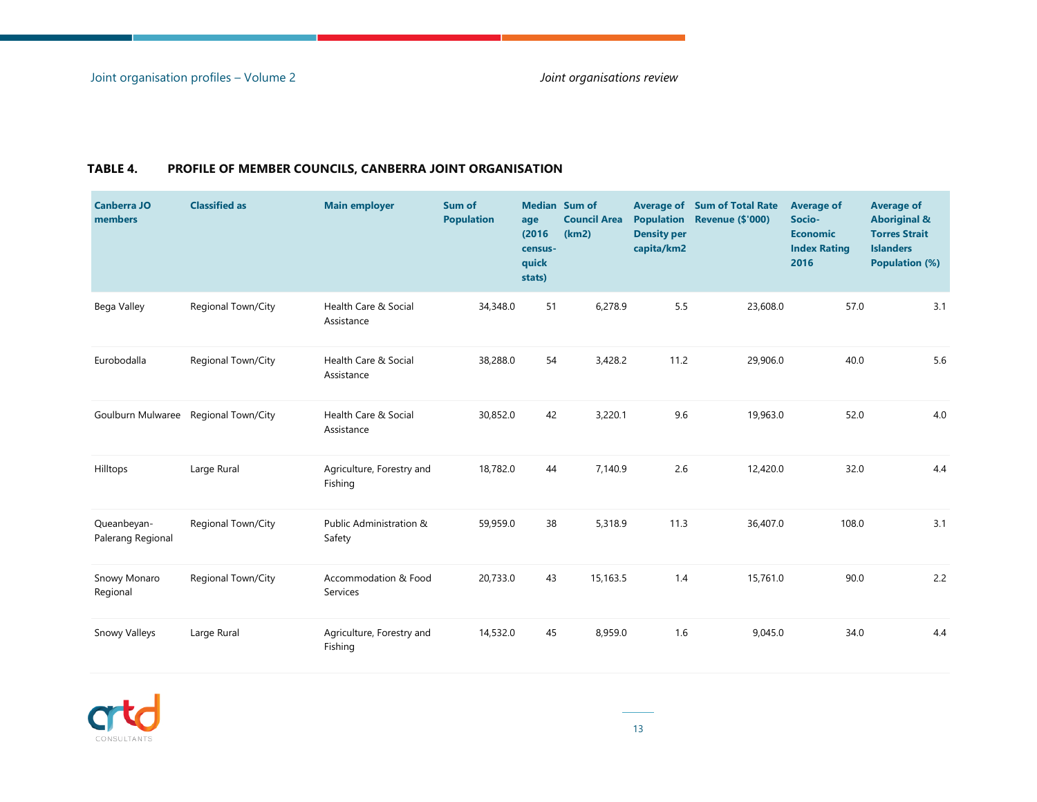| <b>Canberra JO</b><br>members    | <b>Classified as</b>                 | <b>Main employer</b>                 | Sum of<br><b>Population</b> | <b>Median</b> Sum of<br>age<br>(2016)<br>census-<br>quick<br>stats) | <b>Council Area</b><br>(km2) | <b>Population</b><br><b>Density per</b><br>capita/km2 | <b>Average of Sum of Total Rate</b><br><b>Revenue (\$'000)</b> | <b>Average of</b><br>Socio-<br><b>Economic</b><br><b>Index Rating</b><br>2016 | <b>Average of</b><br><b>Aboriginal &amp;</b><br><b>Torres Strait</b><br><b>Islanders</b><br><b>Population (%)</b> |
|----------------------------------|--------------------------------------|--------------------------------------|-----------------------------|---------------------------------------------------------------------|------------------------------|-------------------------------------------------------|----------------------------------------------------------------|-------------------------------------------------------------------------------|-------------------------------------------------------------------------------------------------------------------|
| Bega Valley                      | Regional Town/City                   | Health Care & Social<br>Assistance   | 34,348.0                    | 51                                                                  | 6,278.9                      | 5.5                                                   | 23,608.0                                                       | 57.0                                                                          | 3.1                                                                                                               |
| Eurobodalla                      | Regional Town/City                   | Health Care & Social<br>Assistance   | 38,288.0                    | 54                                                                  | 3,428.2                      | 11.2                                                  | 29,906.0                                                       | 40.0                                                                          | 5.6                                                                                                               |
|                                  | Goulburn Mulwaree Regional Town/City | Health Care & Social<br>Assistance   | 30,852.0                    | 42                                                                  | 3,220.1                      | 9.6                                                   | 19,963.0                                                       | 52.0                                                                          | 4.0                                                                                                               |
| Hilltops                         | Large Rural                          | Agriculture, Forestry and<br>Fishing | 18,782.0                    | 44                                                                  | 7,140.9                      | 2.6                                                   | 12,420.0                                                       | 32.0                                                                          | 4.4                                                                                                               |
| Queanbeyan-<br>Palerang Regional | Regional Town/City                   | Public Administration &<br>Safety    | 59,959.0                    | 38                                                                  | 5,318.9                      | 11.3                                                  | 36,407.0                                                       | 108.0                                                                         | 3.1                                                                                                               |
| Snowy Monaro<br>Regional         | Regional Town/City                   | Accommodation & Food<br>Services     | 20,733.0                    | 43                                                                  | 15,163.5                     | 1.4                                                   | 15,761.0                                                       | 90.0                                                                          | 2.2                                                                                                               |
| <b>Snowy Valleys</b>             | Large Rural                          | Agriculture, Forestry and<br>Fishing | 14,532.0                    | 45                                                                  | 8,959.0                      | 1.6                                                   | 9,045.0                                                        | 34.0                                                                          | 4.4                                                                                                               |

#### **TABLE 4. PROFILE OF MEMBER COUNCILS, CANBERRA JOINT ORGANISATION**

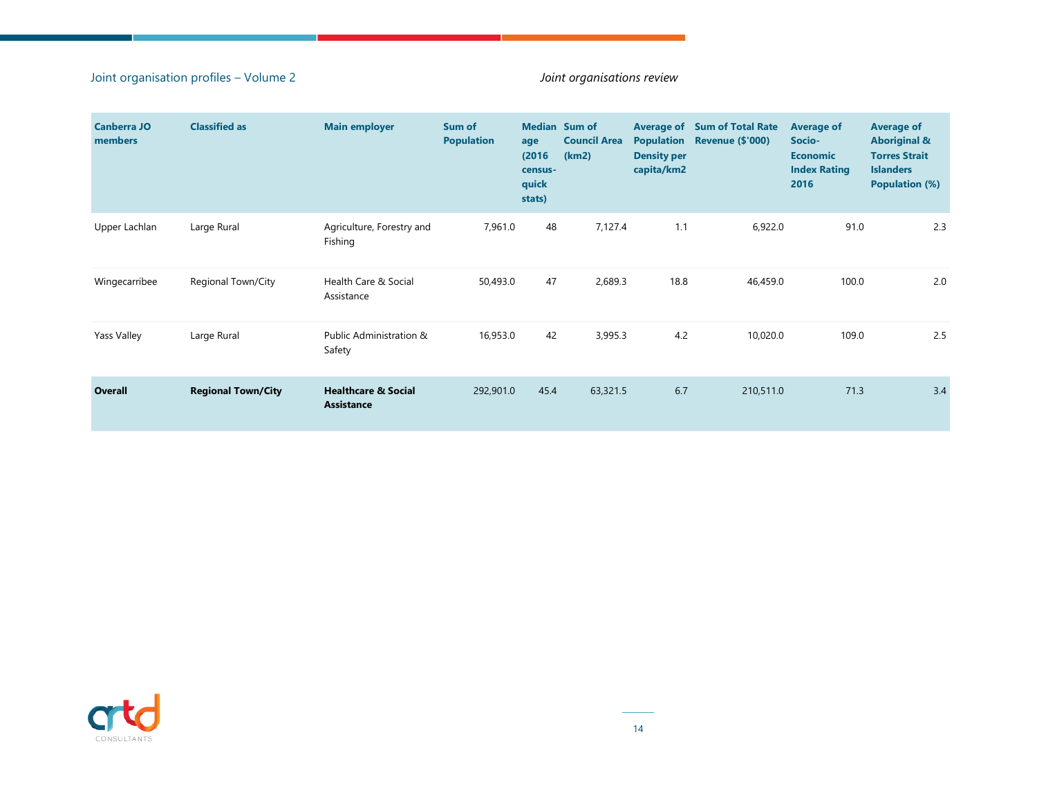#### Joint organisation profiles – Volume 2 *Joint organisations review*

| <b>Canberra JO</b><br>members | <b>Classified as</b>      | <b>Main employer</b>                                | Sum of<br><b>Population</b> | age<br>(2016)<br>census-<br>quick<br>stats) | <b>Median</b> Sum of<br><b>Council Area</b><br>(km2) | <b>Population</b><br><b>Density per</b><br>capita/km2 | <b>Average of Sum of Total Rate</b><br><b>Revenue (\$'000)</b> | <b>Average of</b><br>Socio-<br><b>Economic</b><br><b>Index Rating</b><br>2016 | <b>Average of</b><br><b>Aboriginal &amp;</b><br><b>Torres Strait</b><br><b>Islanders</b><br><b>Population (%)</b> |
|-------------------------------|---------------------------|-----------------------------------------------------|-----------------------------|---------------------------------------------|------------------------------------------------------|-------------------------------------------------------|----------------------------------------------------------------|-------------------------------------------------------------------------------|-------------------------------------------------------------------------------------------------------------------|
| Upper Lachlan                 | Large Rural               | Agriculture, Forestry and<br>Fishing                | 7,961.0                     | 48                                          | 7,127.4                                              | 1.1                                                   | 6,922.0                                                        | 91.0                                                                          | 2.3                                                                                                               |
| Wingecarribee                 | Regional Town/City        | Health Care & Social<br>Assistance                  | 50,493.0                    | 47                                          | 2,689.3                                              | 18.8                                                  | 46,459.0                                                       | 100.0                                                                         | 2.0                                                                                                               |
| Yass Valley                   | Large Rural               | Public Administration &<br>Safety                   | 16,953.0                    | 42                                          | 3,995.3                                              | 4.2                                                   | 10,020.0                                                       | 109.0                                                                         | 2.5                                                                                                               |
| Overall                       | <b>Regional Town/City</b> | <b>Healthcare &amp; Social</b><br><b>Assistance</b> | 292,901.0                   | 45.4                                        | 63,321.5                                             | 6.7                                                   | 210,511.0                                                      | 71.3                                                                          | 3.4                                                                                                               |

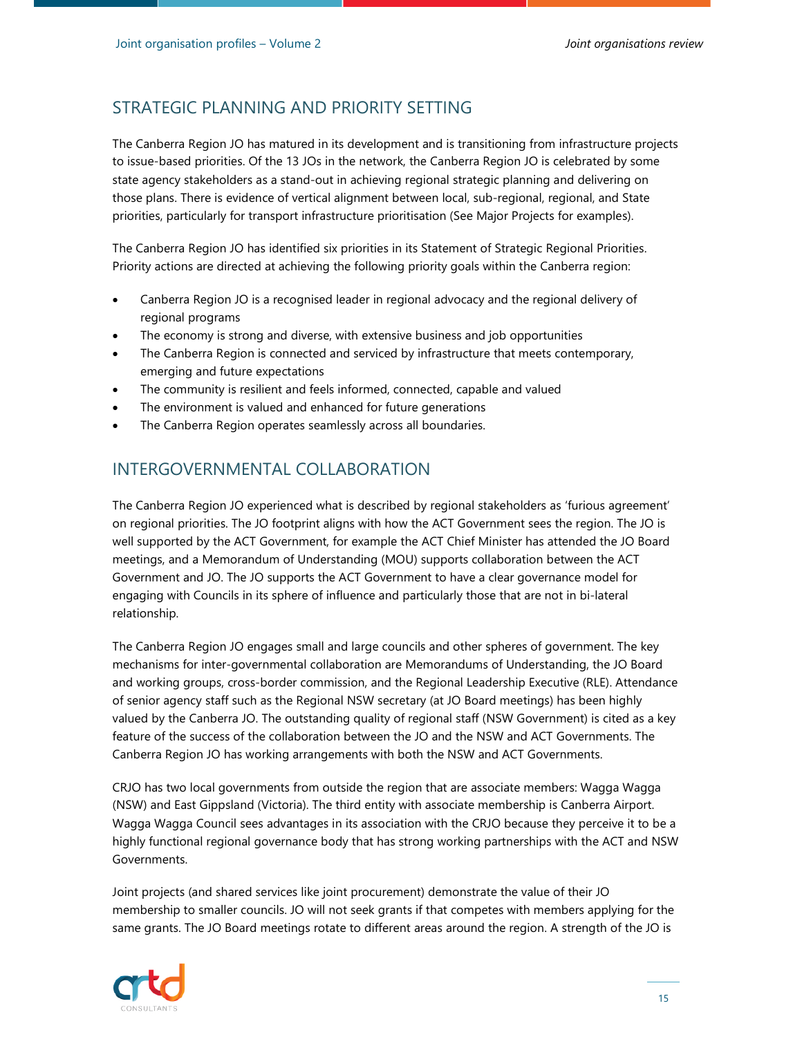## STRATEGIC PLANNING AND PRIORITY SETTING

The Canberra Region JO has matured in its development and is transitioning from infrastructure projects to issue-based priorities. Of the 13 JOs in the network, the Canberra Region JO is celebrated by some state agency stakeholders as a stand-out in achieving regional strategic planning and delivering on those plans. There is evidence of vertical alignment between local, sub-regional, regional, and State priorities, particularly for transport infrastructure prioritisation (See Major Projects for examples).

The Canberra Region JO has identified six priorities in its Statement of Strategic Regional Priorities. Priority actions are directed at achieving the following priority goals within the Canberra region:

- Canberra Region JO is a recognised leader in regional advocacy and the regional delivery of regional programs
- The economy is strong and diverse, with extensive business and job opportunities
- The Canberra Region is connected and serviced by infrastructure that meets contemporary, emerging and future expectations
- The community is resilient and feels informed, connected, capable and valued
- The environment is valued and enhanced for future generations
- The Canberra Region operates seamlessly across all boundaries.

## INTERGOVERNMENTAL COLLABORATION

The Canberra Region JO experienced what is described by regional stakeholders as 'furious agreement' on regional priorities. The JO footprint aligns with how the ACT Government sees the region. The JO is well supported by the ACT Government, for example the ACT Chief Minister has attended the JO Board meetings, and a Memorandum of Understanding (MOU) supports collaboration between the ACT Government and JO. The JO supports the ACT Government to have a clear governance model for engaging with Councils in its sphere of influence and particularly those that are not in bi-lateral relationship.

The Canberra Region JO engages small and large councils and other spheres of government. The key mechanisms for inter-governmental collaboration are Memorandums of Understanding, the JO Board and working groups, cross-border commission, and the Regional Leadership Executive (RLE). Attendance of senior agency staff such as the Regional NSW secretary (at JO Board meetings) has been highly valued by the Canberra JO. The outstanding quality of regional staff (NSW Government) is cited as a key feature of the success of the collaboration between the JO and the NSW and ACT Governments. The Canberra Region JO has working arrangements with both the NSW and ACT Governments.

CRJO has two local governments from outside the region that are associate members: Wagga Wagga (NSW) and East Gippsland (Victoria). The third entity with associate membership is Canberra Airport. Wagga Wagga Council sees advantages in its association with the CRJO because they perceive it to be a highly functional regional governance body that has strong working partnerships with the ACT and NSW Governments.

Joint projects (and shared services like joint procurement) demonstrate the value of their JO membership to smaller councils. JO will not seek grants if that competes with members applying for the same grants. The JO Board meetings rotate to different areas around the region. A strength of the JO is

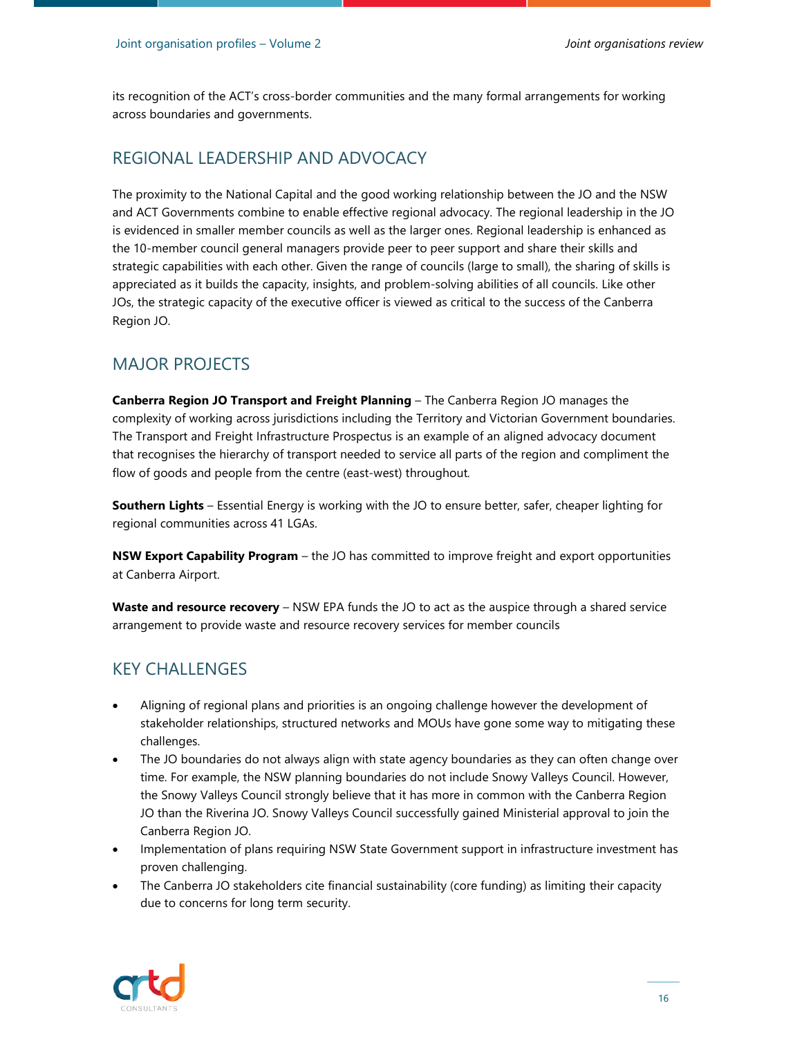its recognition of the ACT's cross-border communities and the many formal arrangements for working across boundaries and governments.

#### REGIONAL LEADERSHIP AND ADVOCACY

The proximity to the National Capital and the good working relationship between the JO and the NSW and ACT Governments combine to enable effective regional advocacy. The regional leadership in the JO is evidenced in smaller member councils as well as the larger ones. Regional leadership is enhanced as the 10-member council general managers provide peer to peer support and share their skills and strategic capabilities with each other. Given the range of councils (large to small), the sharing of skills is appreciated as it builds the capacity, insights, and problem-solving abilities of all councils. Like other JOs, the strategic capacity of the executive officer is viewed as critical to the success of the Canberra Region JO.

#### MAJOR PROJECTS

**Canberra Region JO Transport and Freight Planning** – The Canberra Region JO manages the complexity of working across jurisdictions including the Territory and Victorian Government boundaries. The Transport and Freight Infrastructure Prospectus is an example of an aligned advocacy document that recognises the hierarchy of transport needed to service all parts of the region and compliment the flow of goods and people from the centre (east-west) throughout*.* 

**Southern Lights** – Essential Energy is working with the JO to ensure better, safer, cheaper lighting for regional communities across 41 LGAs.

**NSW Export Capability Program** – the JO has committed to improve freight and export opportunities at Canberra Airport.

**Waste and resource recovery** – NSW EPA funds the JO to act as the auspice through a shared service arrangement to provide waste and resource recovery services for member councils

#### KEY CHALLENGES

- Aligning of regional plans and priorities is an ongoing challenge however the development of stakeholder relationships, structured networks and MOUs have gone some way to mitigating these challenges.
- The JO boundaries do not always align with state agency boundaries as they can often change over time. For example, the NSW planning boundaries do not include Snowy Valleys Council. However, the Snowy Valleys Council strongly believe that it has more in common with the Canberra Region JO than the Riverina JO. Snowy Valleys Council successfully gained Ministerial approval to join the Canberra Region JO.
- Implementation of plans requiring NSW State Government support in infrastructure investment has proven challenging.
- The Canberra JO stakeholders cite financial sustainability (core funding) as limiting their capacity due to concerns for long term security.

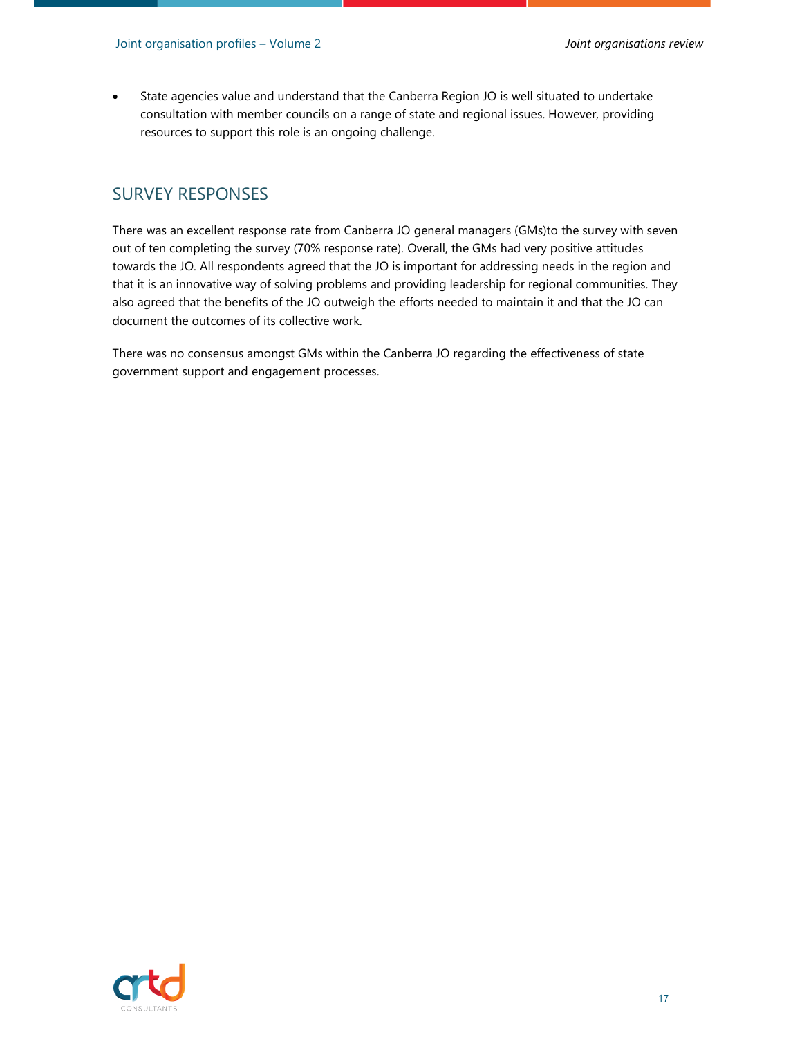State agencies value and understand that the Canberra Region JO is well situated to undertake consultation with member councils on a range of state and regional issues. However, providing resources to support this role is an ongoing challenge.

#### SURVEY RESPONSES

There was an excellent response rate from Canberra JO general managers (GMs)to the survey with seven out of ten completing the survey (70% response rate). Overall, the GMs had very positive attitudes towards the JO. All respondents agreed that the JO is important for addressing needs in the region and that it is an innovative way of solving problems and providing leadership for regional communities. They also agreed that the benefits of the JO outweigh the efforts needed to maintain it and that the JO can document the outcomes of its collective work.

There was no consensus amongst GMs within the Canberra JO regarding the effectiveness of state government support and engagement processes.

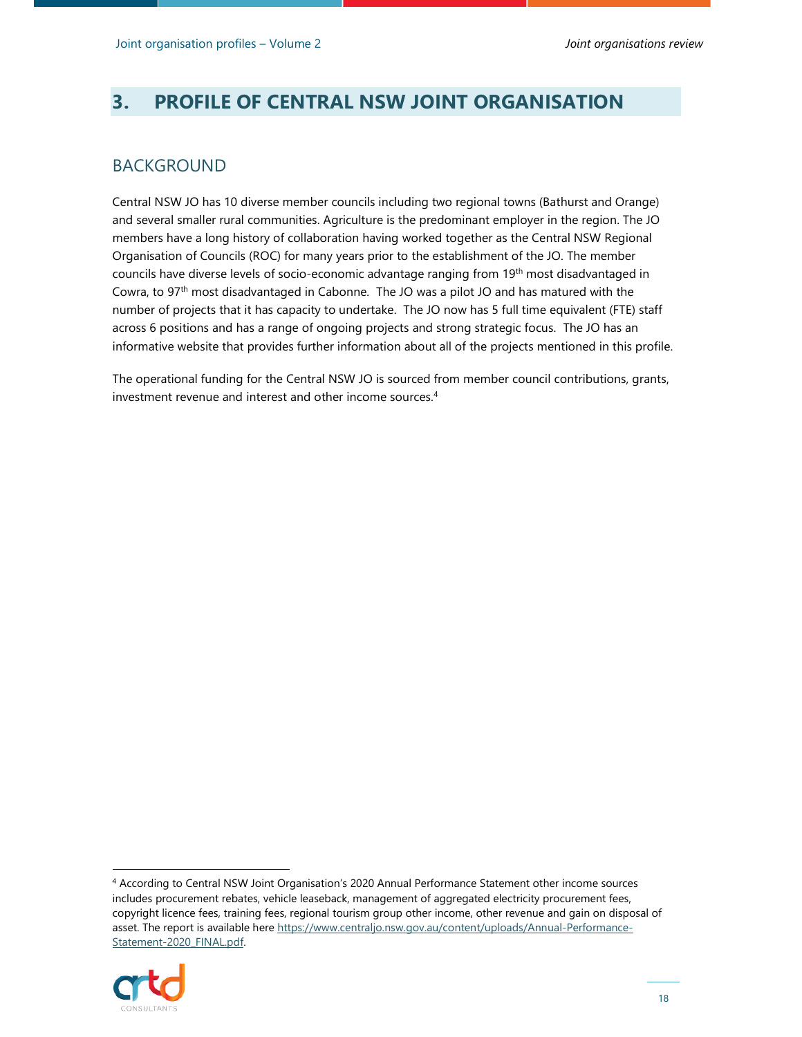## **3. PROFILE OF CENTRAL NSW JOINT ORGANISATION**

#### BACKGROUND

Central NSW JO has 10 diverse member councils including two regional towns (Bathurst and Orange) and several smaller rural communities. Agriculture is the predominant employer in the region. The JO members have a long history of collaboration having worked together as the Central NSW Regional Organisation of Councils (ROC) for many years prior to the establishment of the JO. The member councils have diverse levels of socio-economic advantage ranging from 19<sup>th</sup> most disadvantaged in Cowra, to 97th most disadvantaged in Cabonne. The JO was a pilot JO and has matured with the number of projects that it has capacity to undertake. The JO now has 5 full time equivalent (FTE) staff across 6 positions and has a range of ongoing projects and strong strategic focus. The JO has an informative website that provides further information about all of the projects mentioned in this profile.

The operational funding for the Central NSW JO is sourced from member council contributions, grants, investment revenue and interest and other income sources.<sup>4</sup>

<sup>4</sup> According to Central NSW Joint Organisation's 2020 Annual Performance Statement other income sources includes procurement rebates, vehicle leaseback, management of aggregated electricity procurement fees, copyright licence fees, training fees, regional tourism group other income, other revenue and gain on disposal of asset. The report is available here https://www.centraljo.nsw.gov.au/content/uploads/Annual-Performance-Statement-2020\_FINAL.pdf.

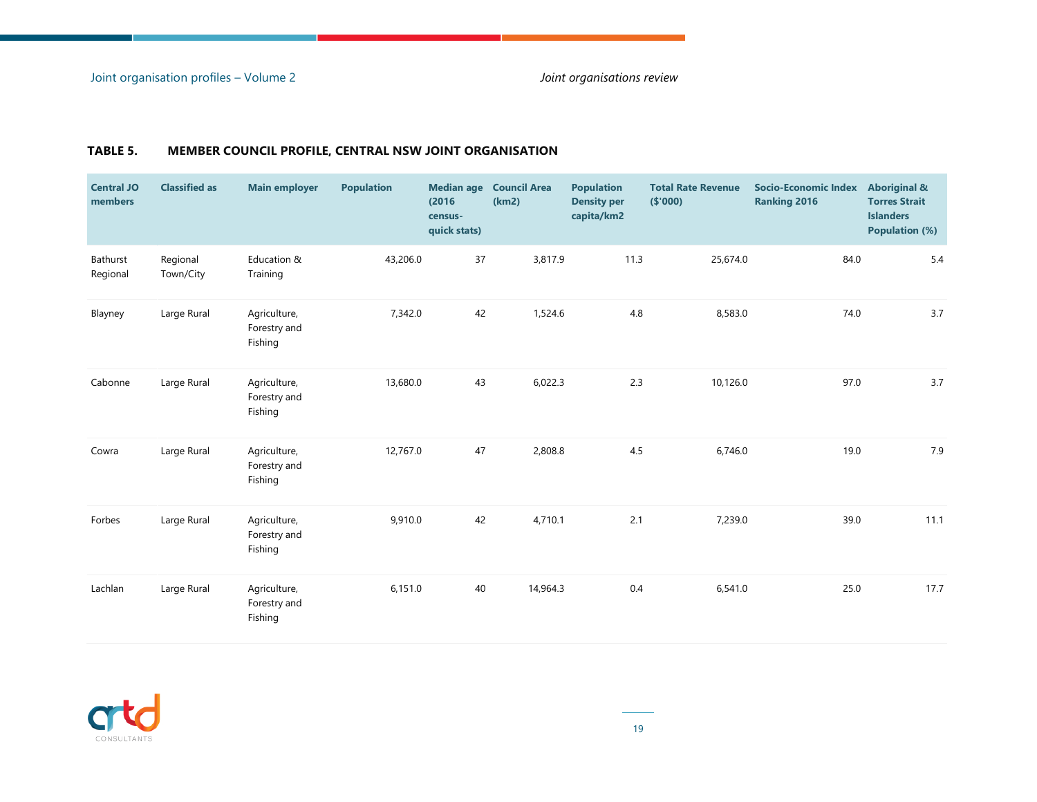| <b>Central JO</b><br>members | <b>Classified as</b>  | <b>Main employer</b>                    | <b>Population</b> | (2016)<br>census-<br>quick stats) | Median age Council Area<br>(km2) | <b>Population</b><br><b>Density per</b><br>capita/km2 | <b>Total Rate Revenue</b><br>(\$'000) | Socio-Economic Index<br><b>Ranking 2016</b> | <b>Aboriginal &amp;</b><br><b>Torres Strait</b><br><b>Islanders</b><br><b>Population (%)</b> |
|------------------------------|-----------------------|-----------------------------------------|-------------------|-----------------------------------|----------------------------------|-------------------------------------------------------|---------------------------------------|---------------------------------------------|----------------------------------------------------------------------------------------------|
| Bathurst<br>Regional         | Regional<br>Town/City | Education &<br>Training                 | 43,206.0          | 37                                | 3,817.9                          | 11.3                                                  | 25,674.0                              | 84.0                                        | 5.4                                                                                          |
| Blayney                      | Large Rural           | Agriculture,<br>Forestry and<br>Fishing | 7,342.0           | 42                                | 1,524.6                          | 4.8                                                   | 8,583.0                               | 74.0                                        | 3.7                                                                                          |
| Cabonne                      | Large Rural           | Agriculture,<br>Forestry and<br>Fishing | 13,680.0          | 43                                | 6,022.3                          | 2.3                                                   | 10,126.0                              | 97.0                                        | 3.7                                                                                          |
| Cowra                        | Large Rural           | Agriculture,<br>Forestry and<br>Fishing | 12,767.0          | 47                                | 2,808.8                          | 4.5                                                   | 6,746.0                               | 19.0                                        | 7.9                                                                                          |
| Forbes                       | Large Rural           | Agriculture,<br>Forestry and<br>Fishing | 9,910.0           | 42                                | 4,710.1                          | 2.1                                                   | 7,239.0                               | 39.0                                        | 11.1                                                                                         |
| Lachlan                      | Large Rural           | Agriculture,<br>Forestry and<br>Fishing | 6,151.0           | 40                                | 14,964.3                         | 0.4                                                   | 6,541.0                               | 25.0                                        | 17.7                                                                                         |

#### **TABLE 5. MEMBER COUNCIL PROFILE, CENTRAL NSW JOINT ORGANISATION**

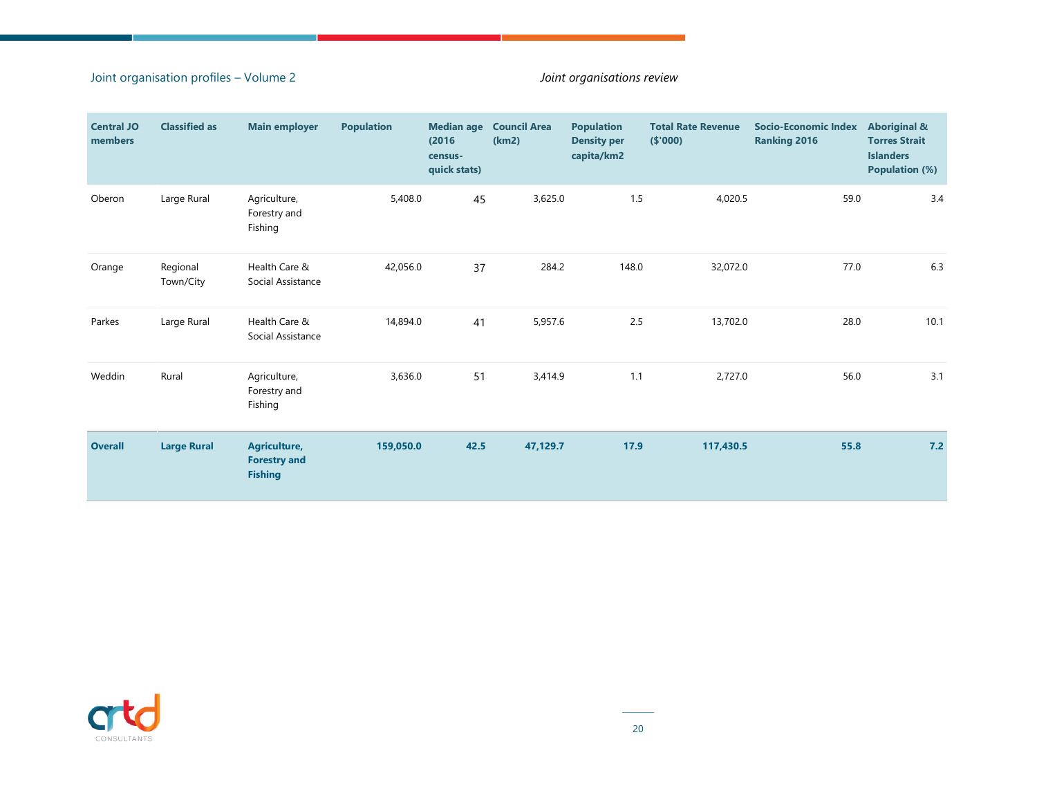#### Joint organisation profiles – Volume 2 *Joint organisations review*

| <b>Central JO</b><br>members | <b>Classified as</b>  | <b>Main employer</b>                                  | <b>Population</b> | (2016)<br>census-<br>quick stats) | <b>Median age Council Area</b><br>(km2) | <b>Population</b><br><b>Density per</b><br>capita/km2 | <b>Total Rate Revenue</b><br>(\$000) | <b>Socio-Economic Index</b><br><b>Ranking 2016</b> | <b>Aboriginal &amp;</b><br><b>Torres Strait</b><br><b>Islanders</b><br><b>Population (%)</b> |
|------------------------------|-----------------------|-------------------------------------------------------|-------------------|-----------------------------------|-----------------------------------------|-------------------------------------------------------|--------------------------------------|----------------------------------------------------|----------------------------------------------------------------------------------------------|
| Oberon                       | Large Rural           | Agriculture,<br>Forestry and<br>Fishing               | 5,408.0           | 45                                | 3,625.0                                 | 1.5                                                   | 4,020.5                              | 59.0                                               | 3.4                                                                                          |
| Orange                       | Regional<br>Town/City | Health Care &<br>Social Assistance                    | 42,056.0          | 37                                | 284.2                                   | 148.0                                                 | 32,072.0                             | 77.0                                               | 6.3                                                                                          |
| Parkes                       | Large Rural           | Health Care &<br>Social Assistance                    | 14,894.0          | 41                                | 5,957.6                                 | 2.5                                                   | 13,702.0                             | 28.0                                               | 10.1                                                                                         |
| Weddin                       | Rural                 | Agriculture,<br>Forestry and<br>Fishing               | 3,636.0           | 51                                | 3,414.9                                 | 1.1                                                   | 2,727.0                              | 56.0                                               | 3.1                                                                                          |
| <b>Overall</b>               | <b>Large Rural</b>    | Agriculture,<br><b>Forestry and</b><br><b>Fishing</b> | 159,050.0         | 42.5                              | 47,129.7                                | 17.9                                                  | 117,430.5                            | 55.8                                               | 7.2                                                                                          |

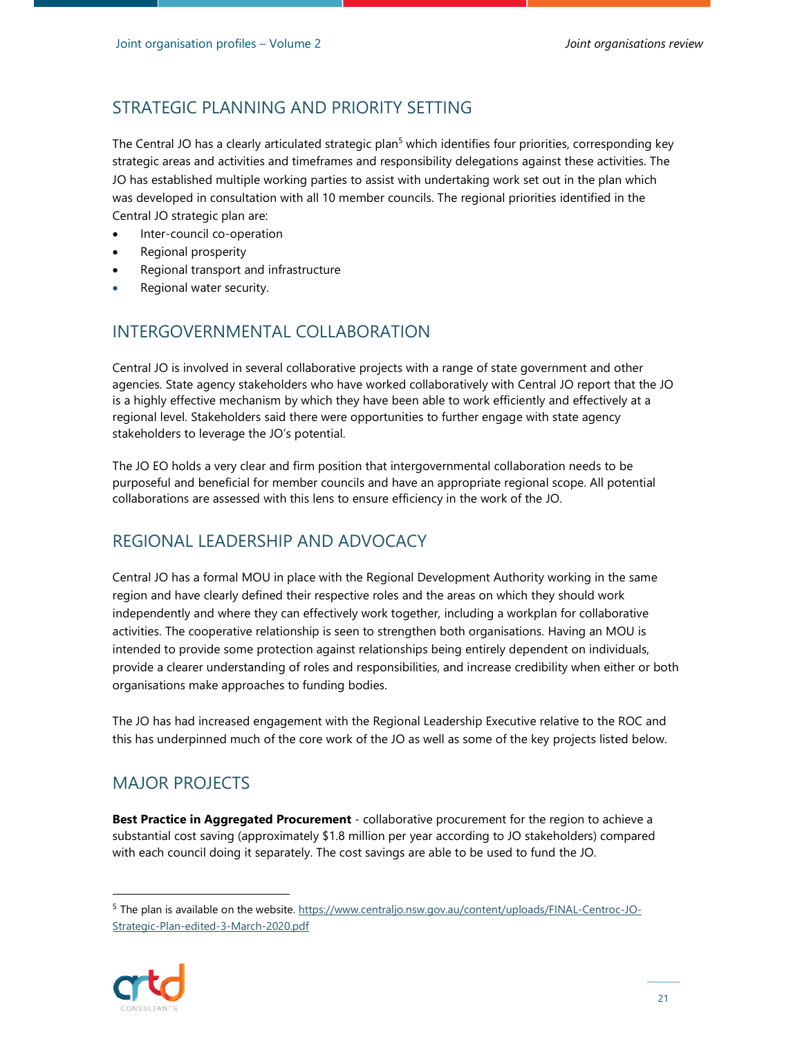## STRATEGIC PLANNING AND PRIORITY SETTING

The Central JO has a clearly articulated strategic plan<sup>5</sup> which identifies four priorities, corresponding key strategic areas and activities and timeframes and responsibility delegations against these activities. The JO has established multiple working parties to assist with undertaking work set out in the plan which was developed in consultation with all 10 member councils. The regional priorities identified in the Central JO strategic plan are:

- Inter-council co-operation
- Regional prosperity
- Regional transport and infrastructure
- Regional water security.

## INTERGOVERNMENTAL COLLABORATION

Central JO is involved in several collaborative projects with a range of state government and other agencies. State agency stakeholders who have worked collaboratively with Central JO report that the JO is a highly effective mechanism by which they have been able to work efficiently and effectively at a regional level. Stakeholders said there were opportunities to further engage with state agency stakeholders to leverage the JO's potential.

The JO EO holds a very clear and firm position that intergovernmental collaboration needs to be purposeful and beneficial for member councils and have an appropriate regional scope. All potential collaborations are assessed with this lens to ensure efficiency in the work of the JO.

## REGIONAL LEADERSHIP AND ADVOCACY

Central JO has a formal MOU in place with the Regional Development Authority working in the same region and have clearly defined their respective roles and the areas on which they should work independently and where they can effectively work together, including a workplan for collaborative activities. The cooperative relationship is seen to strengthen both organisations. Having an MOU is intended to provide some protection against relationships being entirely dependent on individuals, provide a clearer understanding of roles and responsibilities, and increase credibility when either or both organisations make approaches to funding bodies.

The JO has had increased engagement with the Regional Leadership Executive relative to the ROC and this has underpinned much of the core work of the JO as well as some of the key projects listed below.

## MAJOR PROJECTS

**Best Practice in Aggregated Procurement** - collaborative procurement for the region to achieve a substantial cost saving (approximately \$1.8 million per year according to JO stakeholders) compared with each council doing it separately. The cost savings are able to be used to fund the JO.

<sup>5</sup> The plan is available on the website. https://www.centraljo.nsw.gov.au/content/uploads/FINAL-Centroc-JO-Strategic-Plan-edited-3-March-2020.pdf

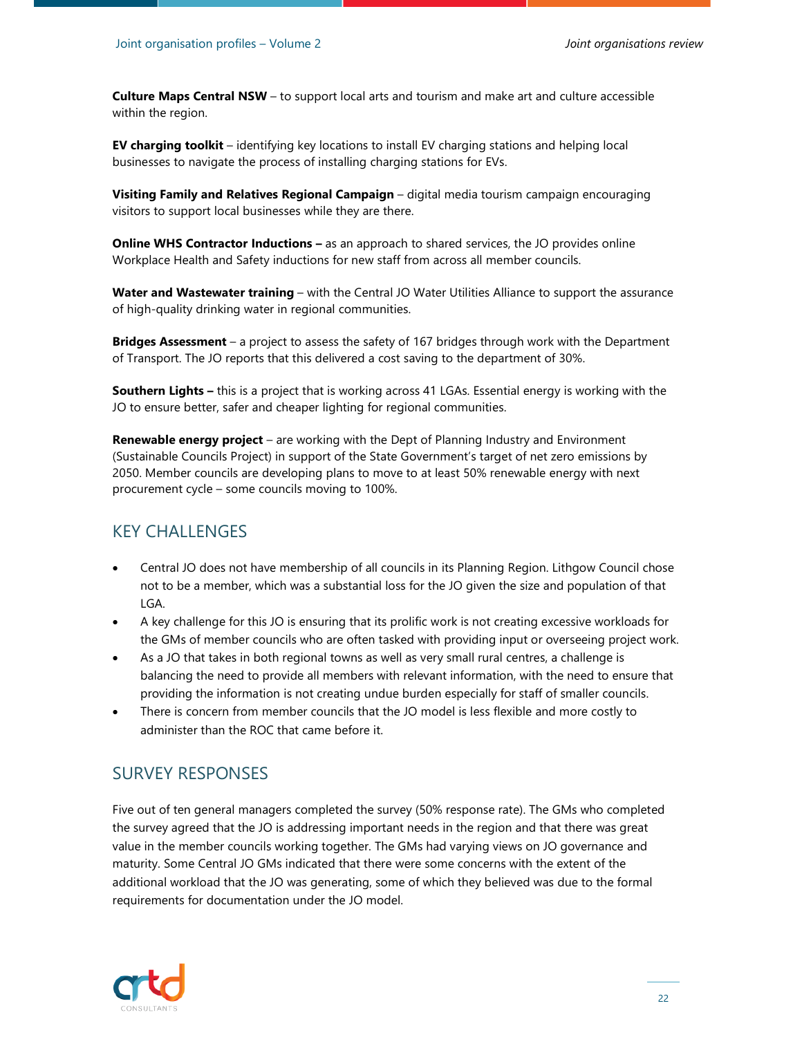**Culture Maps Central NSW** – to support local arts and tourism and make art and culture accessible within the region.

**EV charging toolkit** – identifying key locations to install EV charging stations and helping local businesses to navigate the process of installing charging stations for EVs.

**Visiting Family and Relatives Regional Campaign** – digital media tourism campaign encouraging visitors to support local businesses while they are there.

**Online WHS Contractor Inductions –** as an approach to shared services, the JO provides online Workplace Health and Safety inductions for new staff from across all member councils.

**Water and Wastewater training** – with the Central JO Water Utilities Alliance to support the assurance of high-quality drinking water in regional communities.

**Bridges Assessment** – a project to assess the safety of 167 bridges through work with the Department of Transport. The JO reports that this delivered a cost saving to the department of 30%.

**Southern Lights –** this is a project that is working across 41 LGAs. Essential energy is working with the JO to ensure better, safer and cheaper lighting for regional communities.

**Renewable energy project** – are working with the Dept of Planning Industry and Environment (Sustainable Councils Project) in support of the State Government's target of net zero emissions by 2050. Member councils are developing plans to move to at least 50% renewable energy with next procurement cycle – some councils moving to 100%.

#### KEY CHALLENGES

- Central JO does not have membership of all councils in its Planning Region. Lithgow Council chose not to be a member, which was a substantial loss for the JO given the size and population of that LGA.
- A key challenge for this JO is ensuring that its prolific work is not creating excessive workloads for the GMs of member councils who are often tasked with providing input or overseeing project work.
- As a JO that takes in both regional towns as well as very small rural centres, a challenge is balancing the need to provide all members with relevant information, with the need to ensure that providing the information is not creating undue burden especially for staff of smaller councils.
- There is concern from member councils that the JO model is less flexible and more costly to administer than the ROC that came before it.

#### SURVEY RESPONSES

Five out of ten general managers completed the survey (50% response rate). The GMs who completed the survey agreed that the JO is addressing important needs in the region and that there was great value in the member councils working together. The GMs had varying views on JO governance and maturity. Some Central JO GMs indicated that there were some concerns with the extent of the additional workload that the JO was generating, some of which they believed was due to the formal requirements for documentation under the JO model.

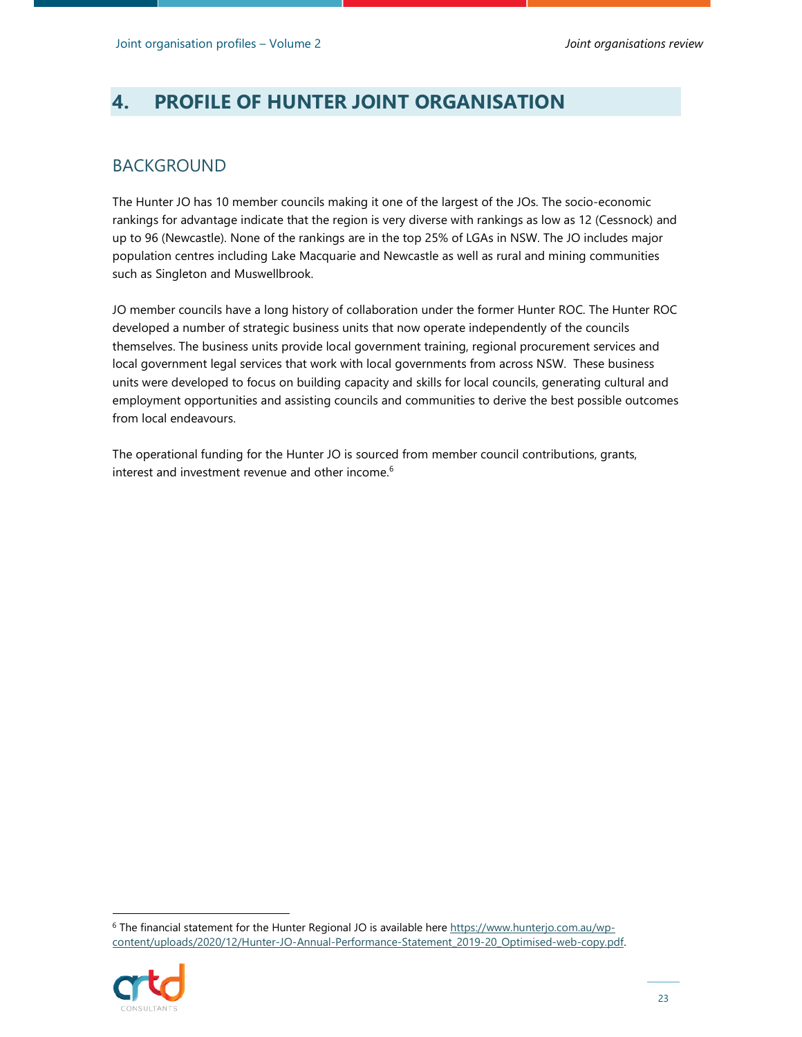## **4. PROFILE OF HUNTER JOINT ORGANISATION**

### BACKGROUND

The Hunter JO has 10 member councils making it one of the largest of the JOs. The socio-economic rankings for advantage indicate that the region is very diverse with rankings as low as 12 (Cessnock) and up to 96 (Newcastle). None of the rankings are in the top 25% of LGAs in NSW. The JO includes major population centres including Lake Macquarie and Newcastle as well as rural and mining communities such as Singleton and Muswellbrook.

JO member councils have a long history of collaboration under the former Hunter ROC. The Hunter ROC developed a number of strategic business units that now operate independently of the councils themselves. The business units provide local government training, regional procurement services and local government legal services that work with local governments from across NSW. These business units were developed to focus on building capacity and skills for local councils, generating cultural and employment opportunities and assisting councils and communities to derive the best possible outcomes from local endeavours.

The operational funding for the Hunter JO is sourced from member council contributions, grants, interest and investment revenue and other income.<sup>6</sup>

<sup>&</sup>lt;sup>6</sup> The financial statement for the Hunter Regional JO is available here https://www.hunterjo.com.au/wpcontent/uploads/2020/12/Hunter-JO-Annual-Performance-Statement\_2019-20\_Optimised-web-copy.pdf.

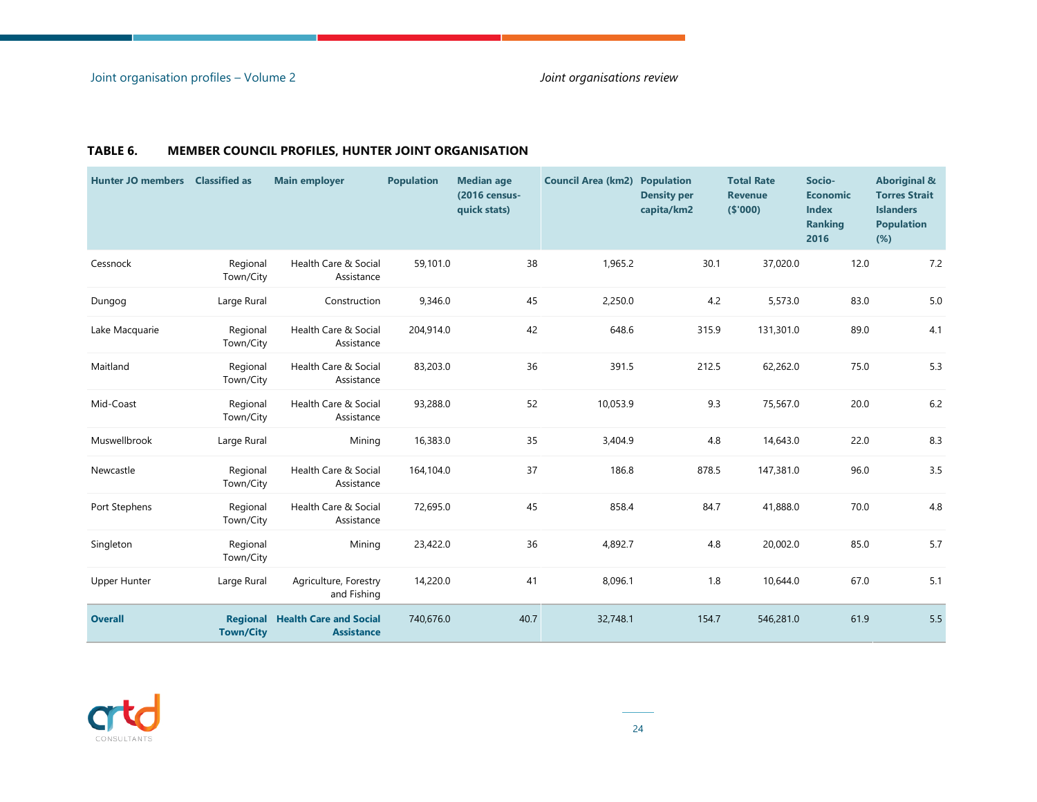**College** 

| <b>Hunter JO members</b> | <b>Classified as</b>  | <b>Main employer</b>                                        | <b>Population</b> | <b>Median age</b><br>(2016 census-<br>quick stats) | <b>Council Area (km2) Population</b> | <b>Density per</b><br>capita/km2 | <b>Total Rate</b><br><b>Revenue</b><br>(\$000) | Socio-<br><b>Economic</b><br><b>Index</b><br><b>Ranking</b><br>2016 | <b>Aboriginal &amp;</b><br><b>Torres Strait</b><br><b>Islanders</b><br><b>Population</b><br>$(\%)$ |
|--------------------------|-----------------------|-------------------------------------------------------------|-------------------|----------------------------------------------------|--------------------------------------|----------------------------------|------------------------------------------------|---------------------------------------------------------------------|----------------------------------------------------------------------------------------------------|
| Cessnock                 | Regional<br>Town/City | Health Care & Social<br>Assistance                          | 59,101.0          | 38                                                 | 1,965.2                              | 30.1                             | 37,020.0                                       | 12.0                                                                | 7.2                                                                                                |
| Dungog                   | Large Rural           | Construction                                                | 9,346.0           | 45                                                 | 2,250.0                              | 4.2                              | 5,573.0                                        | 83.0                                                                | $5.0$                                                                                              |
| Lake Macquarie           | Regional<br>Town/City | Health Care & Social<br>Assistance                          | 204,914.0         | 42                                                 | 648.6                                | 315.9                            | 131,301.0                                      | 89.0                                                                | 4.1                                                                                                |
| Maitland                 | Regional<br>Town/City | Health Care & Social<br>Assistance                          | 83,203.0          | 36                                                 | 391.5                                | 212.5                            | 62,262.0                                       | 75.0                                                                | 5.3                                                                                                |
| Mid-Coast                | Regional<br>Town/City | Health Care & Social<br>Assistance                          | 93,288.0          | 52                                                 | 10,053.9                             | 9.3                              | 75,567.0                                       | 20.0                                                                | $6.2$                                                                                              |
| Muswellbrook             | Large Rural           | Mining                                                      | 16,383.0          | 35                                                 | 3,404.9                              | 4.8                              | 14,643.0                                       | 22.0                                                                | 8.3                                                                                                |
| Newcastle                | Regional<br>Town/City | Health Care & Social<br>Assistance                          | 164,104.0         | 37                                                 | 186.8                                | 878.5                            | 147,381.0                                      | 96.0                                                                | 3.5                                                                                                |
| Port Stephens            | Regional<br>Town/City | Health Care & Social<br>Assistance                          | 72,695.0          | 45                                                 | 858.4                                | 84.7                             | 41,888.0                                       | 70.0                                                                | 4.8                                                                                                |
| Singleton                | Regional<br>Town/City | Mining                                                      | 23,422.0          | 36                                                 | 4,892.7                              | 4.8                              | 20,002.0                                       | 85.0                                                                | 5.7                                                                                                |
| <b>Upper Hunter</b>      | Large Rural           | Agriculture, Forestry<br>and Fishing                        | 14,220.0          | 41                                                 | 8,096.1                              | 1.8                              | 10,644.0                                       | 67.0                                                                | 5.1                                                                                                |
| <b>Overall</b>           | <b>Town/City</b>      | <b>Regional Health Care and Social</b><br><b>Assistance</b> | 740,676.0         | 40.7                                               | 32,748.1                             | 154.7                            | 546,281.0                                      | 61.9                                                                | 5.5                                                                                                |

#### **TABLE 6. MEMBER COUNCIL PROFILES, HUNTER JOINT ORGANISATION**

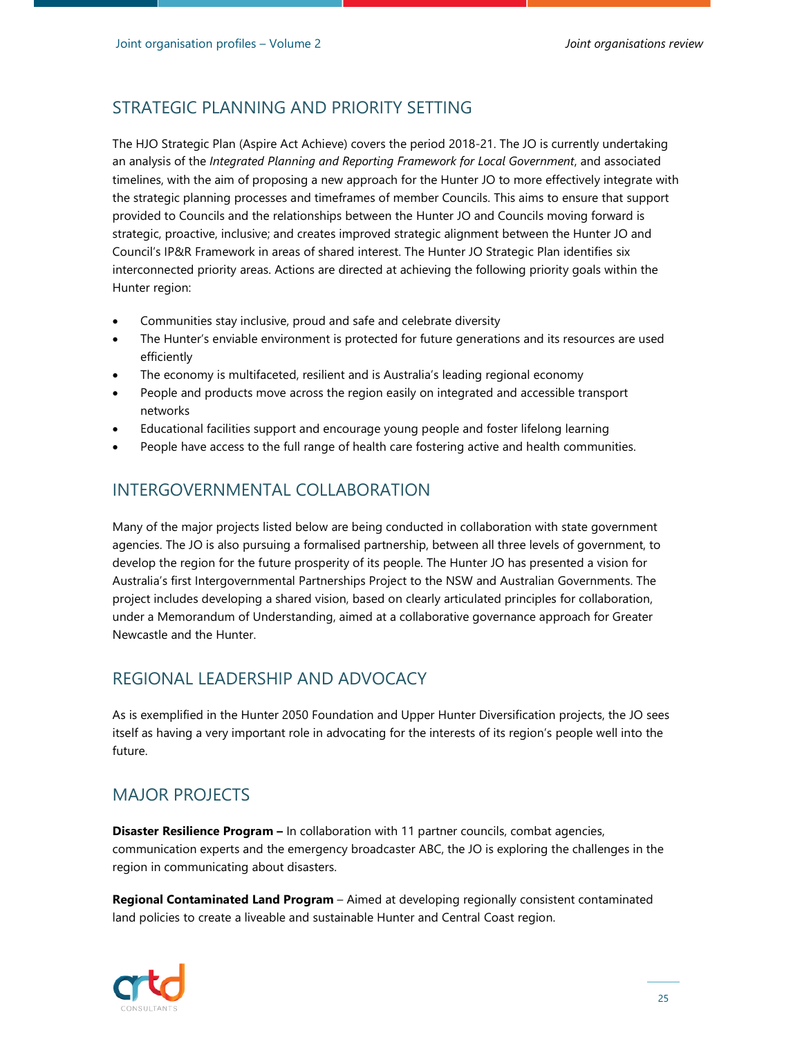## STRATEGIC PLANNING AND PRIORITY SETTING

The HJO Strategic Plan (Aspire Act Achieve) covers the period 2018-21. The JO is currently undertaking an analysis of the *Integrated Planning and Reporting Framework for Local Government*, and associated timelines, with the aim of proposing a new approach for the Hunter JO to more effectively integrate with the strategic planning processes and timeframes of member Councils. This aims to ensure that support provided to Councils and the relationships between the Hunter JO and Councils moving forward is strategic, proactive, inclusive; and creates improved strategic alignment between the Hunter JO and Council's IP&R Framework in areas of shared interest. The Hunter JO Strategic Plan identifies six interconnected priority areas. Actions are directed at achieving the following priority goals within the Hunter region:

- Communities stay inclusive, proud and safe and celebrate diversity
- The Hunter's enviable environment is protected for future generations and its resources are used efficiently
- The economy is multifaceted, resilient and is Australia's leading regional economy
- People and products move across the region easily on integrated and accessible transport networks
- Educational facilities support and encourage young people and foster lifelong learning
- People have access to the full range of health care fostering active and health communities.

#### INTERGOVERNMENTAL COLLABORATION

Many of the major projects listed below are being conducted in collaboration with state government agencies. The JO is also pursuing a formalised partnership, between all three levels of government, to develop the region for the future prosperity of its people. The Hunter JO has presented a vision for Australia's first Intergovernmental Partnerships Project to the NSW and Australian Governments. The project includes developing a shared vision, based on clearly articulated principles for collaboration, under a Memorandum of Understanding, aimed at a collaborative governance approach for Greater Newcastle and the Hunter.

#### REGIONAL LEADERSHIP AND ADVOCACY

As is exemplified in the Hunter 2050 Foundation and Upper Hunter Diversification projects, the JO sees itself as having a very important role in advocating for the interests of its region's people well into the future.

#### MAJOR PROJECTS

**Disaster Resilience Program –** In collaboration with 11 partner councils, combat agencies, communication experts and the emergency broadcaster ABC, the JO is exploring the challenges in the region in communicating about disasters.

**Regional Contaminated Land Program** – Aimed at developing regionally consistent contaminated land policies to create a liveable and sustainable Hunter and Central Coast region.

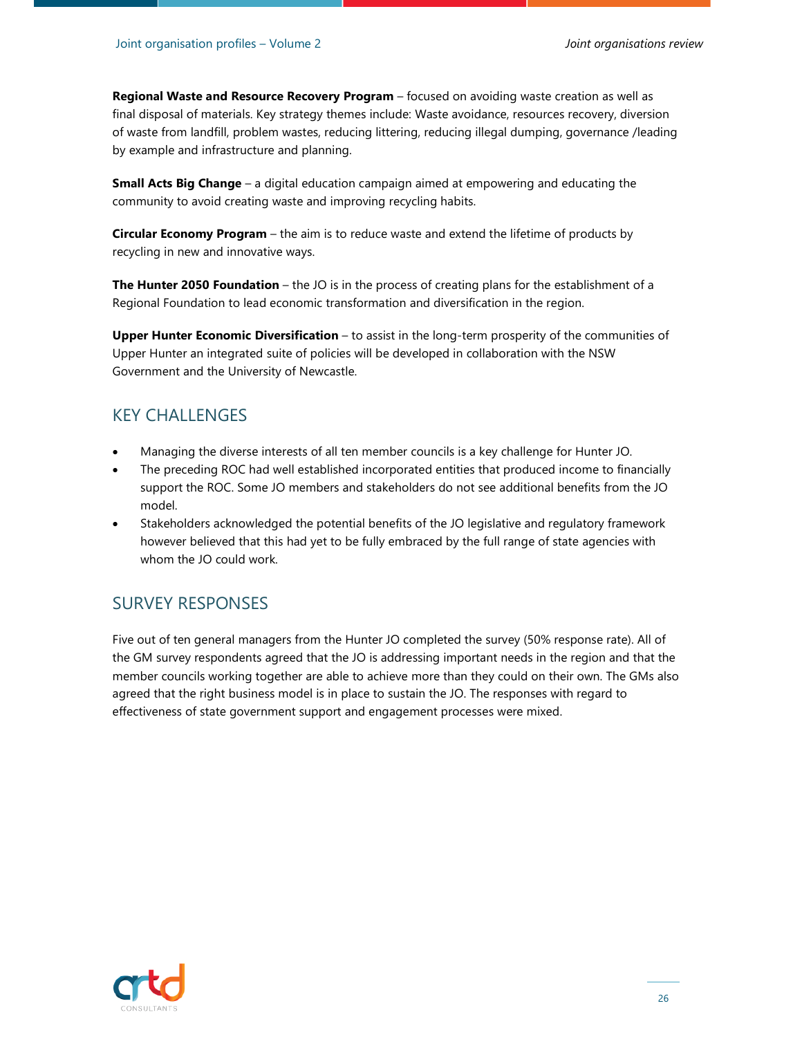**Regional Waste and Resource Recovery Program** – focused on avoiding waste creation as well as final disposal of materials. Key strategy themes include: Waste avoidance, resources recovery, diversion of waste from landfill, problem wastes, reducing littering, reducing illegal dumping, governance /leading by example and infrastructure and planning.

**Small Acts Big Change** – a digital education campaign aimed at empowering and educating the community to avoid creating waste and improving recycling habits.

**Circular Economy Program** – the aim is to reduce waste and extend the lifetime of products by recycling in new and innovative ways.

**The Hunter 2050 Foundation** – the JO is in the process of creating plans for the establishment of a Regional Foundation to lead economic transformation and diversification in the region.

**Upper Hunter Economic Diversification** – to assist in the long-term prosperity of the communities of Upper Hunter an integrated suite of policies will be developed in collaboration with the NSW Government and the University of Newcastle.

#### KEY CHALLENGES

- Managing the diverse interests of all ten member councils is a key challenge for Hunter JO.
- The preceding ROC had well established incorporated entities that produced income to financially support the ROC. Some JO members and stakeholders do not see additional benefits from the JO model.
- Stakeholders acknowledged the potential benefits of the JO legislative and regulatory framework however believed that this had yet to be fully embraced by the full range of state agencies with whom the JO could work.

#### SURVEY RESPONSES

Five out of ten general managers from the Hunter JO completed the survey (50% response rate). All of the GM survey respondents agreed that the JO is addressing important needs in the region and that the member councils working together are able to achieve more than they could on their own. The GMs also agreed that the right business model is in place to sustain the JO. The responses with regard to effectiveness of state government support and engagement processes were mixed.

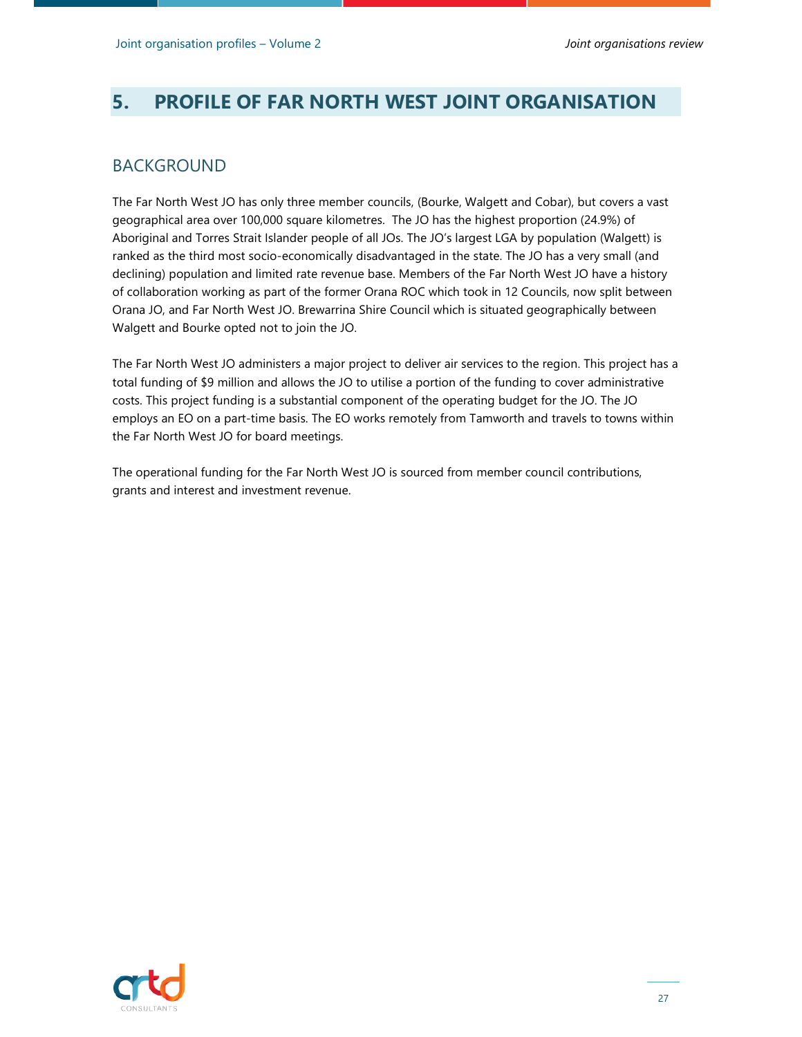# **5. PROFILE OF FAR NORTH WEST JOINT ORGANISATION**

### BACKGROUND

The Far North West JO has only three member councils, (Bourke, Walgett and Cobar), but covers a vast geographical area over 100,000 square kilometres. The JO has the highest proportion (24.9%) of Aboriginal and Torres Strait Islander people of all JOs. The JO's largest LGA by population (Walgett) is ranked as the third most socio-economically disadvantaged in the state. The JO has a very small (and declining) population and limited rate revenue base. Members of the Far North West JO have a history of collaboration working as part of the former Orana ROC which took in 12 Councils, now split between Orana JO, and Far North West JO. Brewarrina Shire Council which is situated geographically between Walgett and Bourke opted not to join the JO.

The Far North West JO administers a major project to deliver air services to the region. This project has a total funding of \$9 million and allows the JO to utilise a portion of the funding to cover administrative costs. This project funding is a substantial component of the operating budget for the JO. The JO employs an EO on a part-time basis. The EO works remotely from Tamworth and travels to towns within the Far North West JO for board meetings.

The operational funding for the Far North West JO is sourced from member council contributions, grants and interest and investment revenue.

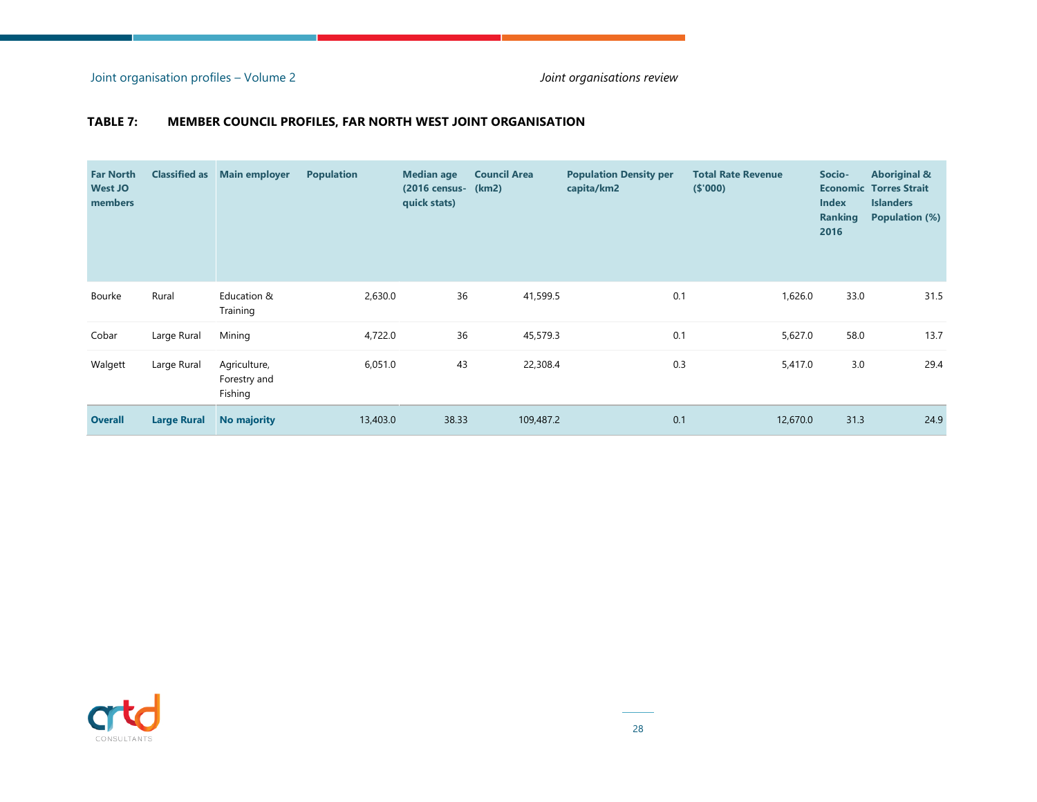Joint organisation profiles – Volume 2 *Joint organisations review*

#### **TABLE 7: MEMBER COUNCIL PROFILES, FAR NORTH WEST JOINT ORGANISATION**

| <b>Far North</b><br><b>West JO</b><br>members | <b>Classified as</b> | <b>Main employer</b>                    | <b>Population</b> | <b>Median age</b><br>(2016 census- (km2)<br>quick stats) | <b>Council Area</b> | <b>Population Density per</b><br>capita/km2 | <b>Total Rate Revenue</b><br>( \$'000) | Socio-<br><b>Index</b><br><b>Ranking</b><br>2016 | <b>Aboriginal &amp;</b><br><b>Economic Torres Strait</b><br><b>Islanders</b><br><b>Population (%)</b> |
|-----------------------------------------------|----------------------|-----------------------------------------|-------------------|----------------------------------------------------------|---------------------|---------------------------------------------|----------------------------------------|--------------------------------------------------|-------------------------------------------------------------------------------------------------------|
| Bourke                                        | Rural                | Education &<br>Training                 | 2,630.0           | 36                                                       | 41,599.5            | 0.1                                         | 1,626.0                                | 33.0                                             | 31.5                                                                                                  |
| Cobar                                         | Large Rural          | Mining                                  | 4,722.0           | 36                                                       | 45,579.3            | 0.1                                         | 5,627.0                                | 58.0                                             | 13.7                                                                                                  |
| Walgett                                       | Large Rural          | Agriculture,<br>Forestry and<br>Fishing | 6,051.0           | 43                                                       | 22,308.4            | 0.3                                         | 5,417.0                                | 3.0                                              | 29.4                                                                                                  |
| <b>Overall</b>                                | <b>Large Rural</b>   | No majority                             | 13,403.0          | 38.33                                                    | 109,487.2           | 0.1                                         | 12,670.0                               | 31.3                                             | 24.9                                                                                                  |

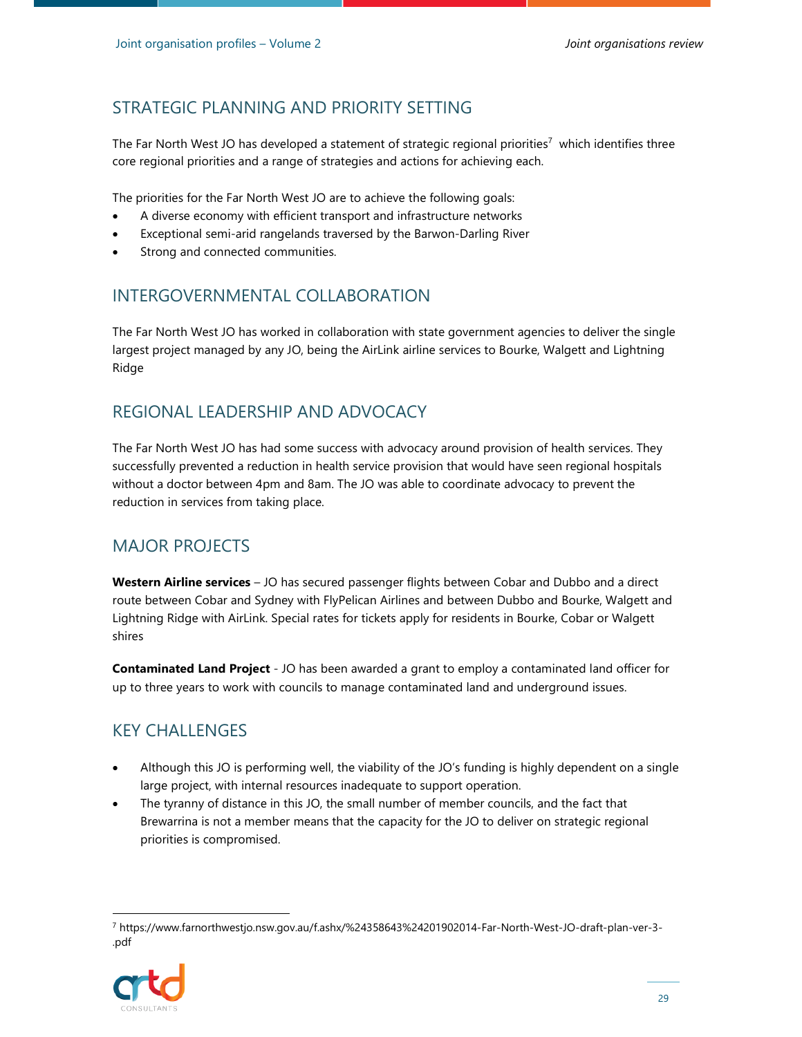## STRATEGIC PLANNING AND PRIORITY SETTING

The Far North West JO has developed a statement of strategic regional priorities<sup>7</sup> which identifies three core regional priorities and a range of strategies and actions for achieving each.

The priorities for the Far North West JO are to achieve the following goals:

- A diverse economy with efficient transport and infrastructure networks
- Exceptional semi-arid rangelands traversed by the Barwon-Darling River
- Strong and connected communities.

#### INTERGOVERNMENTAL COLLABORATION

The Far North West JO has worked in collaboration with state government agencies to deliver the single largest project managed by any JO, being the AirLink airline services to Bourke, Walgett and Lightning Ridge

#### REGIONAL LEADERSHIP AND ADVOCACY

The Far North West JO has had some success with advocacy around provision of health services. They successfully prevented a reduction in health service provision that would have seen regional hospitals without a doctor between 4pm and 8am. The JO was able to coordinate advocacy to prevent the reduction in services from taking place.

#### MAJOR PROJECTS

**Western Airline services** – JO has secured passenger flights between Cobar and Dubbo and a direct route between Cobar and Sydney with FlyPelican Airlines and between Dubbo and Bourke, Walgett and Lightning Ridge with AirLink. Special rates for tickets apply for residents in Bourke, Cobar or Walgett shires

**Contaminated Land Project** - JO has been awarded a grant to employ a contaminated land officer for up to three years to work with councils to manage contaminated land and underground issues.

## KEY CHALLENGES

- Although this JO is performing well, the viability of the JO's funding is highly dependent on a single large project, with internal resources inadequate to support operation.
- The tyranny of distance in this JO, the small number of member councils, and the fact that Brewarrina is not a member means that the capacity for the JO to deliver on strategic regional priorities is compromised.

<sup>7</sup> https://www.farnorthwestjo.nsw.gov.au/f.ashx/%24358643%24201902014-Far-North-West-JO-draft-plan-ver-3- .pdf

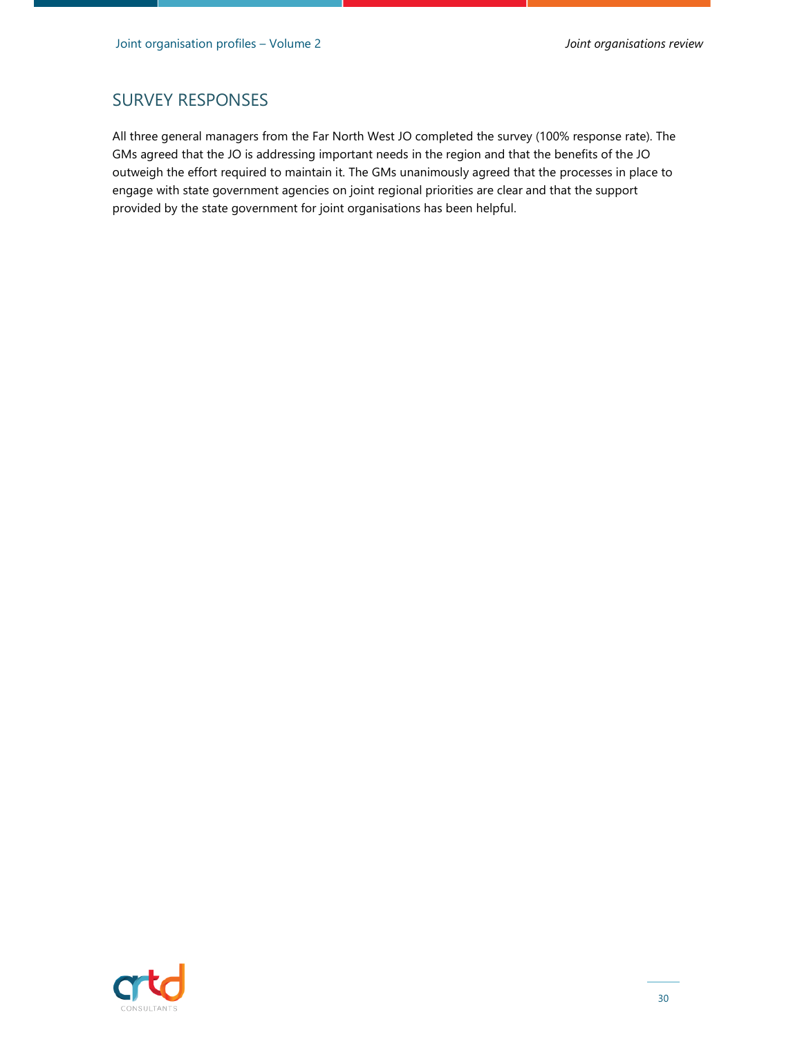#### SURVEY RESPONSES

All three general managers from the Far North West JO completed the survey (100% response rate). The GMs agreed that the JO is addressing important needs in the region and that the benefits of the JO outweigh the effort required to maintain it. The GMs unanimously agreed that the processes in place to engage with state government agencies on joint regional priorities are clear and that the support provided by the state government for joint organisations has been helpful.

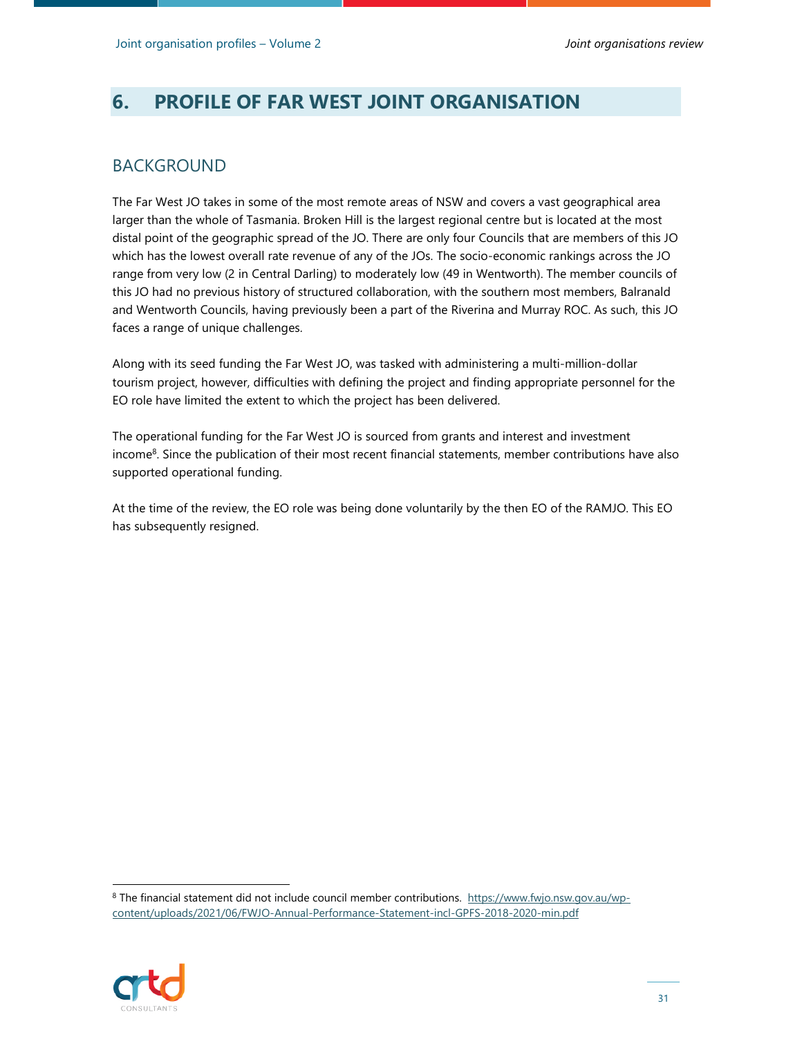## **6. PROFILE OF FAR WEST JOINT ORGANISATION**

#### BACKGROUND

The Far West JO takes in some of the most remote areas of NSW and covers a vast geographical area larger than the whole of Tasmania. Broken Hill is the largest regional centre but is located at the most distal point of the geographic spread of the JO. There are only four Councils that are members of this JO which has the lowest overall rate revenue of any of the JOs. The socio-economic rankings across the JO range from very low (2 in Central Darling) to moderately low (49 in Wentworth). The member councils of this JO had no previous history of structured collaboration, with the southern most members, Balranald and Wentworth Councils, having previously been a part of the Riverina and Murray ROC. As such, this JO faces a range of unique challenges.

Along with its seed funding the Far West JO, was tasked with administering a multi-million-dollar tourism project, however, difficulties with defining the project and finding appropriate personnel for the EO role have limited the extent to which the project has been delivered.

The operational funding for the Far West JO is sourced from grants and interest and investment income<sup>8</sup>. Since the publication of their most recent financial statements, member contributions have also supported operational funding.

At the time of the review, the EO role was being done voluntarily by the then EO of the RAMJO. This EO has subsequently resigned.

<sup>&</sup>lt;sup>8</sup> The financial statement did not include council member contributions. https://www.fwjo.nsw.gov.au/wpcontent/uploads/2021/06/FWJO-Annual-Performance-Statement-incl-GPFS-2018-2020-min.pdf

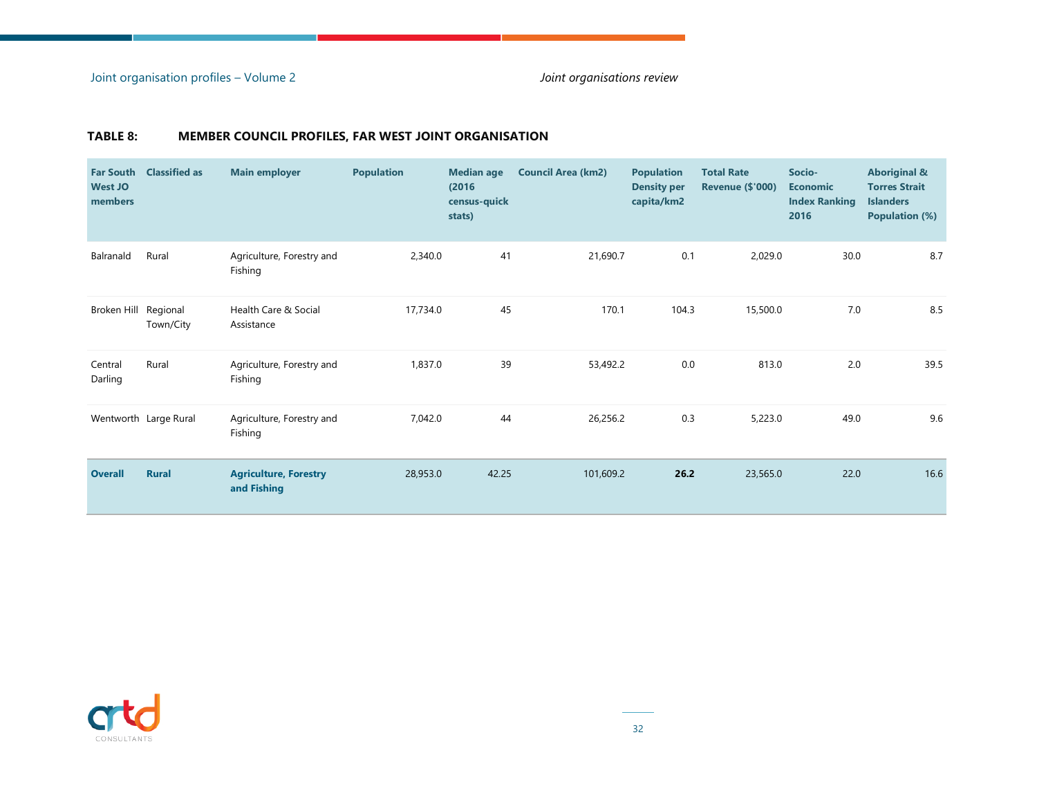#### **TABLE 8: MEMBER COUNCIL PROFILES, FAR WEST JOINT ORGANISATION**

| <b>Far South</b><br><b>West JO</b><br>members | <b>Classified as</b>  | <b>Main employer</b>                        | <b>Population</b> | <b>Median age</b><br>(2016)<br>census-quick<br>stats) | <b>Council Area (km2)</b> | <b>Population</b><br><b>Density per</b><br>capita/km2 | <b>Total Rate</b><br><b>Revenue (\$'000)</b> | Socio-<br><b>Economic</b><br><b>Index Ranking</b><br>2016 | <b>Aboriginal &amp;</b><br><b>Torres Strait</b><br><b>Islanders</b><br><b>Population (%)</b> |
|-----------------------------------------------|-----------------------|---------------------------------------------|-------------------|-------------------------------------------------------|---------------------------|-------------------------------------------------------|----------------------------------------------|-----------------------------------------------------------|----------------------------------------------------------------------------------------------|
| Balranald                                     | Rural                 | Agriculture, Forestry and<br>Fishing        | 2,340.0           | 41                                                    | 21,690.7                  | 0.1                                                   | 2,029.0                                      | 30.0                                                      | 8.7                                                                                          |
| Broken Hill Regional                          | Town/City             | Health Care & Social<br>Assistance          | 17,734.0          | 45                                                    | 170.1                     | 104.3                                                 | 15,500.0                                     | 7.0                                                       | 8.5                                                                                          |
| Central<br>Darling                            | Rural                 | Agriculture, Forestry and<br>Fishing        | 1,837.0           | 39                                                    | 53,492.2                  | $0.0\,$                                               | 813.0                                        | 2.0                                                       | 39.5                                                                                         |
|                                               | Wentworth Large Rural | Agriculture, Forestry and<br>Fishing        | 7,042.0           | 44                                                    | 26,256.2                  | 0.3                                                   | 5,223.0                                      | 49.0                                                      | 9.6                                                                                          |
| <b>Overall</b>                                | <b>Rural</b>          | <b>Agriculture, Forestry</b><br>and Fishing | 28,953.0          | 42.25                                                 | 101,609.2                 | 26.2                                                  | 23,565.0                                     | 22.0                                                      | 16.6                                                                                         |

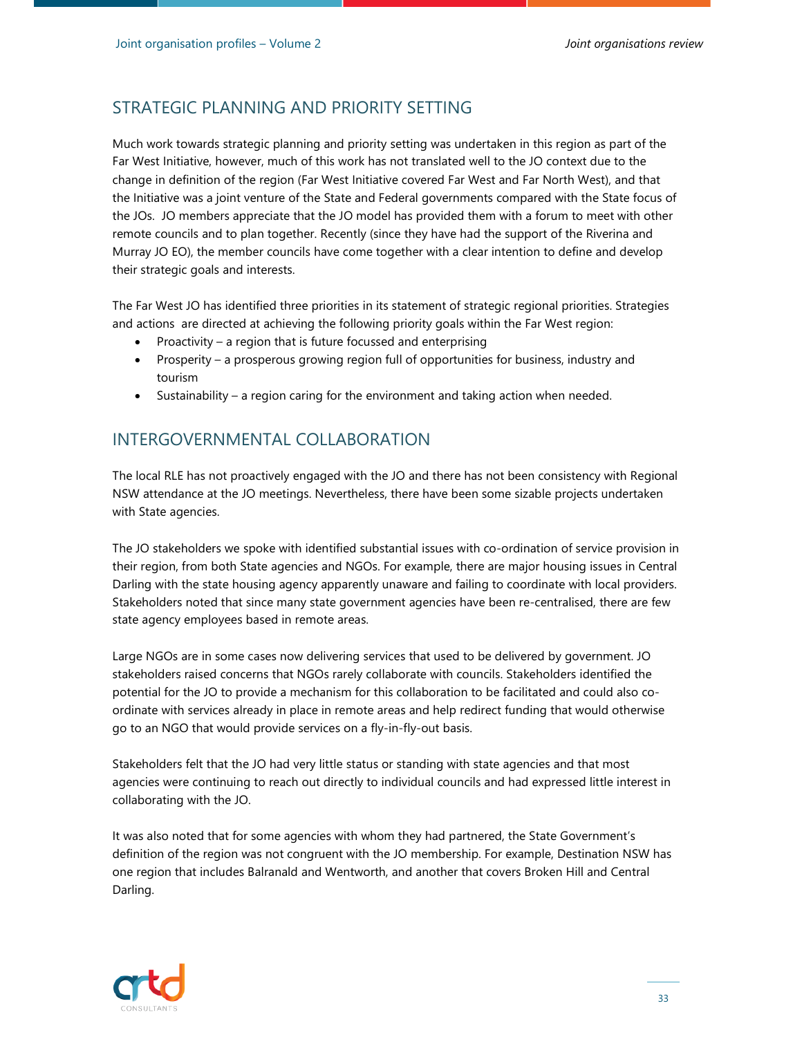### STRATEGIC PLANNING AND PRIORITY SETTING

Much work towards strategic planning and priority setting was undertaken in this region as part of the Far West Initiative, however, much of this work has not translated well to the JO context due to the change in definition of the region (Far West Initiative covered Far West and Far North West), and that the Initiative was a joint venture of the State and Federal governments compared with the State focus of the JOs. JO members appreciate that the JO model has provided them with a forum to meet with other remote councils and to plan together. Recently (since they have had the support of the Riverina and Murray JO EO), the member councils have come together with a clear intention to define and develop their strategic goals and interests.

The Far West JO has identified three priorities in its statement of strategic regional priorities. Strategies and actions are directed at achieving the following priority goals within the Far West region:

- Proactivity a region that is future focussed and enterprising
- Prosperity a prosperous growing region full of opportunities for business, industry and tourism
- Sustainability a region caring for the environment and taking action when needed.

## INTERGOVERNMENTAL COLLABORATION

The local RLE has not proactively engaged with the JO and there has not been consistency with Regional NSW attendance at the JO meetings. Nevertheless, there have been some sizable projects undertaken with State agencies.

The JO stakeholders we spoke with identified substantial issues with co-ordination of service provision in their region, from both State agencies and NGOs. For example, there are major housing issues in Central Darling with the state housing agency apparently unaware and failing to coordinate with local providers. Stakeholders noted that since many state government agencies have been re-centralised, there are few state agency employees based in remote areas.

Large NGOs are in some cases now delivering services that used to be delivered by government. JO stakeholders raised concerns that NGOs rarely collaborate with councils. Stakeholders identified the potential for the JO to provide a mechanism for this collaboration to be facilitated and could also coordinate with services already in place in remote areas and help redirect funding that would otherwise go to an NGO that would provide services on a fly-in-fly-out basis.

Stakeholders felt that the JO had very little status or standing with state agencies and that most agencies were continuing to reach out directly to individual councils and had expressed little interest in collaborating with the JO.

It was also noted that for some agencies with whom they had partnered, the State Government's definition of the region was not congruent with the JO membership. For example, Destination NSW has one region that includes Balranald and Wentworth, and another that covers Broken Hill and Central Darling.

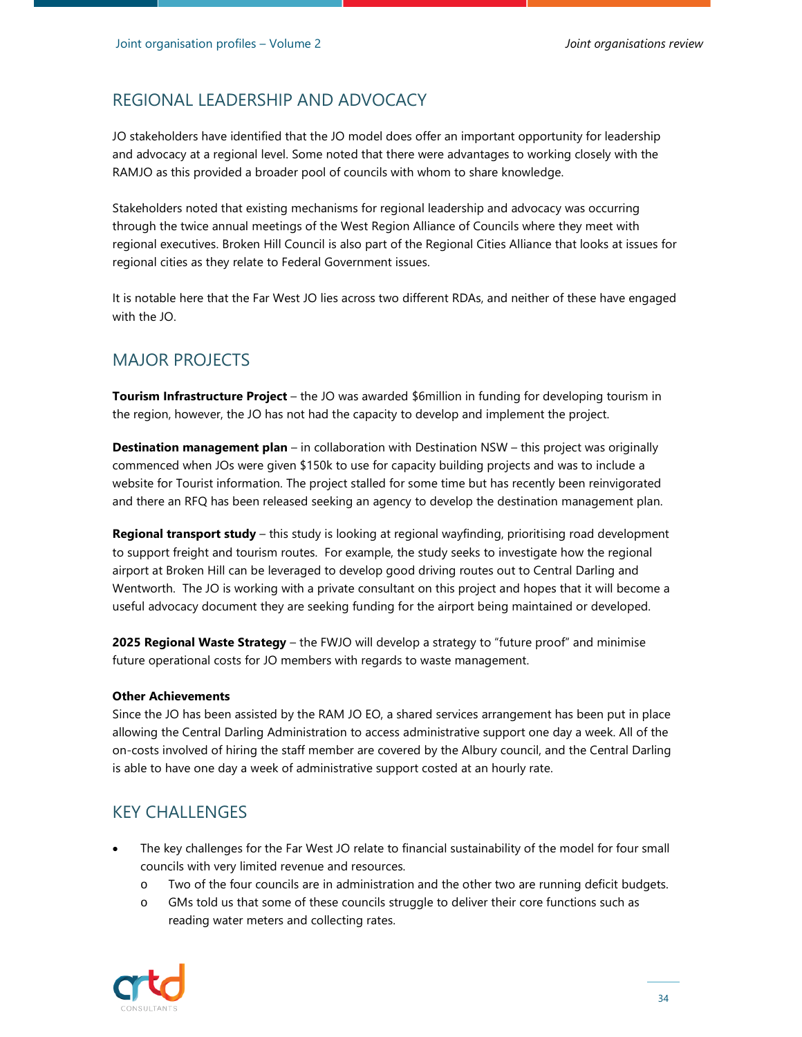### REGIONAL LEADERSHIP AND ADVOCACY

JO stakeholders have identified that the JO model does offer an important opportunity for leadership and advocacy at a regional level. Some noted that there were advantages to working closely with the RAMJO as this provided a broader pool of councils with whom to share knowledge.

Stakeholders noted that existing mechanisms for regional leadership and advocacy was occurring through the twice annual meetings of the West Region Alliance of Councils where they meet with regional executives. Broken Hill Council is also part of the Regional Cities Alliance that looks at issues for regional cities as they relate to Federal Government issues.

It is notable here that the Far West JO lies across two different RDAs, and neither of these have engaged with the JO.

#### MAJOR PROJECTS

**Tourism Infrastructure Project** – the JO was awarded \$6million in funding for developing tourism in the region, however, the JO has not had the capacity to develop and implement the project.

**Destination management plan** – in collaboration with Destination NSW – this project was originally commenced when JOs were given \$150k to use for capacity building projects and was to include a website for Tourist information. The project stalled for some time but has recently been reinvigorated and there an RFQ has been released seeking an agency to develop the destination management plan.

**Regional transport study** – this study is looking at regional wayfinding, prioritising road development to support freight and tourism routes. For example, the study seeks to investigate how the regional airport at Broken Hill can be leveraged to develop good driving routes out to Central Darling and Wentworth. The JO is working with a private consultant on this project and hopes that it will become a useful advocacy document they are seeking funding for the airport being maintained or developed.

**2025 Regional Waste Strategy** – the FWJO will develop a strategy to "future proof" and minimise future operational costs for JO members with regards to waste management.

#### **Other Achievements**

Since the JO has been assisted by the RAM JO EO, a shared services arrangement has been put in place allowing the Central Darling Administration to access administrative support one day a week. All of the on-costs involved of hiring the staff member are covered by the Albury council, and the Central Darling is able to have one day a week of administrative support costed at an hourly rate.

#### KEY CHALLENGES

- The key challenges for the Far West JO relate to financial sustainability of the model for four small councils with very limited revenue and resources.
	- o Two of the four councils are in administration and the other two are running deficit budgets.
	- o GMs told us that some of these councils struggle to deliver their core functions such as reading water meters and collecting rates.

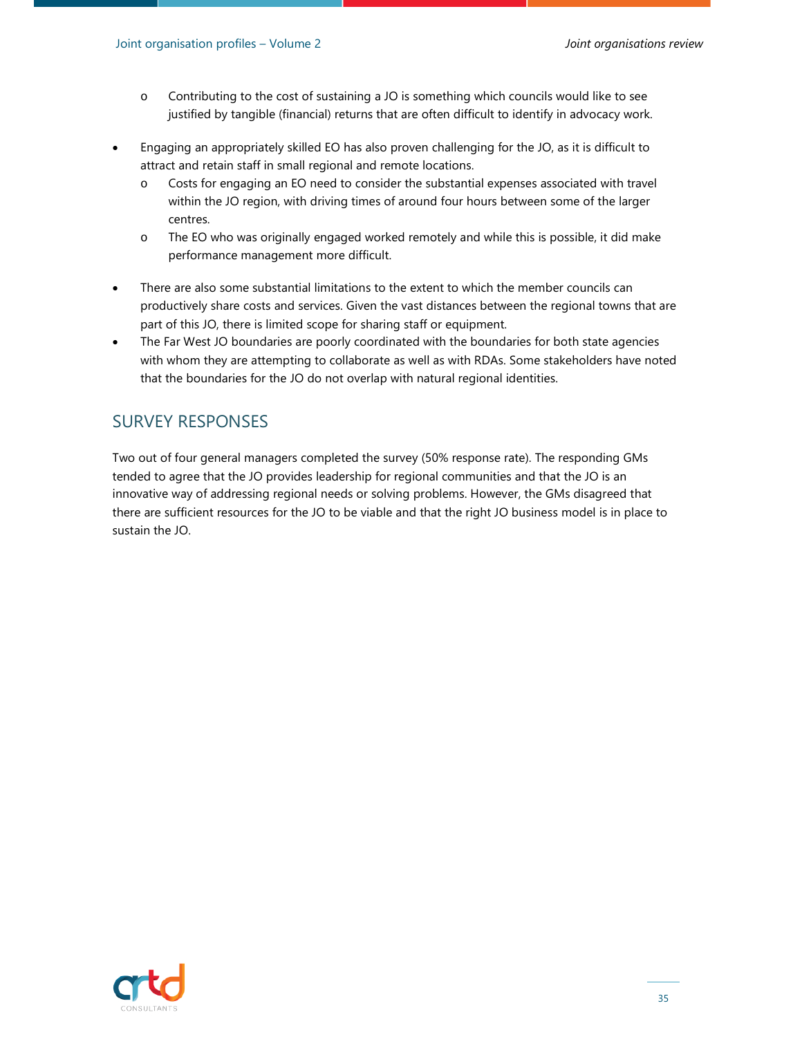- o Contributing to the cost of sustaining a JO is something which councils would like to see justified by tangible (financial) returns that are often difficult to identify in advocacy work.
- Engaging an appropriately skilled EO has also proven challenging for the JO, as it is difficult to attract and retain staff in small regional and remote locations.
	- o Costs for engaging an EO need to consider the substantial expenses associated with travel within the JO region, with driving times of around four hours between some of the larger centres.
	- o The EO who was originally engaged worked remotely and while this is possible, it did make performance management more difficult.
- There are also some substantial limitations to the extent to which the member councils can productively share costs and services. Given the vast distances between the regional towns that are part of this JO, there is limited scope for sharing staff or equipment.
- The Far West JO boundaries are poorly coordinated with the boundaries for both state agencies with whom they are attempting to collaborate as well as with RDAs. Some stakeholders have noted that the boundaries for the JO do not overlap with natural regional identities.

### SURVEY RESPONSES

Two out of four general managers completed the survey (50% response rate). The responding GMs tended to agree that the JO provides leadership for regional communities and that the JO is an innovative way of addressing regional needs or solving problems. However, the GMs disagreed that there are sufficient resources for the JO to be viable and that the right JO business model is in place to sustain the JO.

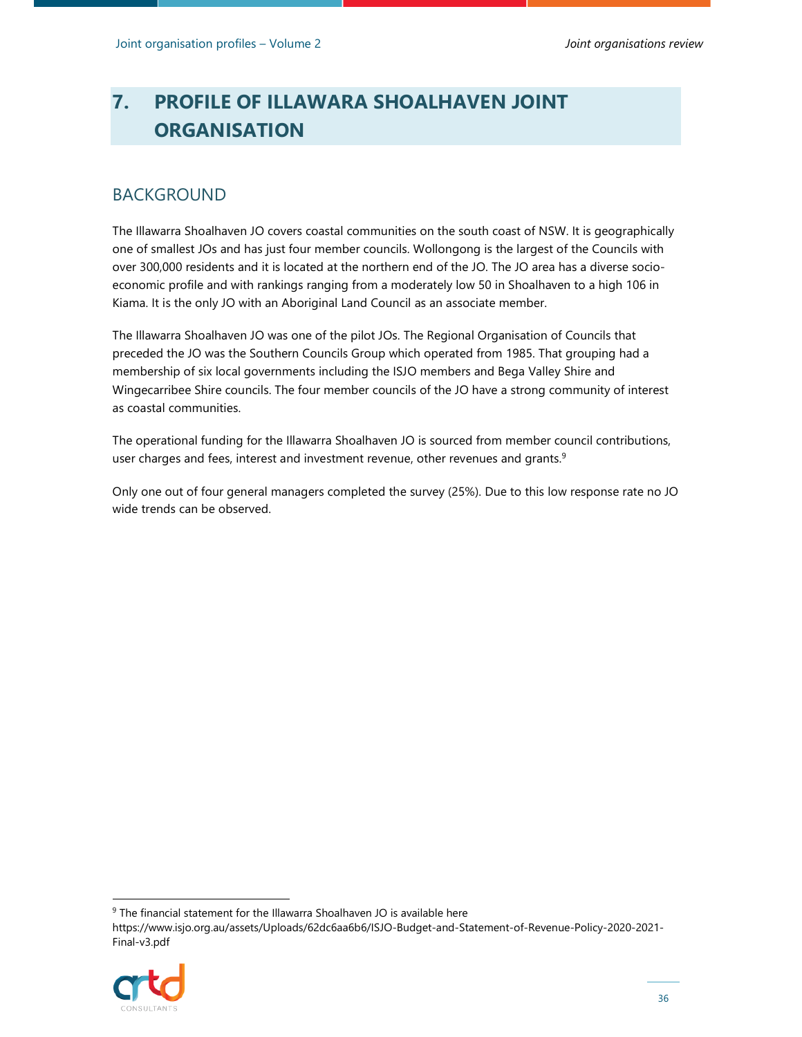# **7. PROFILE OF ILLAWARA SHOALHAVEN JOINT ORGANISATION**

## BACKGROUND

The Illawarra Shoalhaven JO covers coastal communities on the south coast of NSW. It is geographically one of smallest JOs and has just four member councils. Wollongong is the largest of the Councils with over 300,000 residents and it is located at the northern end of the JO. The JO area has a diverse socioeconomic profile and with rankings ranging from a moderately low 50 in Shoalhaven to a high 106 in Kiama. It is the only JO with an Aboriginal Land Council as an associate member.

The Illawarra Shoalhaven JO was one of the pilot JOs. The Regional Organisation of Councils that preceded the JO was the Southern Councils Group which operated from 1985. That grouping had a membership of six local governments including the ISJO members and Bega Valley Shire and Wingecarribee Shire councils. The four member councils of the JO have a strong community of interest as coastal communities.

The operational funding for the Illawarra Shoalhaven JO is sourced from member council contributions, user charges and fees, interest and investment revenue, other revenues and grants.<sup>9</sup>

Only one out of four general managers completed the survey (25%). Due to this low response rate no JO wide trends can be observed.

https://www.isjo.org.au/assets/Uploads/62dc6aa6b6/ISJO-Budget-and-Statement-of-Revenue-Policy-2020-2021- Final-v3.pdf



<sup>&</sup>lt;sup>9</sup> The financial statement for the Illawarra Shoalhaven JO is available here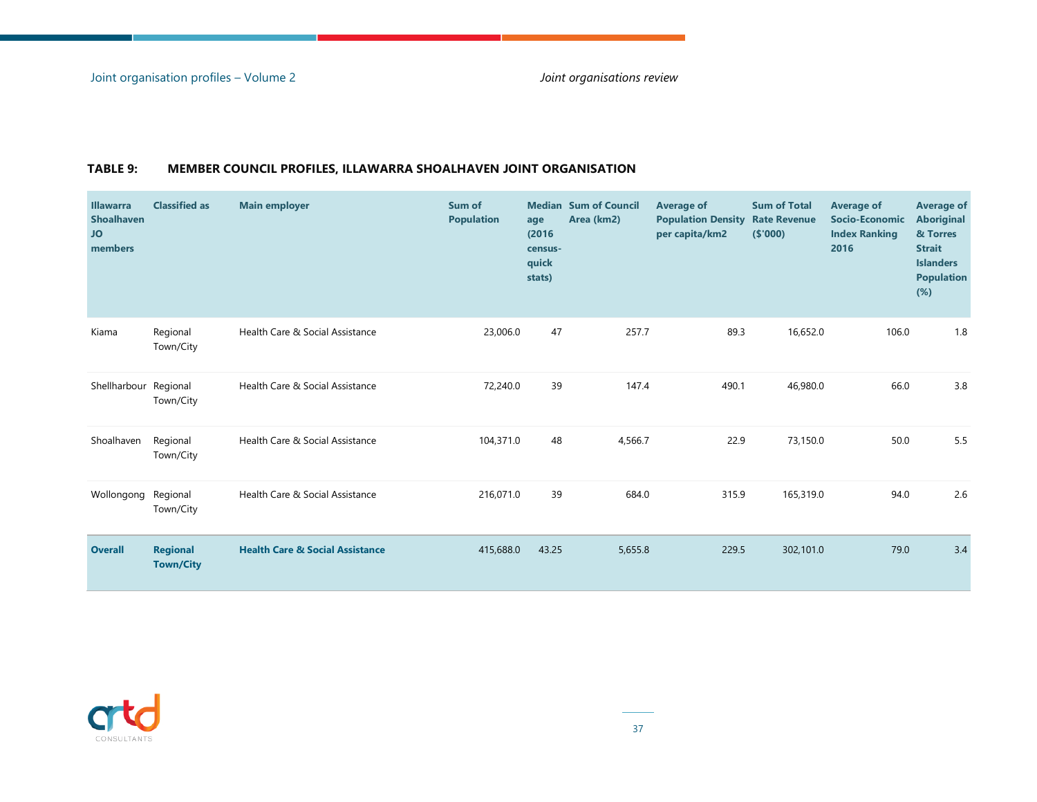| <b>Illawarra</b><br><b>Shoalhaven</b><br><b>JO</b><br>members | <b>Classified as</b>                | <b>Main employer</b>                       | Sum of<br><b>Population</b> | age<br>(2016)<br>census-<br>quick<br>stats) | <b>Median Sum of Council</b><br>Area (km2) | <b>Average of</b><br><b>Population Density</b><br>per capita/km2 | <b>Sum of Total</b><br><b>Rate Revenue</b><br>( \$'000) | Average of<br><b>Socio-Economic</b><br><b>Index Ranking</b><br>2016 | <b>Average of</b><br><b>Aboriginal</b><br>& Torres<br><b>Strait</b><br><b>Islanders</b><br><b>Population</b><br>$(\%)$ |
|---------------------------------------------------------------|-------------------------------------|--------------------------------------------|-----------------------------|---------------------------------------------|--------------------------------------------|------------------------------------------------------------------|---------------------------------------------------------|---------------------------------------------------------------------|------------------------------------------------------------------------------------------------------------------------|
| Kiama                                                         | Regional<br>Town/City               | Health Care & Social Assistance            | 23,006.0                    | 47                                          | 257.7                                      | 89.3                                                             | 16,652.0                                                | 106.0                                                               | 1.8                                                                                                                    |
| Shellharbour Regional                                         | Town/City                           | Health Care & Social Assistance            | 72,240.0                    | 39                                          | 147.4                                      | 490.1                                                            | 46,980.0                                                | 66.0                                                                | 3.8                                                                                                                    |
| Shoalhaven                                                    | Regional<br>Town/City               | Health Care & Social Assistance            | 104,371.0                   | 48                                          | 4,566.7                                    | 22.9                                                             | 73,150.0                                                | 50.0                                                                | 5.5                                                                                                                    |
| Wollongong Regional                                           | Town/City                           | Health Care & Social Assistance            | 216,071.0                   | 39                                          | 684.0                                      | 315.9                                                            | 165,319.0                                               | 94.0                                                                | 2.6                                                                                                                    |
| <b>Overall</b>                                                | <b>Regional</b><br><b>Town/City</b> | <b>Health Care &amp; Social Assistance</b> | 415,688.0                   | 43.25                                       | 5,655.8                                    | 229.5                                                            | 302,101.0                                               | 79.0                                                                | 3.4                                                                                                                    |

**COL** 

#### **TABLE 9: MEMBER COUNCIL PROFILES, ILLAWARRA SHOALHAVEN JOINT ORGANISATION**

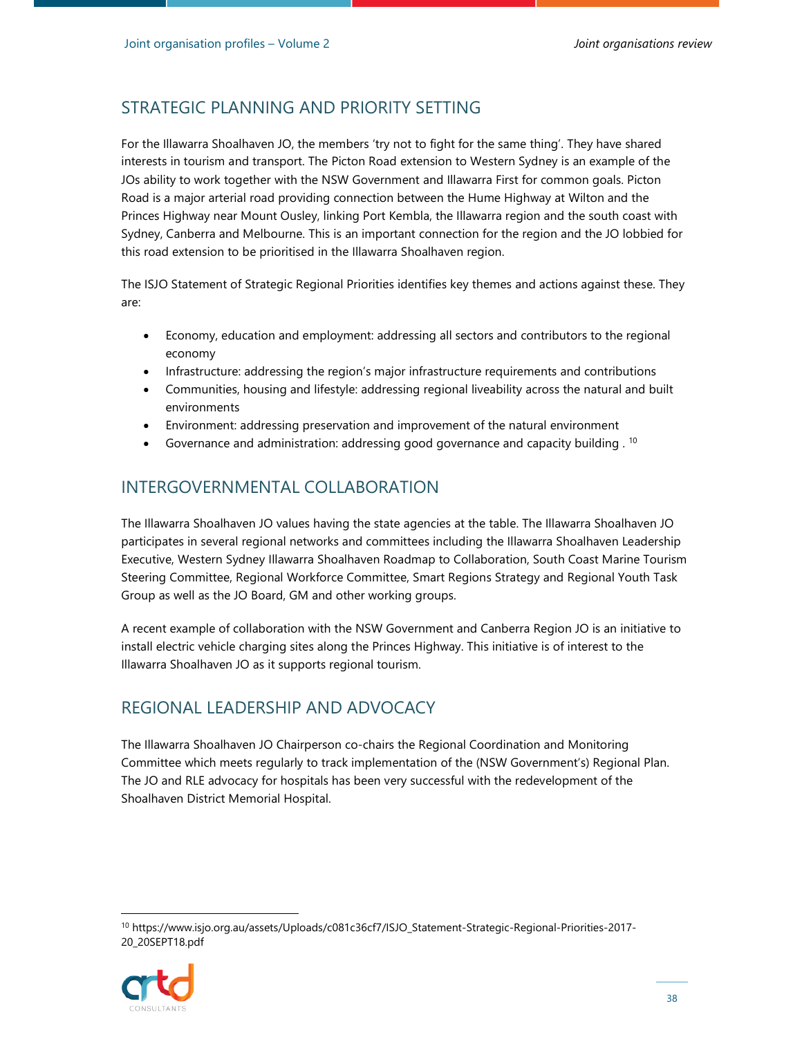For the Illawarra Shoalhaven JO, the members 'try not to fight for the same thing'. They have shared interests in tourism and transport. The Picton Road extension to Western Sydney is an example of the JOs ability to work together with the NSW Government and Illawarra First for common goals. Picton Road is a major arterial road providing connection between the Hume Highway at Wilton and the Princes Highway near Mount Ousley, linking Port Kembla, the Illawarra region and the south coast with Sydney, Canberra and Melbourne. This is an important connection for the region and the JO lobbied for this road extension to be prioritised in the Illawarra Shoalhaven region.

The ISJO Statement of Strategic Regional Priorities identifies key themes and actions against these. They are:

- Economy, education and employment: addressing all sectors and contributors to the regional economy
- Infrastructure: addressing the region's major infrastructure requirements and contributions
- Communities, housing and lifestyle: addressing regional liveability across the natural and built environments
- Environment: addressing preservation and improvement of the natural environment
- Governance and administration: addressing good governance and capacity building .  $^{10}$

#### INTERGOVERNMENTAL COLLABORATION

The Illawarra Shoalhaven JO values having the state agencies at the table. The Illawarra Shoalhaven JO participates in several regional networks and committees including the Illawarra Shoalhaven Leadership Executive, Western Sydney Illawarra Shoalhaven Roadmap to Collaboration, South Coast Marine Tourism Steering Committee, Regional Workforce Committee, Smart Regions Strategy and Regional Youth Task Group as well as the JO Board, GM and other working groups.

A recent example of collaboration with the NSW Government and Canberra Region JO is an initiative to install electric vehicle charging sites along the Princes Highway. This initiative is of interest to the Illawarra Shoalhaven JO as it supports regional tourism.

#### REGIONAL LEADERSHIP AND ADVOCACY

The Illawarra Shoalhaven JO Chairperson co-chairs the Regional Coordination and Monitoring Committee which meets regularly to track implementation of the (NSW Government's) Regional Plan. The JO and RLE advocacy for hospitals has been very successful with the redevelopment of the Shoalhaven District Memorial Hospital.

<sup>10</sup> https://www.isjo.org.au/assets/Uploads/c081c36cf7/ISJO\_Statement-Strategic-Regional-Priorities-2017- 20\_20SEPT18.pdf

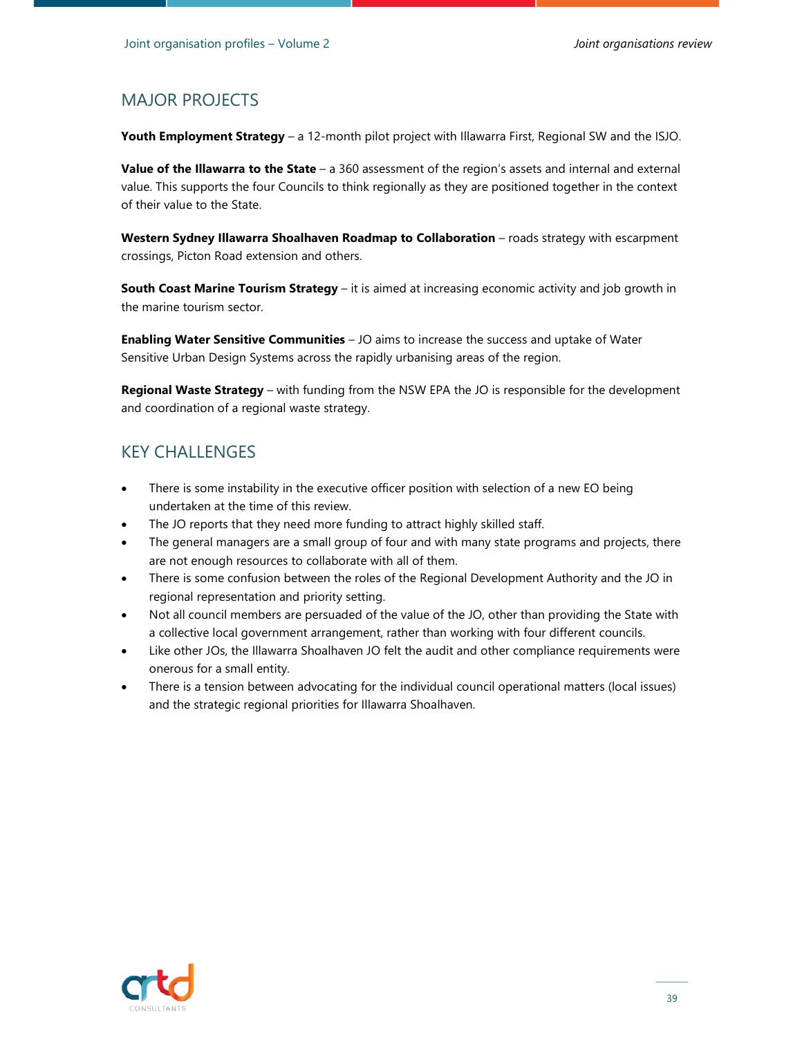### MAJOR PROJECTS

**Youth Employment Strategy** – a 12-month pilot project with Illawarra First, Regional SW and the ISJO.

**Value of the Illawarra to the State** – a 360 assessment of the region's assets and internal and external value. This supports the four Councils to think regionally as they are positioned together in the context of their value to the State.

**Western Sydney Illawarra Shoalhaven Roadmap to Collaboration** – roads strategy with escarpment crossings, Picton Road extension and others.

**South Coast Marine Tourism Strategy** – it is aimed at increasing economic activity and job growth in the marine tourism sector.

**Enabling Water Sensitive Communities** – JO aims to increase the success and uptake of Water Sensitive Urban Design Systems across the rapidly urbanising areas of the region.

**Regional Waste Strategy** – with funding from the NSW EPA the JO is responsible for the development and coordination of a regional waste strategy.

### KEY CHALLENGES

- There is some instability in the executive officer position with selection of a new EO being undertaken at the time of this review.
- The JO reports that they need more funding to attract highly skilled staff.
- The general managers are a small group of four and with many state programs and projects, there are not enough resources to collaborate with all of them.
- There is some confusion between the roles of the Regional Development Authority and the JO in regional representation and priority setting.
- Not all council members are persuaded of the value of the JO, other than providing the State with a collective local government arrangement, rather than working with four different councils.
- Like other JOs, the Illawarra Shoalhaven JO felt the audit and other compliance requirements were onerous for a small entity.
- There is a tension between advocating for the individual council operational matters (local issues) and the strategic regional priorities for Illawarra Shoalhaven.

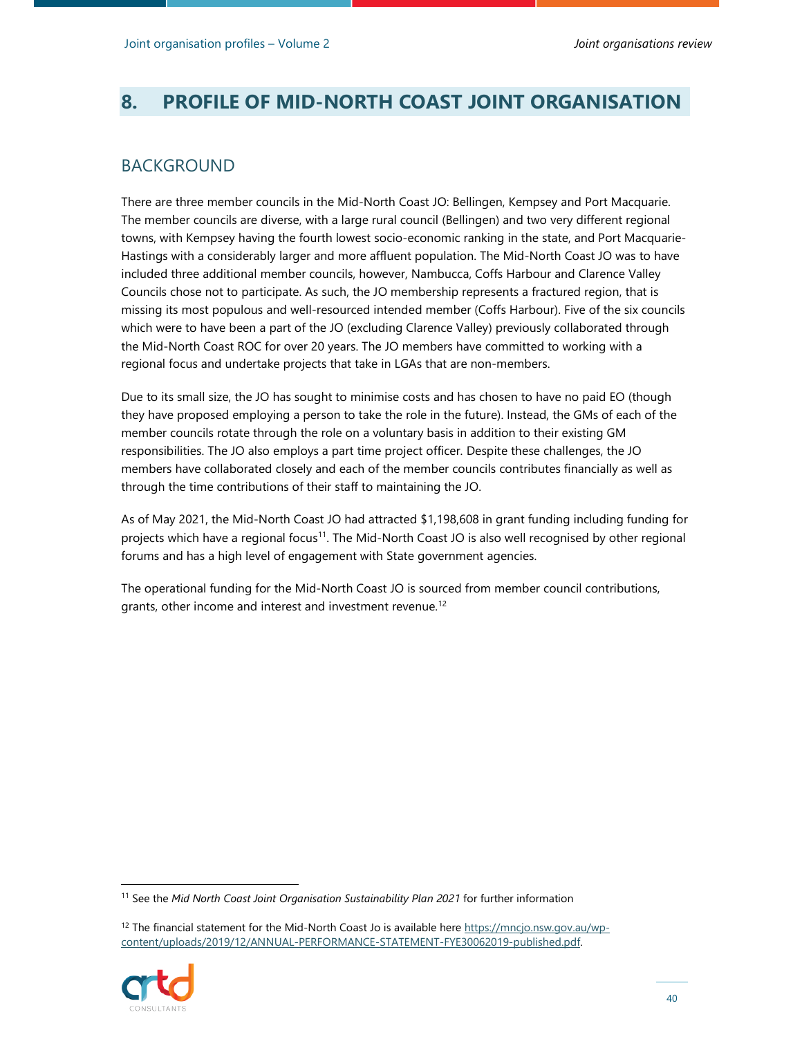# **8. PROFILE OF MID-NORTH COAST JOINT ORGANISATION**

#### BACKGROUND

There are three member councils in the Mid-North Coast JO: Bellingen, Kempsey and Port Macquarie. The member councils are diverse, with a large rural council (Bellingen) and two very different regional towns, with Kempsey having the fourth lowest socio-economic ranking in the state, and Port Macquarie-Hastings with a considerably larger and more affluent population. The Mid-North Coast JO was to have included three additional member councils, however, Nambucca, Coffs Harbour and Clarence Valley Councils chose not to participate. As such, the JO membership represents a fractured region, that is missing its most populous and well-resourced intended member (Coffs Harbour). Five of the six councils which were to have been a part of the JO (excluding Clarence Valley) previously collaborated through the Mid-North Coast ROC for over 20 years. The JO members have committed to working with a regional focus and undertake projects that take in LGAs that are non-members.

Due to its small size, the JO has sought to minimise costs and has chosen to have no paid EO (though they have proposed employing a person to take the role in the future). Instead, the GMs of each of the member councils rotate through the role on a voluntary basis in addition to their existing GM responsibilities. The JO also employs a part time project officer. Despite these challenges, the JO members have collaborated closely and each of the member councils contributes financially as well as through the time contributions of their staff to maintaining the JO.

As of May 2021, the Mid-North Coast JO had attracted \$1,198,608 in grant funding including funding for projects which have a regional focus<sup>11</sup>. The Mid-North Coast JO is also well recognised by other regional forums and has a high level of engagement with State government agencies.

The operational funding for the Mid-North Coast JO is sourced from member council contributions, grants, other income and interest and investment revenue.<sup>12</sup>

<sup>&</sup>lt;sup>12</sup> The financial statement for the Mid-North Coast Jo is available here https://mncjo.nsw.gov.au/wpcontent/uploads/2019/12/ANNUAL-PERFORMANCE-STATEMENT-FYE30062019-published.pdf.



<sup>11</sup> See the *Mid North Coast Joint Organisation Sustainability Plan 2021* for further information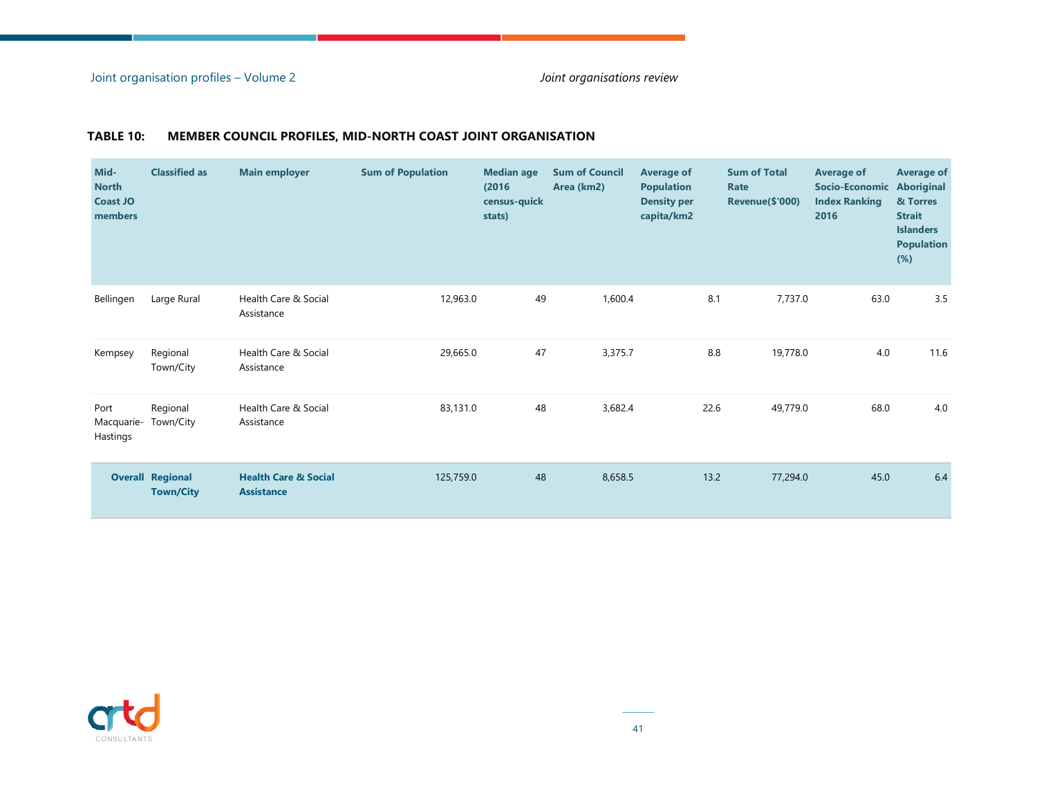#### Joint organisation profiles – Volume 2 *Joint organisations review*

| Mid-<br><b>North</b><br><b>Coast JO</b><br>members | <b>Classified as</b>                        | <b>Main employer</b>                                 | <b>Sum of Population</b> | <b>Median age</b><br>(2016)<br>census-quick<br>stats) | <b>Sum of Council</b><br>Area (km2) | <b>Average of</b><br><b>Population</b><br><b>Density per</b><br>capita/km2 | <b>Sum of Total</b><br>Rate<br>Revenue(\$'000) | Average of<br>Socio-Economic<br><b>Index Ranking</b><br>2016 | <b>Average of</b><br>Aboriginal<br>& Torres<br><b>Strait</b><br><b>Islanders</b><br><b>Population</b><br>$(\%)$ |
|----------------------------------------------------|---------------------------------------------|------------------------------------------------------|--------------------------|-------------------------------------------------------|-------------------------------------|----------------------------------------------------------------------------|------------------------------------------------|--------------------------------------------------------------|-----------------------------------------------------------------------------------------------------------------|
| Bellingen                                          | Large Rural                                 | Health Care & Social<br>Assistance                   | 12,963.0                 | 49                                                    | 1,600.4                             | 8.1                                                                        | 7,737.0                                        | 63.0                                                         | 3.5                                                                                                             |
| Kempsey                                            | Regional<br>Town/City                       | Health Care & Social<br>Assistance                   | 29,665.0                 | 47                                                    | 3,375.7                             | 8.8                                                                        | 19,778.0                                       | 4.0                                                          | 11.6                                                                                                            |
| Port<br>Macquarie-<br>Hastings                     | Regional<br>Town/City                       | Health Care & Social<br>Assistance                   | 83,131.0                 | 48                                                    | 3,682.4                             | 22.6                                                                       | 49,779.0                                       | 68.0                                                         | 4.0                                                                                                             |
|                                                    | <b>Overall Regional</b><br><b>Town/City</b> | <b>Health Care &amp; Social</b><br><b>Assistance</b> | 125,759.0                | 48                                                    | 8,658.5                             | 13.2                                                                       | 77,294.0                                       | 45.0                                                         | 6.4                                                                                                             |

#### **TABLE 10: MEMBER COUNCIL PROFILES, MID-NORTH COAST JOINT ORGANISATION**

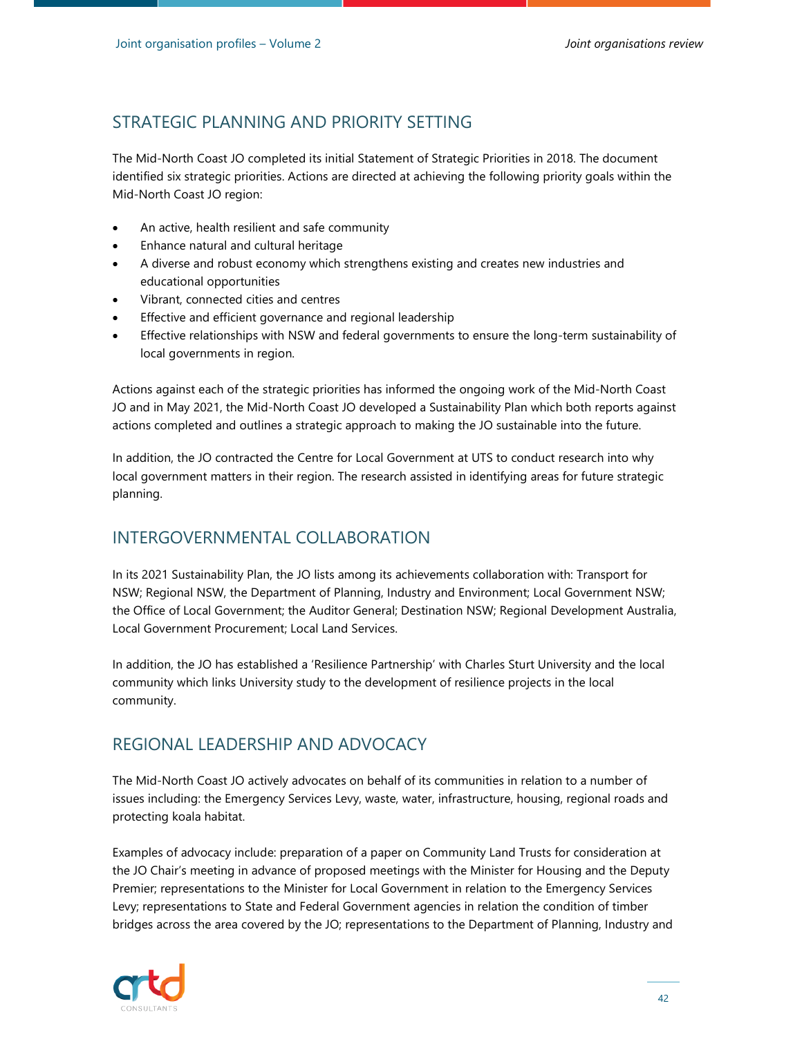The Mid-North Coast JO completed its initial Statement of Strategic Priorities in 2018. The document identified six strategic priorities. Actions are directed at achieving the following priority goals within the Mid-North Coast JO region:

- An active, health resilient and safe community
- Enhance natural and cultural heritage
- A diverse and robust economy which strengthens existing and creates new industries and educational opportunities
- Vibrant, connected cities and centres
- Effective and efficient governance and regional leadership
- Effective relationships with NSW and federal governments to ensure the long-term sustainability of local governments in region.

Actions against each of the strategic priorities has informed the ongoing work of the Mid-North Coast JO and in May 2021, the Mid-North Coast JO developed a Sustainability Plan which both reports against actions completed and outlines a strategic approach to making the JO sustainable into the future.

In addition, the JO contracted the Centre for Local Government at UTS to conduct research into why local government matters in their region. The research assisted in identifying areas for future strategic planning.

# INTERGOVERNMENTAL COLLABORATION

In its 2021 Sustainability Plan, the JO lists among its achievements collaboration with: Transport for NSW; Regional NSW, the Department of Planning, Industry and Environment; Local Government NSW; the Office of Local Government; the Auditor General; Destination NSW; Regional Development Australia, Local Government Procurement; Local Land Services.

In addition, the JO has established a 'Resilience Partnership' with Charles Sturt University and the local community which links University study to the development of resilience projects in the local community.

# REGIONAL LEADERSHIP AND ADVOCACY

The Mid-North Coast JO actively advocates on behalf of its communities in relation to a number of issues including: the Emergency Services Levy, waste, water, infrastructure, housing, regional roads and protecting koala habitat.

Examples of advocacy include: preparation of a paper on Community Land Trusts for consideration at the JO Chair's meeting in advance of proposed meetings with the Minister for Housing and the Deputy Premier; representations to the Minister for Local Government in relation to the Emergency Services Levy; representations to State and Federal Government agencies in relation the condition of timber bridges across the area covered by the JO; representations to the Department of Planning, Industry and

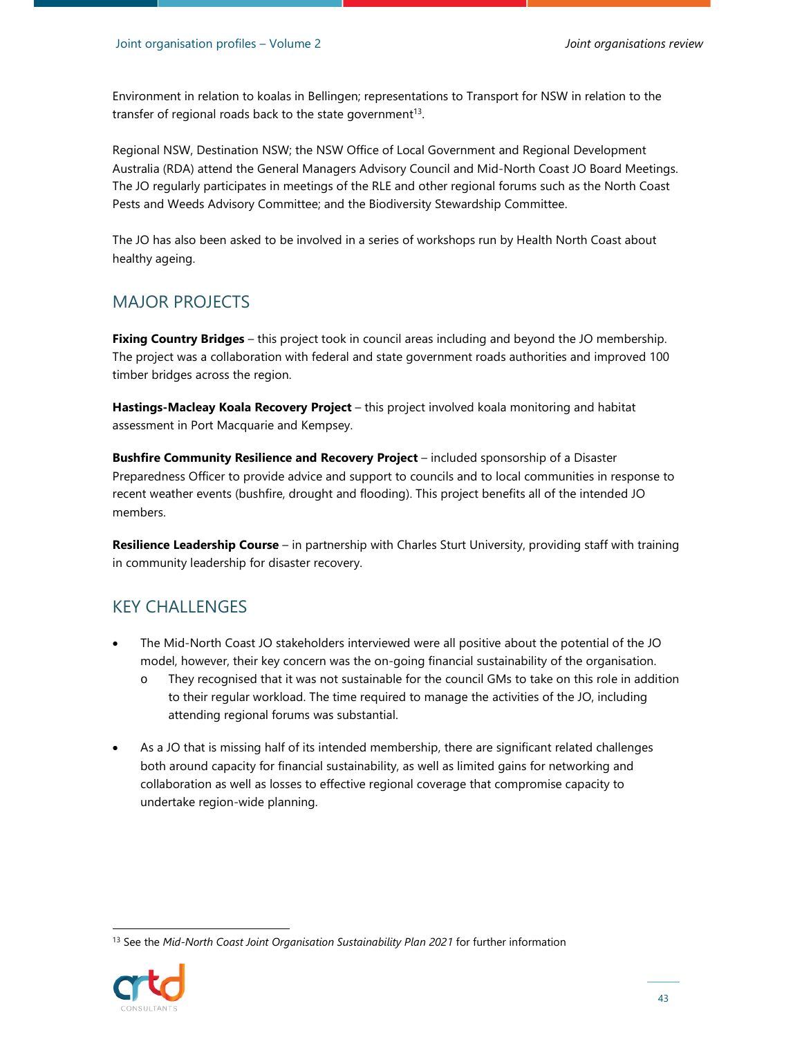Environment in relation to koalas in Bellingen; representations to Transport for NSW in relation to the transfer of regional roads back to the state government<sup>13</sup>.

Regional NSW, Destination NSW; the NSW Office of Local Government and Regional Development Australia (RDA) attend the General Managers Advisory Council and Mid-North Coast JO Board Meetings. The JO regularly participates in meetings of the RLE and other regional forums such as the North Coast Pests and Weeds Advisory Committee; and the Biodiversity Stewardship Committee.

The JO has also been asked to be involved in a series of workshops run by Health North Coast about healthy ageing.

#### MAJOR PROJECTS

**Fixing Country Bridges** – this project took in council areas including and beyond the JO membership. The project was a collaboration with federal and state government roads authorities and improved 100 timber bridges across the region.

**Hastings-Macleay Koala Recovery Project** – this project involved koala monitoring and habitat assessment in Port Macquarie and Kempsey.

**Bushfire Community Resilience and Recovery Project** – included sponsorship of a Disaster Preparedness Officer to provide advice and support to councils and to local communities in response to recent weather events (bushfire, drought and flooding). This project benefits all of the intended JO members.

**Resilience Leadership Course** – in partnership with Charles Sturt University, providing staff with training in community leadership for disaster recovery.

#### KEY CHALLENGES

- The Mid-North Coast JO stakeholders interviewed were all positive about the potential of the JO model, however, their key concern was the on-going financial sustainability of the organisation.
	- o They recognised that it was not sustainable for the council GMs to take on this role in addition to their regular workload. The time required to manage the activities of the JO, including attending regional forums was substantial.
- As a JO that is missing half of its intended membership, there are significant related challenges both around capacity for financial sustainability, as well as limited gains for networking and collaboration as well as losses to effective regional coverage that compromise capacity to undertake region-wide planning.

<sup>&</sup>lt;sup>13</sup> See the Mid-North Coast Joint Organisation Sustainability Plan 2021 for further information

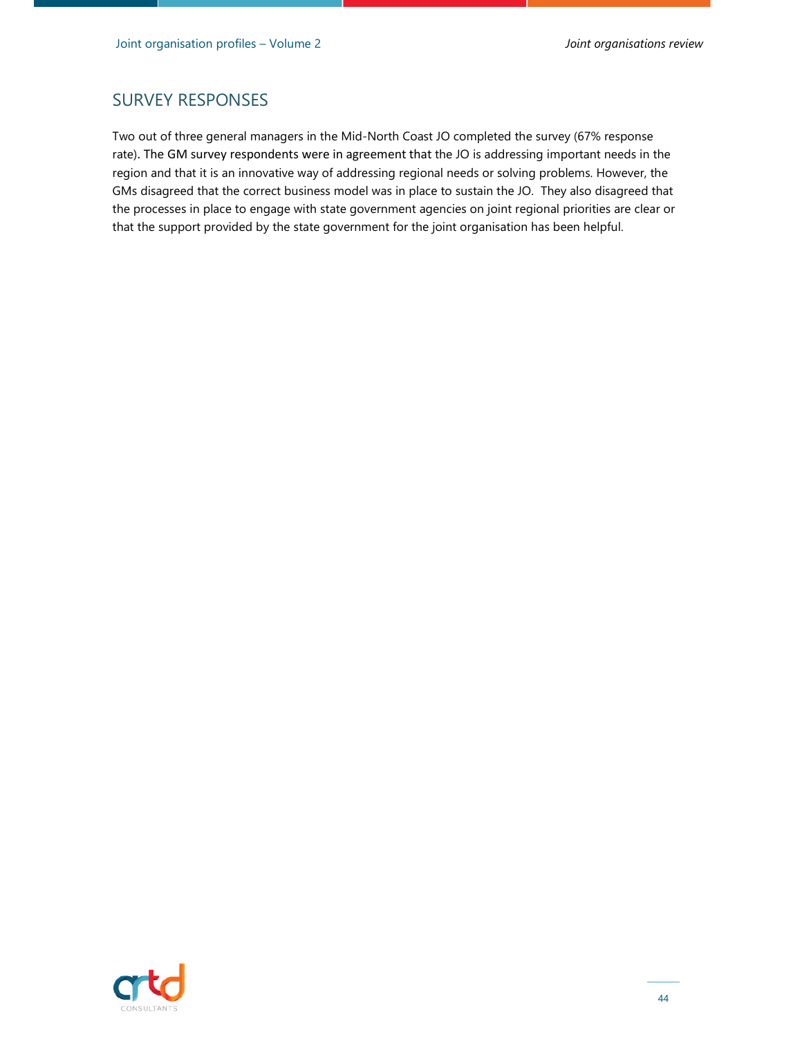### SURVEY RESPONSES

Two out of three general managers in the Mid-North Coast JO completed the survey (67% response rate). The GM survey respondents were in agreement that the JO is addressing important needs in the region and that it is an innovative way of addressing regional needs or solving problems. However, the GMs disagreed that the correct business model was in place to sustain the JO. They also disagreed that the processes in place to engage with state government agencies on joint regional priorities are clear or that the support provided by the state government for the joint organisation has been helpful.

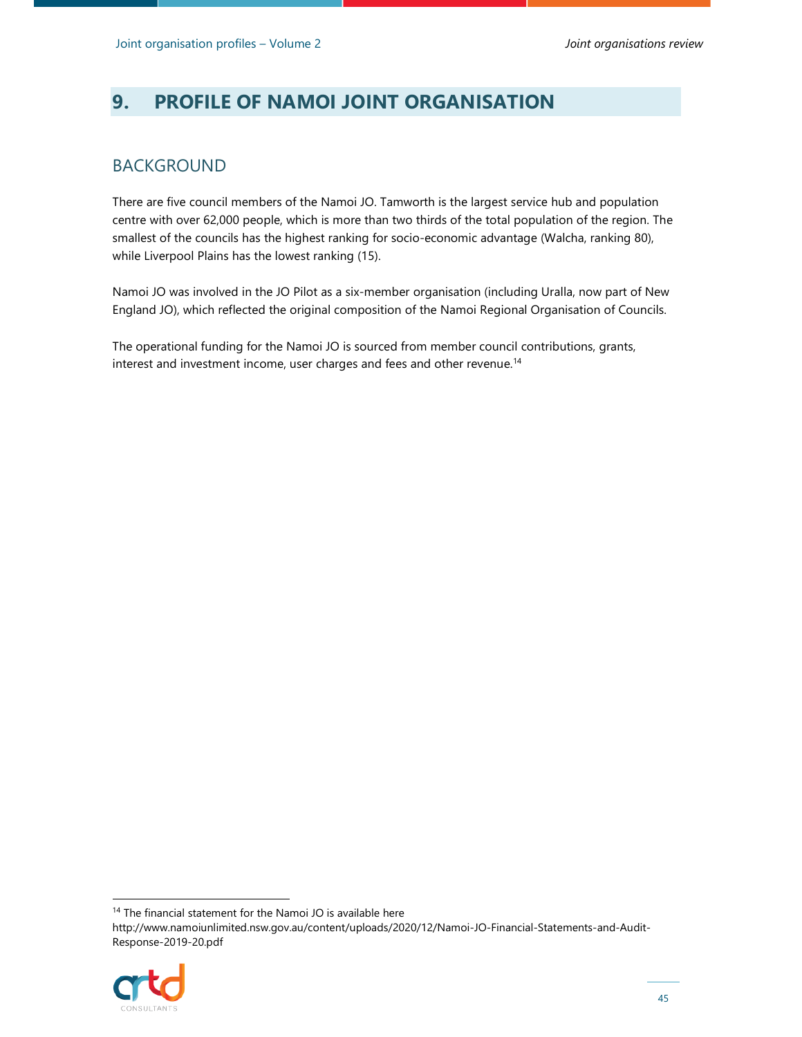# **9. PROFILE OF NAMOI JOINT ORGANISATION**

#### BACKGROUND

There are five council members of the Namoi JO. Tamworth is the largest service hub and population centre with over 62,000 people, which is more than two thirds of the total population of the region. The smallest of the councils has the highest ranking for socio-economic advantage (Walcha, ranking 80), while Liverpool Plains has the lowest ranking (15).

Namoi JO was involved in the JO Pilot as a six-member organisation (including Uralla, now part of New England JO), which reflected the original composition of the Namoi Regional Organisation of Councils.

The operational funding for the Namoi JO is sourced from member council contributions, grants, interest and investment income, user charges and fees and other revenue.<sup>14</sup>

<sup>&</sup>lt;sup>14</sup> The financial statement for the Namoi JO is available here http://www.namoiunlimited.nsw.gov.au/content/uploads/2020/12/Namoi-JO-Financial-Statements-and-Audit-Response-2019-20.pdf

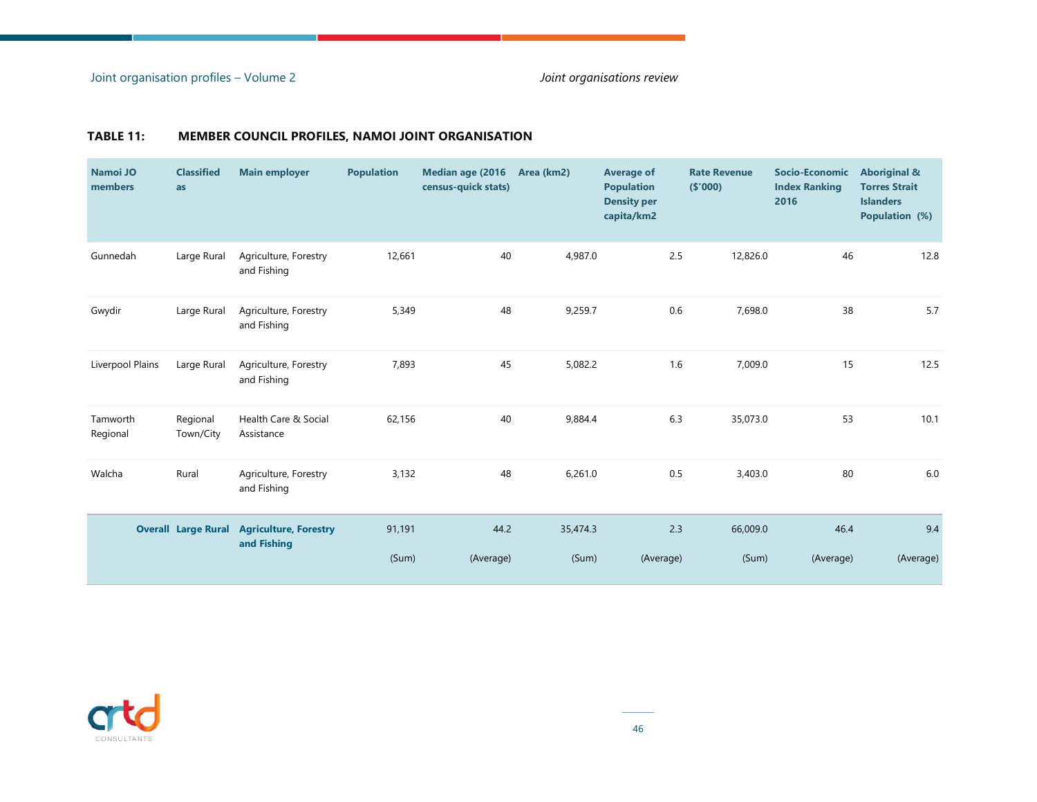| Namoi JO<br>members  | <b>Classified</b><br>as | <b>Main employer</b>                                            | <b>Population</b> | Median age (2016<br>census-quick stats) | Area (km2) | <b>Average of</b><br><b>Population</b><br><b>Density per</b><br>capita/km2 | <b>Rate Revenue</b><br>(\$000) | Socio-Economic<br><b>Index Ranking</b><br>2016 | <b>Aboriginal &amp;</b><br><b>Torres Strait</b><br><b>Islanders</b><br>Population (%) |
|----------------------|-------------------------|-----------------------------------------------------------------|-------------------|-----------------------------------------|------------|----------------------------------------------------------------------------|--------------------------------|------------------------------------------------|---------------------------------------------------------------------------------------|
| Gunnedah             | Large Rural             | Agriculture, Forestry<br>and Fishing                            | 12,661            | 40                                      | 4,987.0    | 2.5                                                                        | 12,826.0                       | 46                                             | 12.8                                                                                  |
| Gwydir               | Large Rural             | Agriculture, Forestry<br>and Fishing                            | 5,349             | 48                                      | 9,259.7    | 0.6                                                                        | 7,698.0                        | 38                                             | 5.7                                                                                   |
| Liverpool Plains     | Large Rural             | Agriculture, Forestry<br>and Fishing                            | 7,893             | 45                                      | 5,082.2    | 1.6                                                                        | 7,009.0                        | 15                                             | 12.5                                                                                  |
| Tamworth<br>Regional | Regional<br>Town/City   | Health Care & Social<br>Assistance                              | 62,156            | 40                                      | 9,884.4    | 6.3                                                                        | 35,073.0                       | 53                                             | 10.1                                                                                  |
| Walcha               | Rural                   | Agriculture, Forestry<br>and Fishing                            | 3,132             | 48                                      | 6,261.0    | 0.5                                                                        | 3,403.0                        | 80                                             | $6.0$                                                                                 |
|                      |                         | <b>Overall Large Rural Agriculture, Forestry</b><br>and Fishing | 91,191            | 44.2                                    | 35,474.3   | 2.3                                                                        | 66,009.0                       | 46.4                                           | 9.4                                                                                   |
|                      |                         |                                                                 | (Sum)             | (Average)                               | (Sum)      | (Average)                                                                  | (Sum)                          | (Average)                                      | (Average)                                                                             |

#### **TABLE 11: MEMBER COUNCIL PROFILES, NAMOI JOINT ORGANISATION**

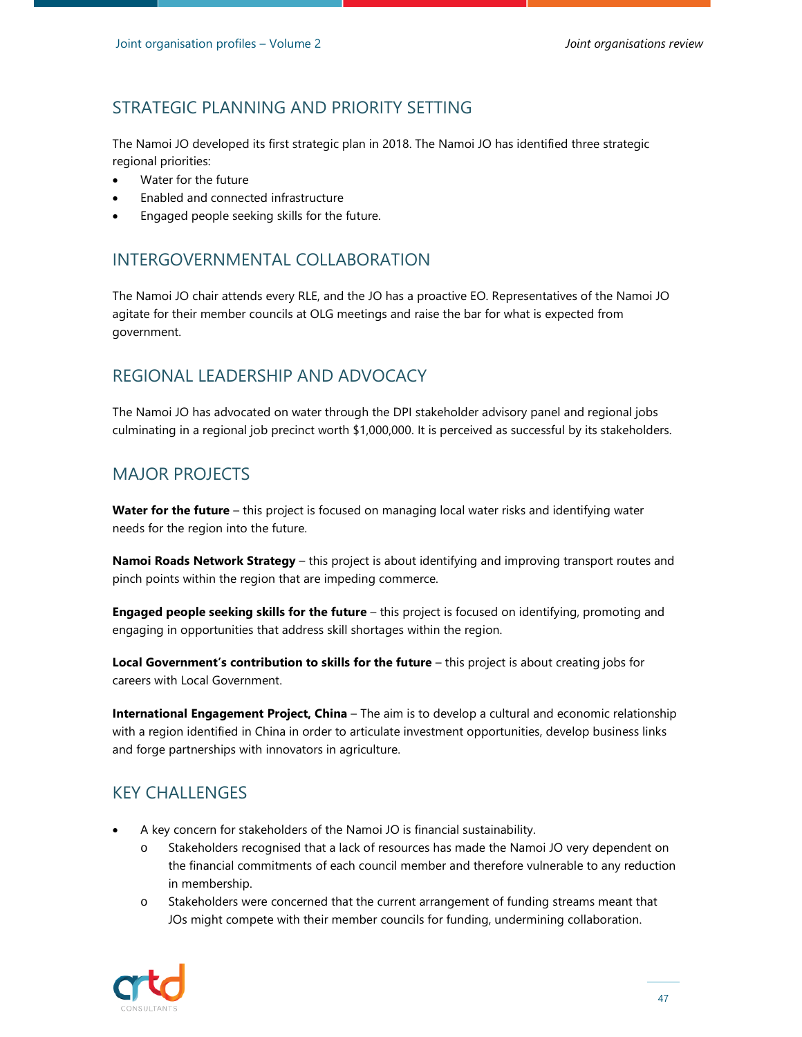The Namoi JO developed its first strategic plan in 2018. The Namoi JO has identified three strategic regional priorities:

- Water for the future
- Enabled and connected infrastructure
- Engaged people seeking skills for the future.

# INTERGOVERNMENTAL COLLABORATION

The Namoi JO chair attends every RLE, and the JO has a proactive EO. Representatives of the Namoi JO agitate for their member councils at OLG meetings and raise the bar for what is expected from government.

# REGIONAL LEADERSHIP AND ADVOCACY

The Namoi JO has advocated on water through the DPI stakeholder advisory panel and regional jobs culminating in a regional job precinct worth \$1,000,000. It is perceived as successful by its stakeholders.

# MAJOR PROJECTS

**Water for the future** – this project is focused on managing local water risks and identifying water needs for the region into the future.

**Namoi Roads Network Strategy** – this project is about identifying and improving transport routes and pinch points within the region that are impeding commerce.

**Engaged people seeking skills for the future** - this project is focused on identifying, promoting and engaging in opportunities that address skill shortages within the region.

**Local Government's contribution to skills for the future** – this project is about creating jobs for careers with Local Government.

**International Engagement Project, China** – The aim is to develop a cultural and economic relationship with a region identified in China in order to articulate investment opportunities, develop business links and forge partnerships with innovators in agriculture.

# KEY CHALLENGES

- A key concern for stakeholders of the Namoi JO is financial sustainability.
	- o Stakeholders recognised that a lack of resources has made the Namoi JO very dependent on the financial commitments of each council member and therefore vulnerable to any reduction in membership.
	- o Stakeholders were concerned that the current arrangement of funding streams meant that JOs might compete with their member councils for funding, undermining collaboration.

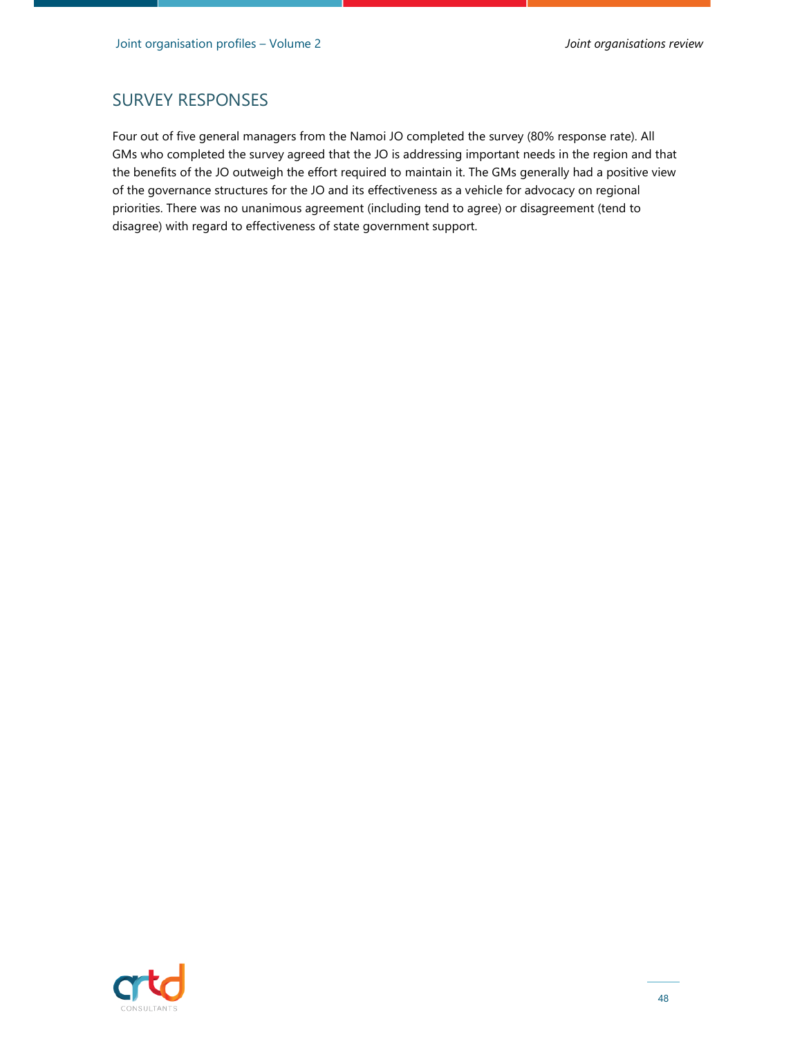#### SURVEY RESPONSES

Four out of five general managers from the Namoi JO completed the survey (80% response rate). All GMs who completed the survey agreed that the JO is addressing important needs in the region and that the benefits of the JO outweigh the effort required to maintain it. The GMs generally had a positive view of the governance structures for the JO and its effectiveness as a vehicle for advocacy on regional priorities. There was no unanimous agreement (including tend to agree) or disagreement (tend to disagree) with regard to effectiveness of state government support.

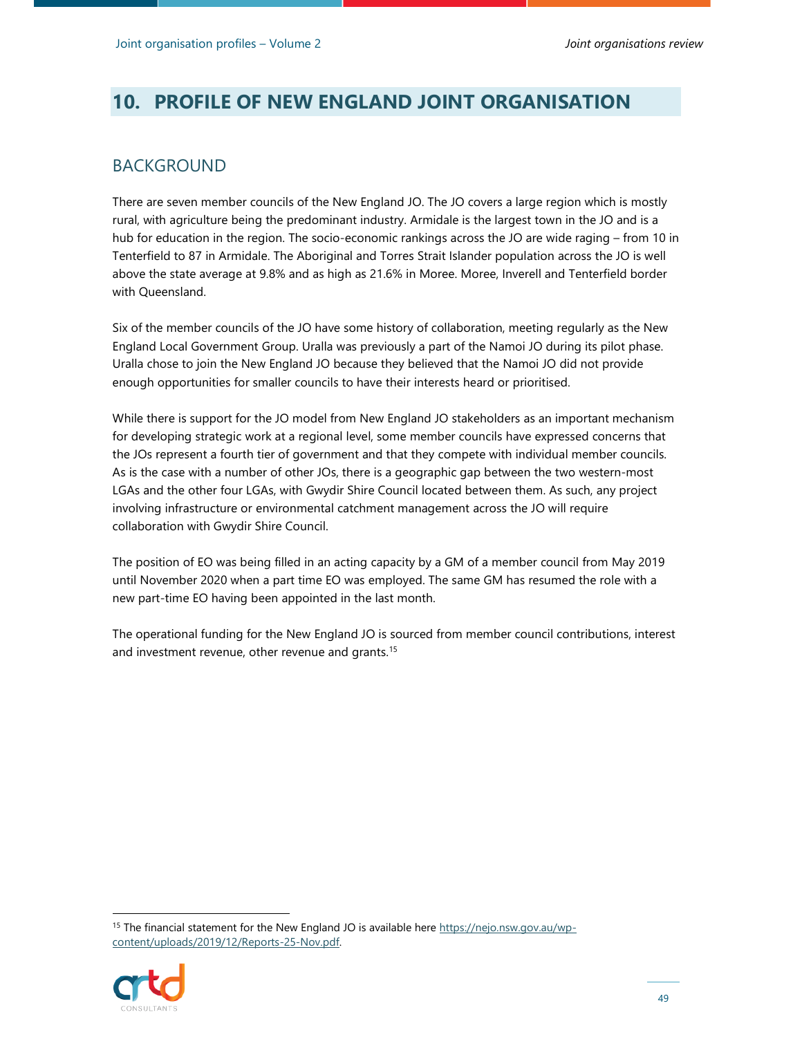# **10. PROFILE OF NEW ENGLAND JOINT ORGANISATION**

#### BACKGROUND

There are seven member councils of the New England JO. The JO covers a large region which is mostly rural, with agriculture being the predominant industry. Armidale is the largest town in the JO and is a hub for education in the region. The socio-economic rankings across the JO are wide raging – from 10 in Tenterfield to 87 in Armidale. The Aboriginal and Torres Strait Islander population across the JO is well above the state average at 9.8% and as high as 21.6% in Moree. Moree, Inverell and Tenterfield border with Queensland.

Six of the member councils of the JO have some history of collaboration, meeting regularly as the New England Local Government Group. Uralla was previously a part of the Namoi JO during its pilot phase. Uralla chose to join the New England JO because they believed that the Namoi JO did not provide enough opportunities for smaller councils to have their interests heard or prioritised.

While there is support for the JO model from New England JO stakeholders as an important mechanism for developing strategic work at a regional level, some member councils have expressed concerns that the JOs represent a fourth tier of government and that they compete with individual member councils. As is the case with a number of other JOs, there is a geographic gap between the two western-most LGAs and the other four LGAs, with Gwydir Shire Council located between them. As such, any project involving infrastructure or environmental catchment management across the JO will require collaboration with Gwydir Shire Council.

The position of EO was being filled in an acting capacity by a GM of a member council from May 2019 until November 2020 when a part time EO was employed. The same GM has resumed the role with a new part-time EO having been appointed in the last month.

The operational funding for the New England JO is sourced from member council contributions, interest and investment revenue, other revenue and grants.<sup>15</sup>

<sup>&</sup>lt;sup>15</sup> The financial statement for the New England JO is available here https://nejo.nsw.gov.au/wpcontent/uploads/2019/12/Reports-25-Nov.pdf.

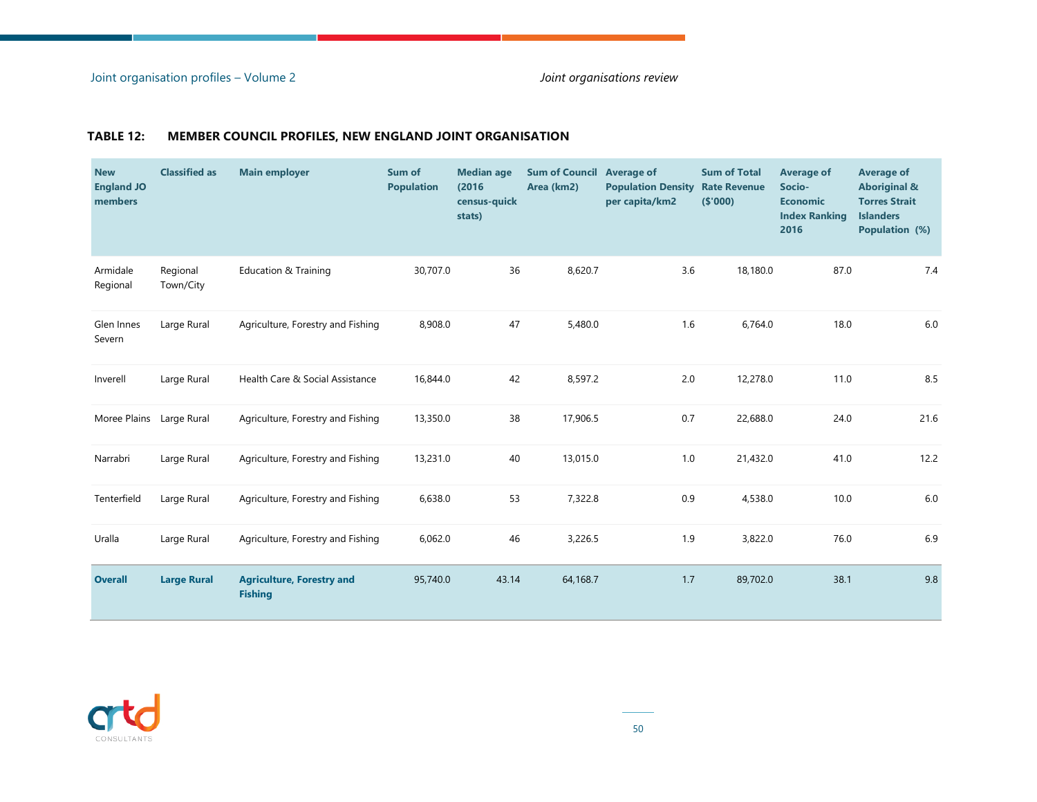#### **TABLE 12: MEMBER COUNCIL PROFILES, NEW ENGLAND JOINT ORGANISATION**

| <b>New</b><br><b>England JO</b><br>members | <b>Classified as</b>  | <b>Main employer</b>                               | Sum of<br><b>Population</b> | <b>Median age</b><br>(2016)<br>census-quick<br>stats) | Sum of Council Average of<br>Area (km2) | <b>Population Density</b><br>per capita/km2 | <b>Sum of Total</b><br><b>Rate Revenue</b><br>(\$000) | <b>Average of</b><br>Socio-<br><b>Economic</b><br><b>Index Ranking</b><br>2016 | <b>Average of</b><br><b>Aboriginal &amp;</b><br><b>Torres Strait</b><br><b>Islanders</b><br>Population (%) |
|--------------------------------------------|-----------------------|----------------------------------------------------|-----------------------------|-------------------------------------------------------|-----------------------------------------|---------------------------------------------|-------------------------------------------------------|--------------------------------------------------------------------------------|------------------------------------------------------------------------------------------------------------|
| Armidale<br>Regional                       | Regional<br>Town/City | <b>Education &amp; Training</b>                    | 30,707.0                    | 36                                                    | 8,620.7                                 | 3.6                                         | 18,180.0                                              | 87.0                                                                           | 7.4                                                                                                        |
| Glen Innes<br>Severn                       | Large Rural           | Agriculture, Forestry and Fishing                  | 8,908.0                     | 47                                                    | 5,480.0                                 | 1.6                                         | 6,764.0                                               | 18.0                                                                           | $6.0\,$                                                                                                    |
| Inverell                                   | Large Rural           | Health Care & Social Assistance                    | 16,844.0                    | 42                                                    | 8,597.2                                 | 2.0                                         | 12,278.0                                              | 11.0                                                                           | 8.5                                                                                                        |
| Moree Plains Large Rural                   |                       | Agriculture, Forestry and Fishing                  | 13,350.0                    | 38                                                    | 17,906.5                                | 0.7                                         | 22,688.0                                              | 24.0                                                                           | 21.6                                                                                                       |
| Narrabri                                   | Large Rural           | Agriculture, Forestry and Fishing                  | 13,231.0                    | 40                                                    | 13,015.0                                | $1.0\,$                                     | 21,432.0                                              | 41.0                                                                           | 12.2                                                                                                       |
| Tenterfield                                | Large Rural           | Agriculture, Forestry and Fishing                  | 6,638.0                     | 53                                                    | 7,322.8                                 | 0.9                                         | 4,538.0                                               | 10.0                                                                           | $6.0\,$                                                                                                    |
| Uralla                                     | Large Rural           | Agriculture, Forestry and Fishing                  | 6,062.0                     | 46                                                    | 3,226.5                                 | 1.9                                         | 3,822.0                                               | 76.0                                                                           | 6.9                                                                                                        |
| <b>Overall</b>                             | <b>Large Rural</b>    | <b>Agriculture, Forestry and</b><br><b>Fishing</b> | 95,740.0                    | 43.14                                                 | 64,168.7                                | 1.7                                         | 89,702.0                                              | 38.1                                                                           | 9.8                                                                                                        |

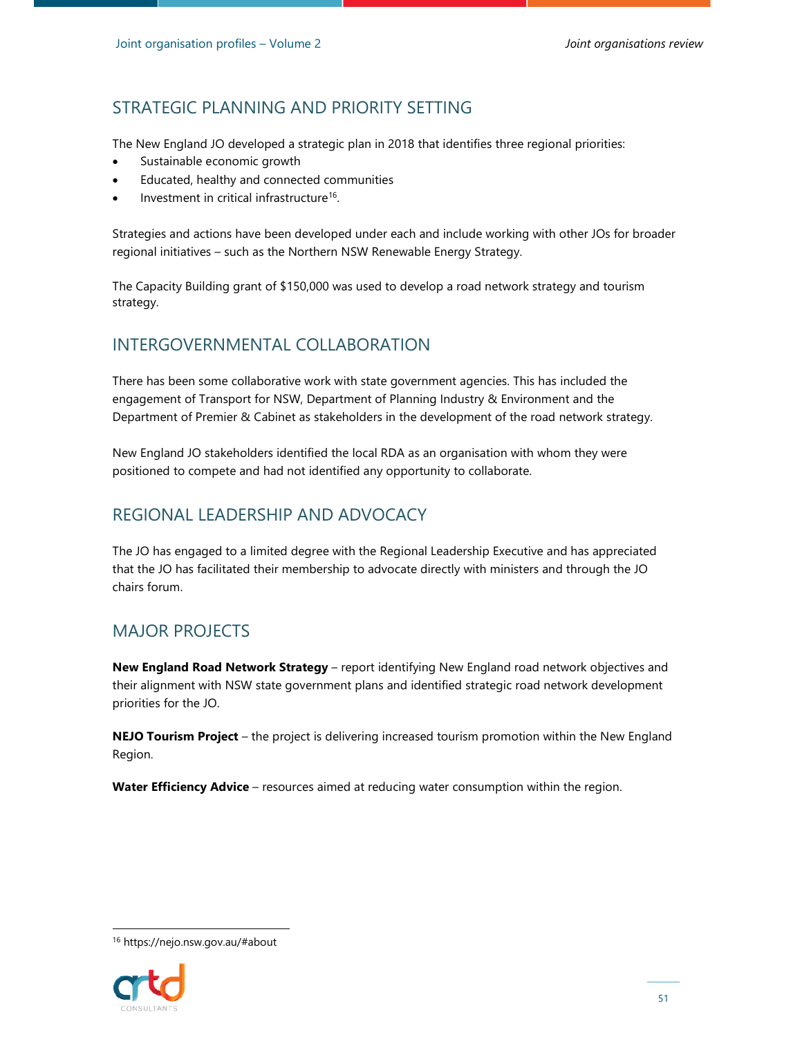The New England JO developed a strategic plan in 2018 that identifies three regional priorities:

- Sustainable economic growth
- Educated, healthy and connected communities
- Investment in critical infrastructure<sup>16</sup>.

Strategies and actions have been developed under each and include working with other JOs for broader regional initiatives – such as the Northern NSW Renewable Energy Strategy.

The Capacity Building grant of \$150,000 was used to develop a road network strategy and tourism strategy.

### INTERGOVERNMENTAL COLLABORATION

There has been some collaborative work with state government agencies. This has included the engagement of Transport for NSW, Department of Planning Industry & Environment and the Department of Premier & Cabinet as stakeholders in the development of the road network strategy.

New England JO stakeholders identified the local RDA as an organisation with whom they were positioned to compete and had not identified any opportunity to collaborate.

### REGIONAL LEADERSHIP AND ADVOCACY

The JO has engaged to a limited degree with the Regional Leadership Executive and has appreciated that the JO has facilitated their membership to advocate directly with ministers and through the JO chairs forum.

# MAJOR PROJECTS

**New England Road Network Strategy** – report identifying New England road network objectives and their alignment with NSW state government plans and identified strategic road network development priorities for the JO.

**NEJO Tourism Project** – the project is delivering increased tourism promotion within the New England Region.

**Water Efficiency Advice** – resources aimed at reducing water consumption within the region.

<sup>16</sup> https://nejo.nsw.gov.au/#about

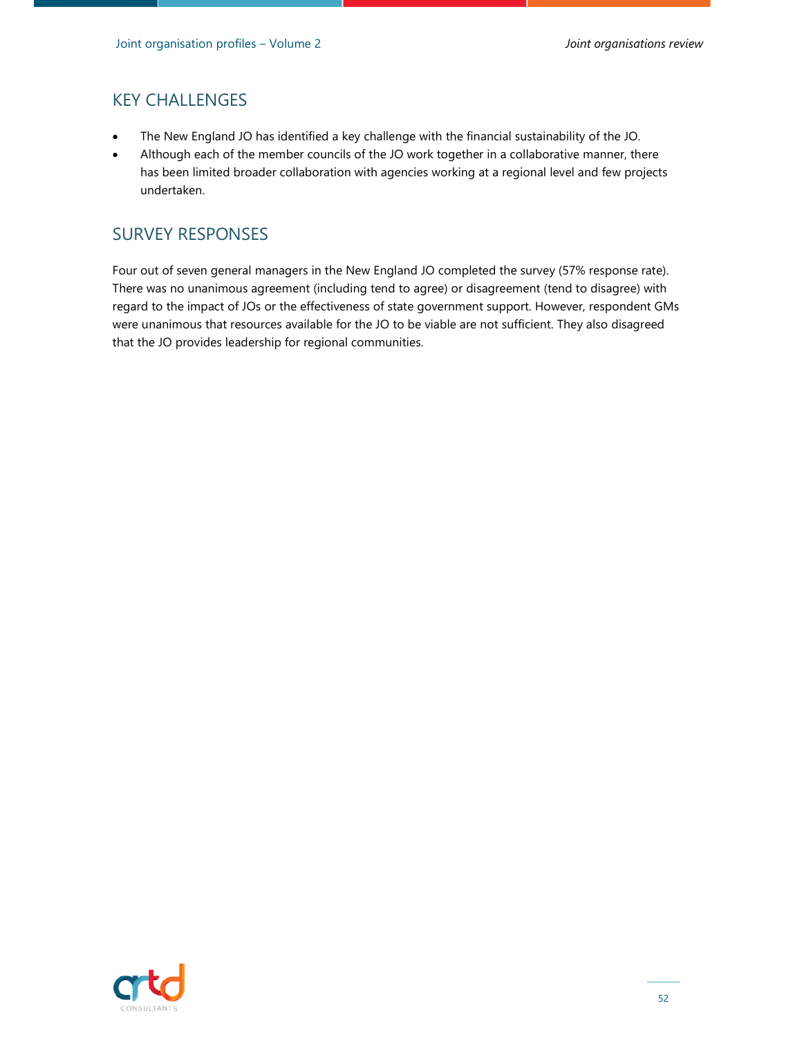### KEY CHALLENGES

- The New England JO has identified a key challenge with the financial sustainability of the JO.
- Although each of the member councils of the JO work together in a collaborative manner, there has been limited broader collaboration with agencies working at a regional level and few projects undertaken.

#### SURVEY RESPONSES

Four out of seven general managers in the New England JO completed the survey (57% response rate). There was no unanimous agreement (including tend to agree) or disagreement (tend to disagree) with regard to the impact of JOs or the effectiveness of state government support. However, respondent GMs were unanimous that resources available for the JO to be viable are not sufficient. They also disagreed that the JO provides leadership for regional communities.

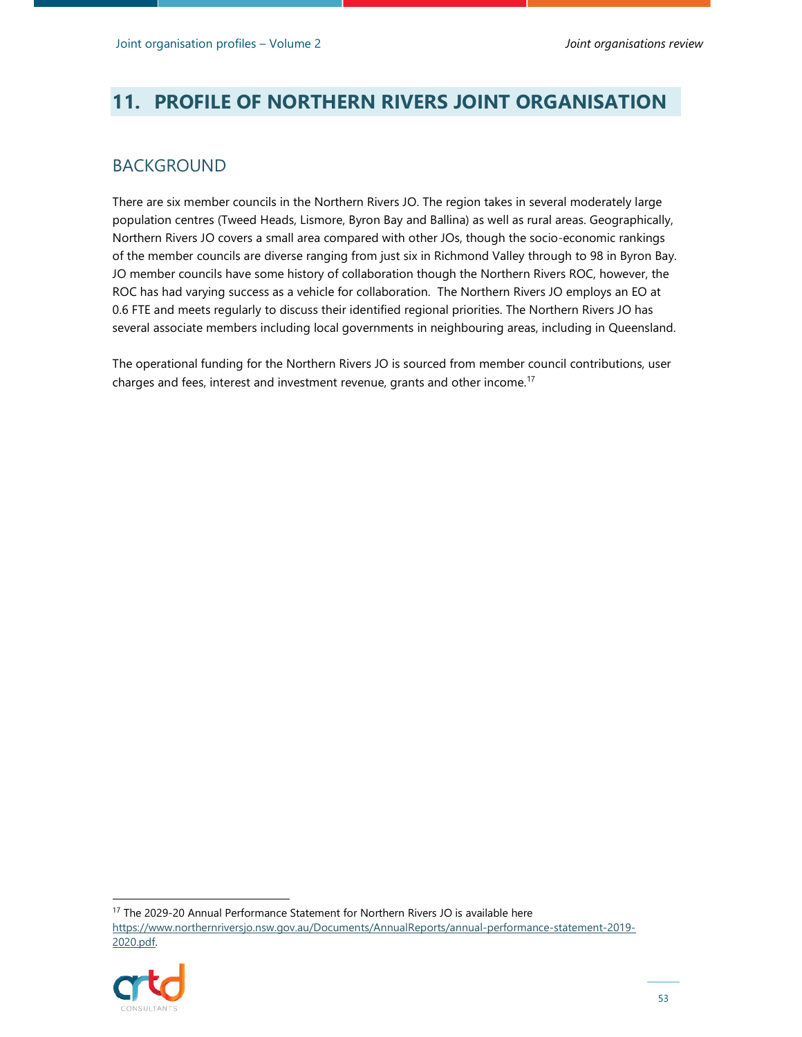# **11. PROFILE OF NORTHERN RIVERS JOINT ORGANISATION**

#### BACKGROUND

There are six member councils in the Northern Rivers JO. The region takes in several moderately large population centres (Tweed Heads, Lismore, Byron Bay and Ballina) as well as rural areas. Geographically, Northern Rivers JO covers a small area compared with other JOs, though the socio-economic rankings of the member councils are diverse ranging from just six in Richmond Valley through to 98 in Byron Bay. JO member councils have some history of collaboration though the Northern Rivers ROC, however, the ROC has had varying success as a vehicle for collaboration. The Northern Rivers JO employs an EO at 0.6 FTE and meets regularly to discuss their identified regional priorities. The Northern Rivers JO has several associate members including local governments in neighbouring areas, including in Queensland.

The operational funding for the Northern Rivers JO is sourced from member council contributions, user charges and fees, interest and investment revenue, grants and other income.<sup>17</sup>

<sup>17</sup> The 2029-20 Annual Performance Statement for Northern Rivers JO is available here https://www.northernriversjo.nsw.gov.au/Documents/AnnualReports/annual-performance-statement-2019- 2020.pdf.

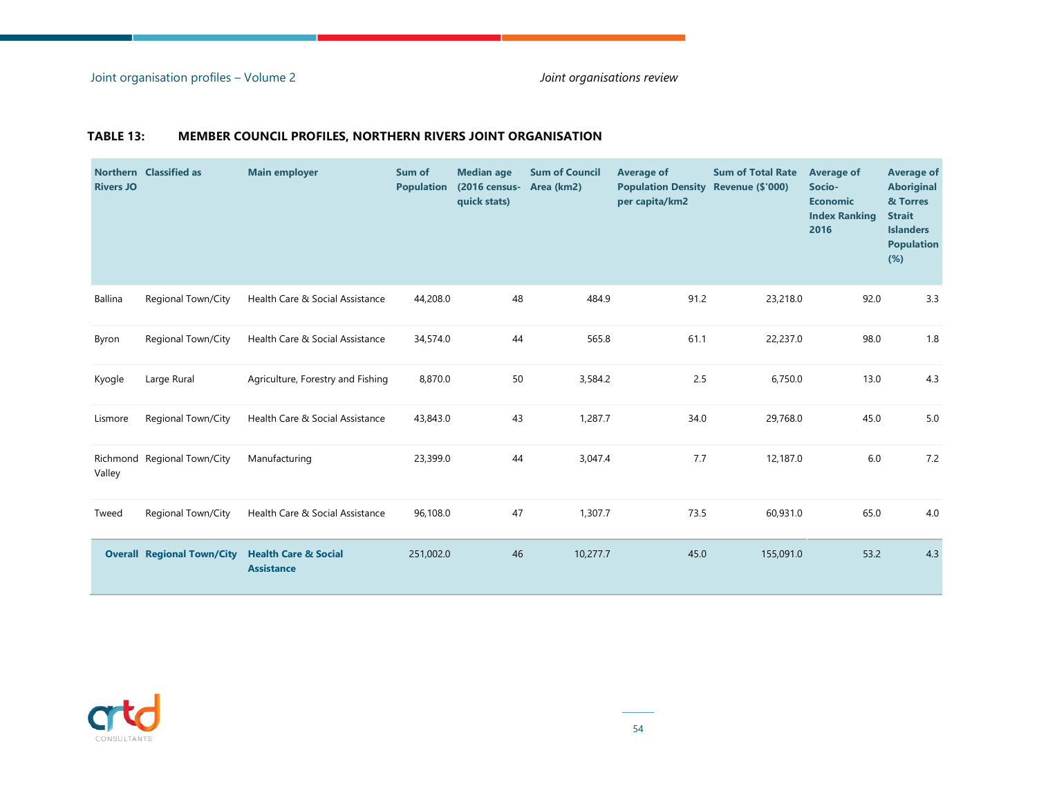#### **TABLE 13: MEMBER COUNCIL PROFILES, NORTHERN RIVERS JOINT ORGANISATION**

| <b>Rivers JO</b> | Northern Classified as            | <b>Main employer</b>                                 | Sum of<br><b>Population</b> | <b>Median age</b><br>(2016 census-<br>quick stats) | <b>Sum of Council</b><br>Area (km2) | <b>Average of</b><br><b>Population Density</b><br>per capita/km2 | <b>Sum of Total Rate</b><br><b>Revenue (\$'000)</b> | <b>Average of</b><br>Socio-<br><b>Economic</b><br><b>Index Ranking</b><br>2016 | <b>Average of</b><br><b>Aboriginal</b><br>& Torres<br><b>Strait</b><br><b>Islanders</b><br><b>Population</b><br>(%) |
|------------------|-----------------------------------|------------------------------------------------------|-----------------------------|----------------------------------------------------|-------------------------------------|------------------------------------------------------------------|-----------------------------------------------------|--------------------------------------------------------------------------------|---------------------------------------------------------------------------------------------------------------------|
| Ballina          | Regional Town/City                | Health Care & Social Assistance                      | 44,208.0                    | 48                                                 | 484.9                               | 91.2                                                             | 23,218.0                                            | 92.0                                                                           | 3.3                                                                                                                 |
| Byron            | <b>Regional Town/City</b>         | Health Care & Social Assistance                      | 34,574.0                    | 44                                                 | 565.8                               | 61.1                                                             | 22,237.0                                            | 98.0                                                                           | 1.8                                                                                                                 |
| Kyogle           | Large Rural                       | Agriculture, Forestry and Fishing                    | 8,870.0                     | 50                                                 | 3,584.2                             | 2.5                                                              | 6,750.0                                             | 13.0                                                                           | 4.3                                                                                                                 |
| Lismore          | Regional Town/City                | Health Care & Social Assistance                      | 43,843.0                    | 43                                                 | 1,287.7                             | 34.0                                                             | 29,768.0                                            | 45.0                                                                           | 5.0                                                                                                                 |
| Valley           | Richmond Regional Town/City       | Manufacturing                                        | 23,399.0                    | 44                                                 | 3,047.4                             | 7.7                                                              | 12,187.0                                            | 6.0                                                                            | 7.2                                                                                                                 |
| Tweed            | Regional Town/City                | Health Care & Social Assistance                      | 96,108.0                    | 47                                                 | 1,307.7                             | 73.5                                                             | 60,931.0                                            | 65.0                                                                           | 4.0                                                                                                                 |
|                  | <b>Overall Regional Town/City</b> | <b>Health Care &amp; Social</b><br><b>Assistance</b> | 251,002.0                   | 46                                                 | 10,277.7                            | 45.0                                                             | 155,091.0                                           | 53.2                                                                           | 4.3                                                                                                                 |

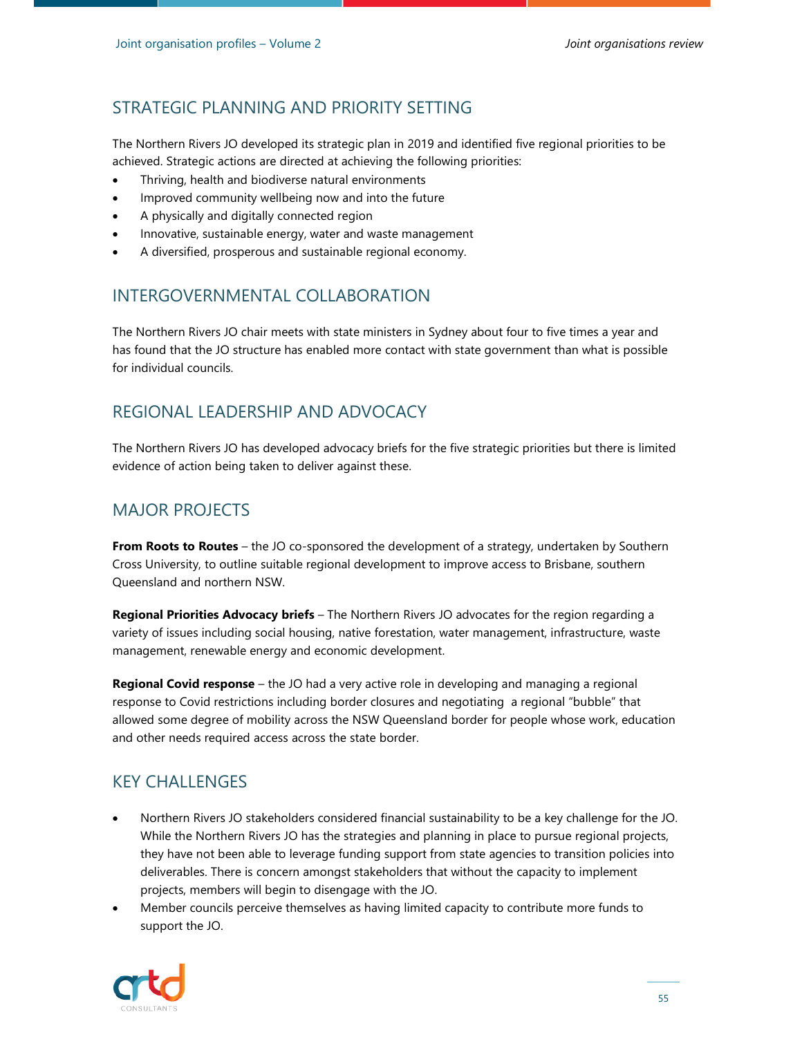The Northern Rivers JO developed its strategic plan in 2019 and identified five regional priorities to be achieved. Strategic actions are directed at achieving the following priorities:

- Thriving, health and biodiverse natural environments
- Improved community wellbeing now and into the future
- A physically and digitally connected region
- Innovative, sustainable energy, water and waste management
- A diversified, prosperous and sustainable regional economy.

#### INTERGOVERNMENTAL COLLABORATION

The Northern Rivers JO chair meets with state ministers in Sydney about four to five times a year and has found that the JO structure has enabled more contact with state government than what is possible for individual councils.

# REGIONAL LEADERSHIP AND ADVOCACY

The Northern Rivers JO has developed advocacy briefs for the five strategic priorities but there is limited evidence of action being taken to deliver against these.

### MAJOR PROJECTS

**From Roots to Routes** – the JO co-sponsored the development of a strategy, undertaken by Southern Cross University, to outline suitable regional development to improve access to Brisbane, southern Queensland and northern NSW.

**Regional Priorities Advocacy briefs** – The Northern Rivers JO advocates for the region regarding a variety of issues including social housing, native forestation, water management, infrastructure, waste management, renewable energy and economic development.

**Regional Covid response** – the JO had a very active role in developing and managing a regional response to Covid restrictions including border closures and negotiating a regional "bubble" that allowed some degree of mobility across the NSW Queensland border for people whose work, education and other needs required access across the state border.

#### KEY CHALLENGES

- Northern Rivers JO stakeholders considered financial sustainability to be a key challenge for the JO. While the Northern Rivers JO has the strategies and planning in place to pursue regional projects, they have not been able to leverage funding support from state agencies to transition policies into deliverables. There is concern amongst stakeholders that without the capacity to implement projects, members will begin to disengage with the JO.
- Member councils perceive themselves as having limited capacity to contribute more funds to support the JO.

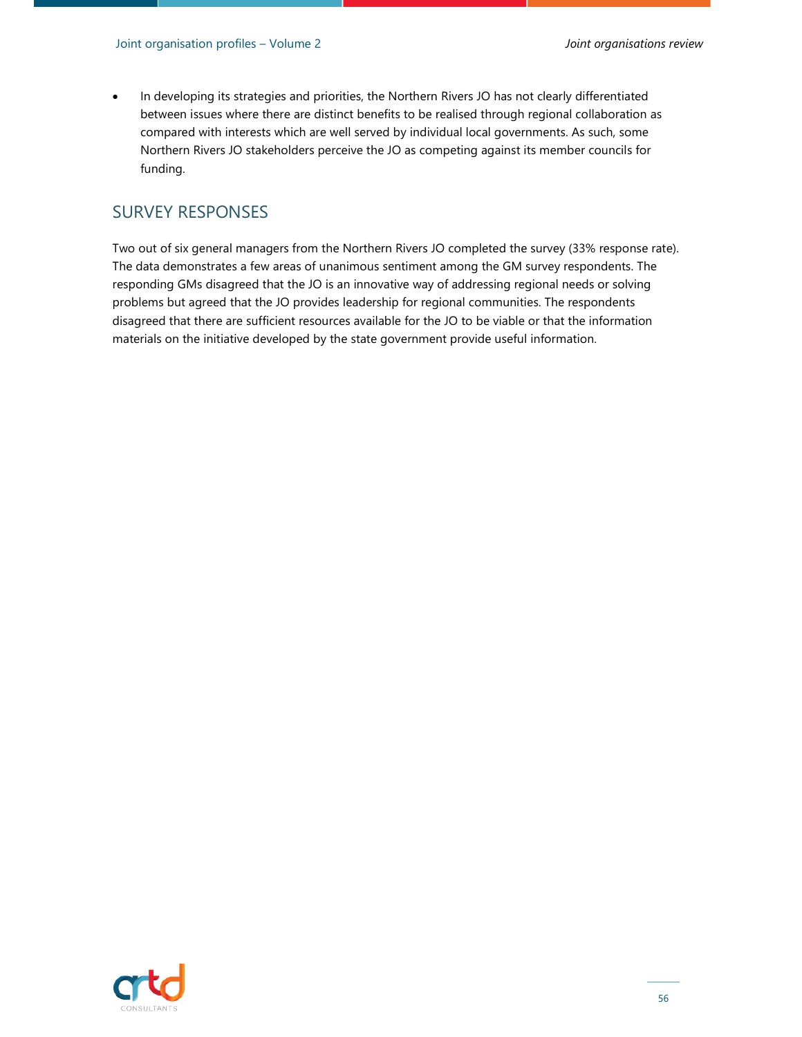In developing its strategies and priorities, the Northern Rivers JO has not clearly differentiated between issues where there are distinct benefits to be realised through regional collaboration as compared with interests which are well served by individual local governments. As such, some Northern Rivers JO stakeholders perceive the JO as competing against its member councils for funding.

#### SURVEY RESPONSES

Two out of six general managers from the Northern Rivers JO completed the survey (33% response rate). The data demonstrates a few areas of unanimous sentiment among the GM survey respondents. The responding GMs disagreed that the JO is an innovative way of addressing regional needs or solving problems but agreed that the JO provides leadership for regional communities. The respondents disagreed that there are sufficient resources available for the JO to be viable or that the information materials on the initiative developed by the state government provide useful information.

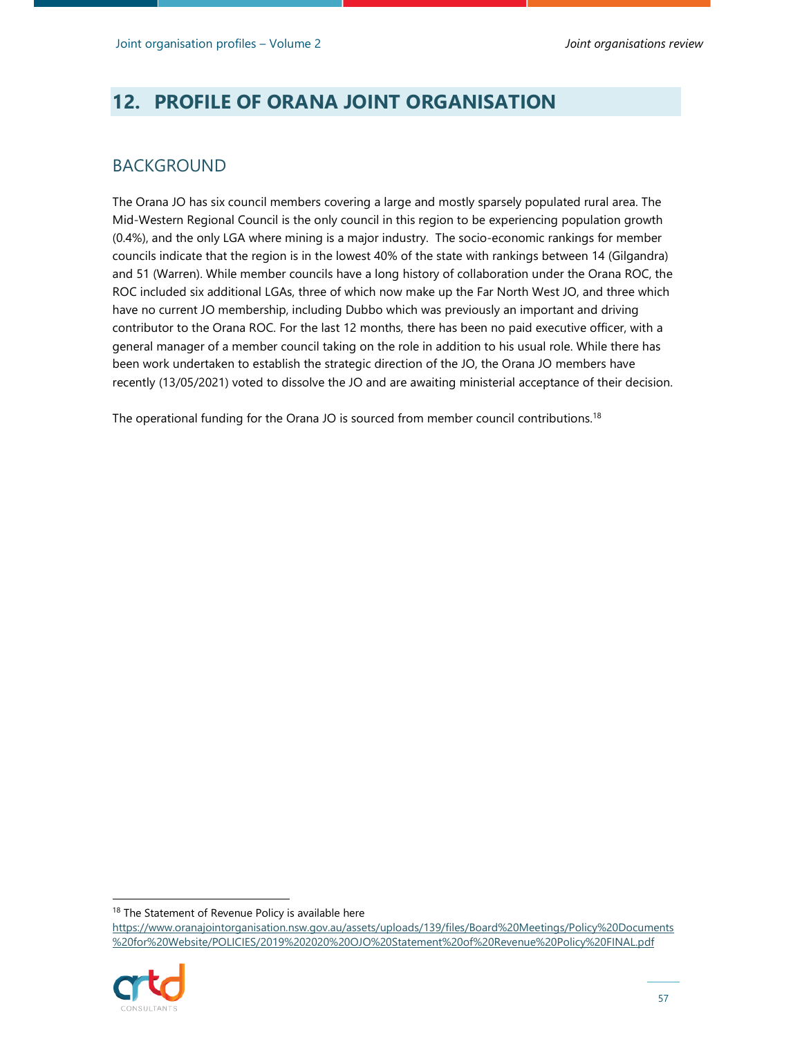# **12. PROFILE OF ORANA JOINT ORGANISATION**

#### BACKGROUND

The Orana JO has six council members covering a large and mostly sparsely populated rural area. The Mid-Western Regional Council is the only council in this region to be experiencing population growth (0.4%), and the only LGA where mining is a major industry. The socio-economic rankings for member councils indicate that the region is in the lowest 40% of the state with rankings between 14 (Gilgandra) and 51 (Warren). While member councils have a long history of collaboration under the Orana ROC, the ROC included six additional LGAs, three of which now make up the Far North West JO, and three which have no current JO membership, including Dubbo which was previously an important and driving contributor to the Orana ROC. For the last 12 months, there has been no paid executive officer, with a general manager of a member council taking on the role in addition to his usual role. While there has been work undertaken to establish the strategic direction of the JO, the Orana JO members have recently (13/05/2021) voted to dissolve the JO and are awaiting ministerial acceptance of their decision.

The operational funding for the Orana JO is sourced from member council contributions.<sup>18</sup>

https://www.oranajointorganisation.nsw.gov.au/assets/uploads/139/files/Board%20Meetings/Policy%20Documents %20for%20Website/POLICIES/2019%202020%20OJO%20Statement%20of%20Revenue%20Policy%20FINAL.pdf



<sup>&</sup>lt;sup>18</sup> The Statement of Revenue Policy is available here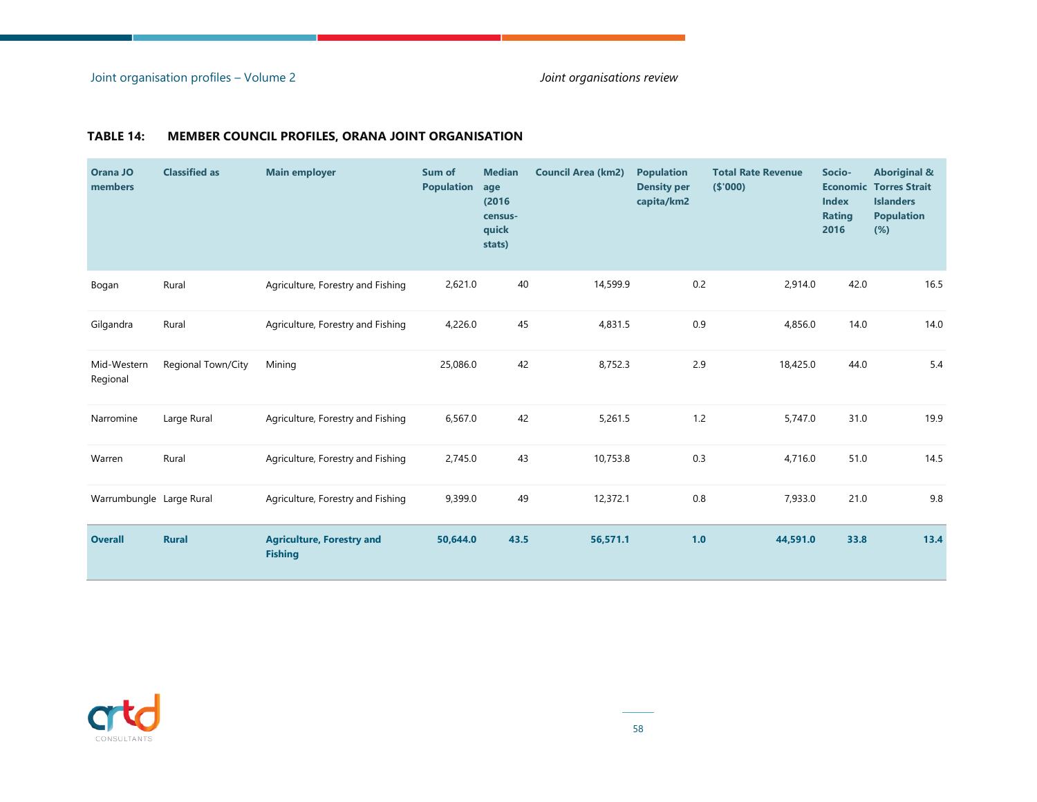**COL** 

| Orana JO<br>members      | <b>Classified as</b> | <b>Main employer</b>                               | Sum of<br><b>Population</b> | <b>Median</b><br>age<br>(2016)<br>census-<br>quick<br>stats) | <b>Council Area (km2)</b> | <b>Population</b><br><b>Density per</b><br>capita/km2 | <b>Total Rate Revenue</b><br>( \$'000) | Socio-<br><b>Economic</b><br><b>Index</b><br><b>Rating</b><br>2016 | <b>Aboriginal &amp;</b><br><b>Torres Strait</b><br><b>Islanders</b><br><b>Population</b><br>(%) |
|--------------------------|----------------------|----------------------------------------------------|-----------------------------|--------------------------------------------------------------|---------------------------|-------------------------------------------------------|----------------------------------------|--------------------------------------------------------------------|-------------------------------------------------------------------------------------------------|
| Bogan                    | Rural                | Agriculture, Forestry and Fishing                  | 2,621.0                     | 40                                                           | 14,599.9                  | 0.2                                                   | 2,914.0                                | 42.0                                                               | 16.5                                                                                            |
| Gilgandra                | Rural                | Agriculture, Forestry and Fishing                  | 4,226.0                     | 45                                                           | 4,831.5                   | 0.9                                                   | 4,856.0                                | 14.0                                                               | 14.0                                                                                            |
| Mid-Western<br>Regional  | Regional Town/City   | Mining                                             | 25,086.0                    | 42                                                           | 8,752.3                   | 2.9                                                   | 18,425.0                               | 44.0                                                               | 5.4                                                                                             |
| Narromine                | Large Rural          | Agriculture, Forestry and Fishing                  | 6,567.0                     | 42                                                           | 5,261.5                   | $1.2$                                                 | 5,747.0                                | 31.0                                                               | 19.9                                                                                            |
| Warren                   | Rural                | Agriculture, Forestry and Fishing                  | 2,745.0                     | 43                                                           | 10,753.8                  | 0.3                                                   | 4,716.0                                | 51.0                                                               | 14.5                                                                                            |
| Warrumbungle Large Rural |                      | Agriculture, Forestry and Fishing                  | 9,399.0                     | 49                                                           | 12,372.1                  | 0.8                                                   | 7,933.0                                | 21.0                                                               | 9.8                                                                                             |
| <b>Overall</b>           | <b>Rural</b>         | <b>Agriculture, Forestry and</b><br><b>Fishing</b> | 50,644.0                    | 43.5                                                         | 56,571.1                  | 1.0                                                   | 44,591.0                               | 33.8                                                               | 13.4                                                                                            |

#### **TABLE 14: MEMBER COUNCIL PROFILES, ORANA JOINT ORGANISATION**

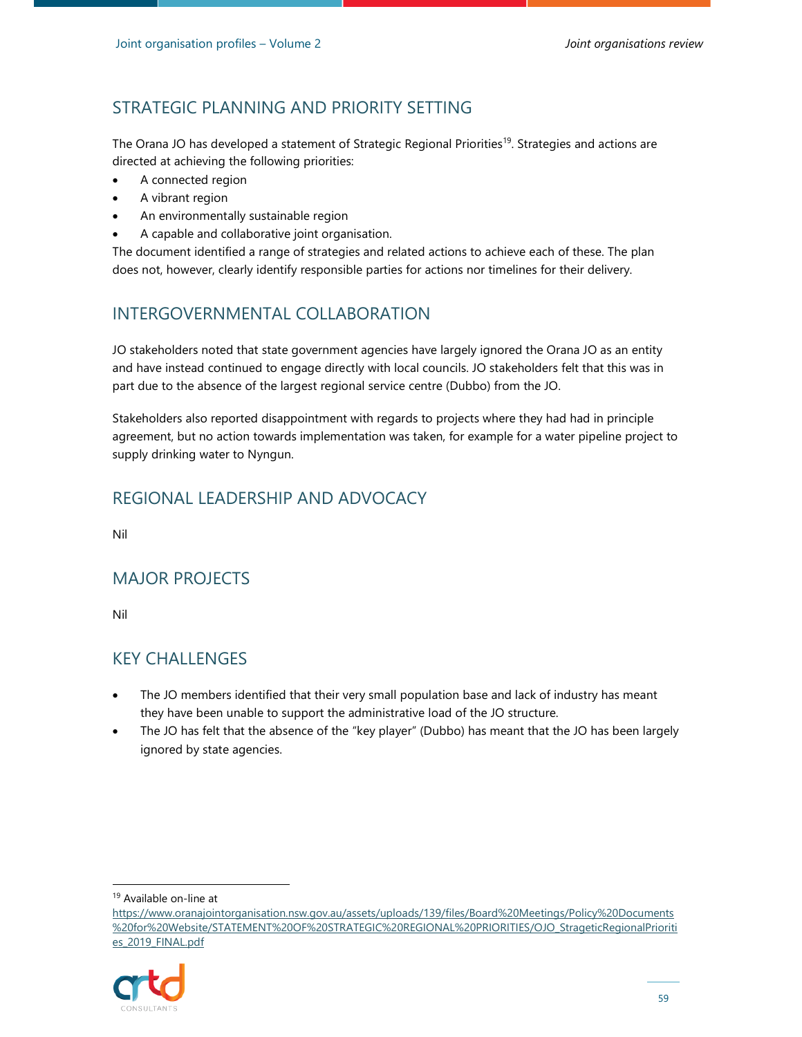The Orana JO has developed a statement of Strategic Regional Priorities<sup>19</sup>. Strategies and actions are directed at achieving the following priorities:

- A connected region
- A vibrant region
- An environmentally sustainable region
- A capable and collaborative joint organisation.

The document identified a range of strategies and related actions to achieve each of these. The plan does not, however, clearly identify responsible parties for actions nor timelines for their delivery.

### INTERGOVERNMENTAL COLLABORATION

JO stakeholders noted that state government agencies have largely ignored the Orana JO as an entity and have instead continued to engage directly with local councils. JO stakeholders felt that this was in part due to the absence of the largest regional service centre (Dubbo) from the JO.

Stakeholders also reported disappointment with regards to projects where they had had in principle agreement, but no action towards implementation was taken, for example for a water pipeline project to supply drinking water to Nyngun.

# REGIONAL LEADERSHIP AND ADVOCACY

Nil

# MAJOR PROJECTS

Nil

# KEY CHALLENGES

- The JO members identified that their very small population base and lack of industry has meant they have been unable to support the administrative load of the JO structure.
- The JO has felt that the absence of the "key player" (Dubbo) has meant that the JO has been largely ignored by state agencies.

https://www.oranajointorganisation.nsw.gov.au/assets/uploads/139/files/Board%20Meetings/Policy%20Documents %20for%20Website/STATEMENT%20OF%20STRATEGIC%20REGIONAL%20PRIORITIES/OJO\_StrageticRegionalPrioriti es\_2019\_FINAL.pdf



<sup>19</sup> Available on-line at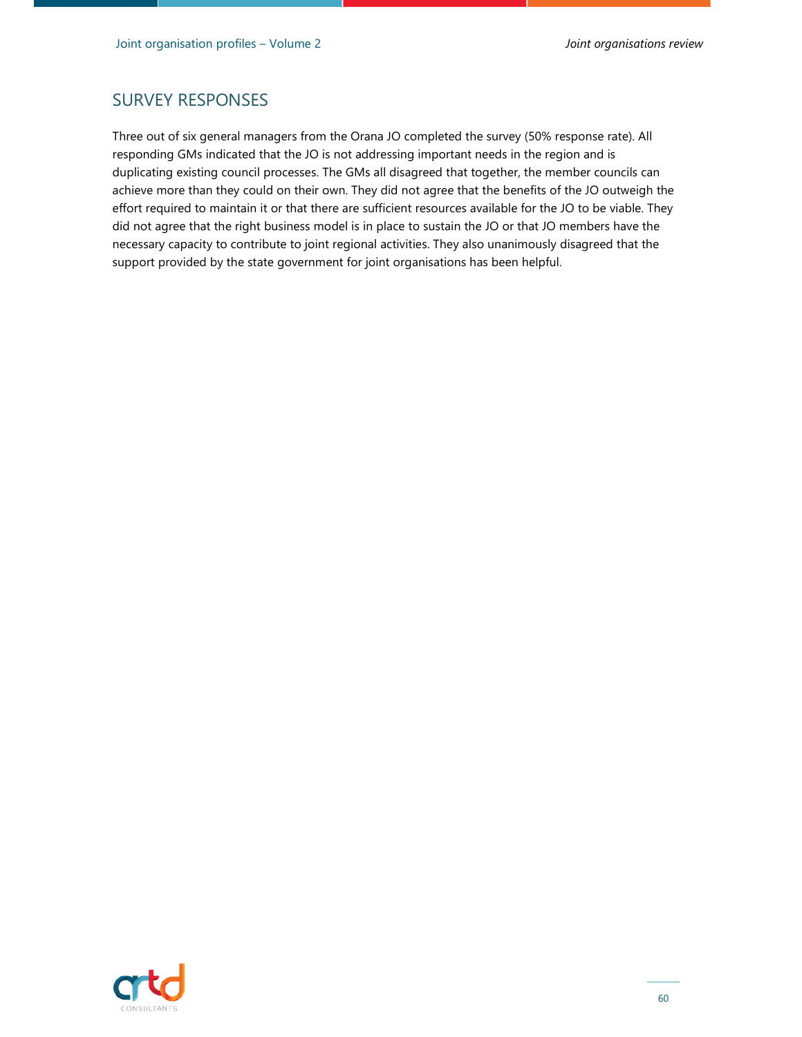### SURVEY RESPONSES

Three out of six general managers from the Orana JO completed the survey (50% response rate). All responding GMs indicated that the JO is not addressing important needs in the region and is duplicating existing council processes. The GMs all disagreed that together, the member councils can achieve more than they could on their own. They did not agree that the benefits of the JO outweigh the effort required to maintain it or that there are sufficient resources available for the JO to be viable. They did not agree that the right business model is in place to sustain the JO or that JO members have the necessary capacity to contribute to joint regional activities. They also unanimously disagreed that the support provided by the state government for joint organisations has been helpful.

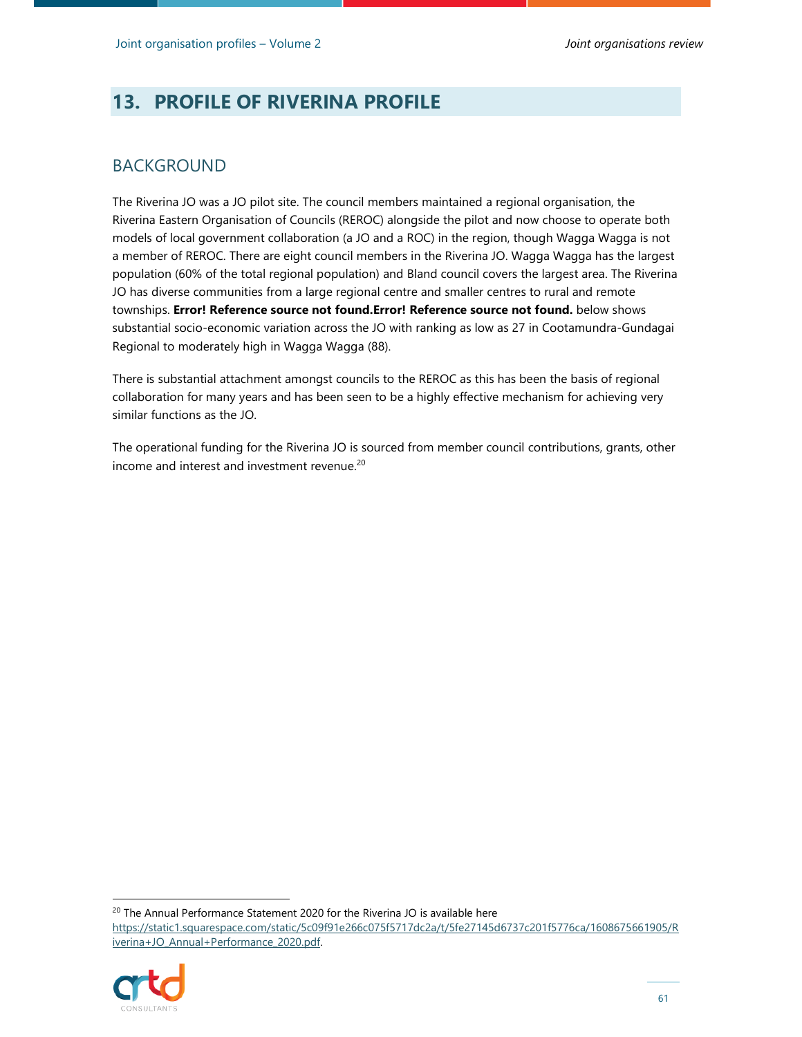# **13. PROFILE OF RIVERINA PROFILE**

### BACKGROUND

The Riverina JO was a JO pilot site. The council members maintained a regional organisation, the Riverina Eastern Organisation of Councils (REROC) alongside the pilot and now choose to operate both models of local government collaboration (a JO and a ROC) in the region, though Wagga Wagga is not a member of REROC. There are eight council members in the Riverina JO. Wagga Wagga has the largest population (60% of the total regional population) and Bland council covers the largest area. The Riverina JO has diverse communities from a large regional centre and smaller centres to rural and remote townships. **Error! Reference source not found.Error! Reference source not found.** below shows substantial socio-economic variation across the JO with ranking as low as 27 in Cootamundra-Gundagai Regional to moderately high in Wagga Wagga (88).

There is substantial attachment amongst councils to the REROC as this has been the basis of regional collaboration for many years and has been seen to be a highly effective mechanism for achieving very similar functions as the JO.

The operational funding for the Riverina JO is sourced from member council contributions, grants, other income and interest and investment revenue.<sup>20</sup>

<sup>20</sup> The Annual Performance Statement 2020 for the Riverina JO is available here

https://static1.squarespace.com/static/5c09f91e266c075f5717dc2a/t/5fe27145d6737c201f5776ca/1608675661905/R iverina+JO\_Annual+Performance\_2020.pdf.

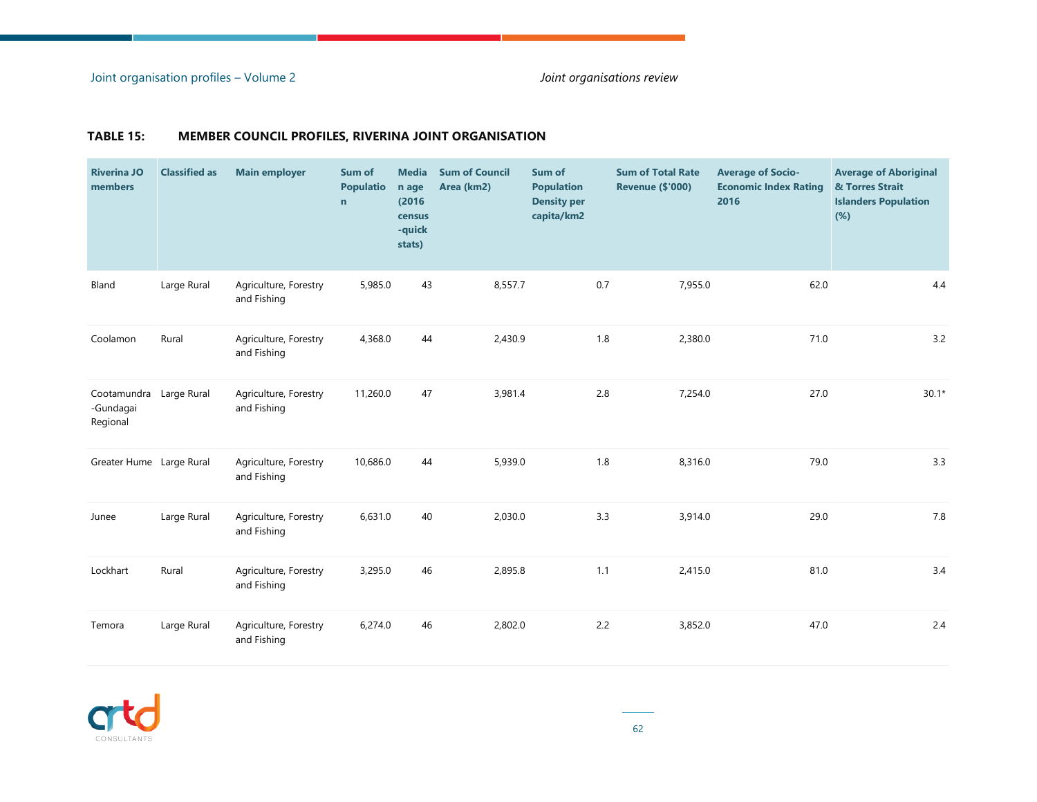Joint organisation profiles – Volume 2 *Joint organisations review*

#### **TABLE 15: MEMBER COUNCIL PROFILES, RIVERINA JOINT ORGANISATION**

| <b>Riverina JO</b><br>members        | <b>Classified as</b> | <b>Main employer</b>                 | Sum of<br><b>Populatio</b><br>$\mathbf n$ | <b>Media</b><br>n age<br>(2016)<br>census<br>-quick<br>stats) | <b>Sum of Council</b><br>Area (km2) | Sum of<br><b>Population</b><br><b>Density per</b><br>capita/km2 |     | <b>Sum of Total Rate</b><br><b>Revenue (\$'000)</b> | <b>Average of Socio-</b><br><b>Economic Index Rating</b><br>2016 | <b>Average of Aboriginal</b><br>& Torres Strait<br><b>Islanders Population</b><br>(%) |
|--------------------------------------|----------------------|--------------------------------------|-------------------------------------------|---------------------------------------------------------------|-------------------------------------|-----------------------------------------------------------------|-----|-----------------------------------------------------|------------------------------------------------------------------|---------------------------------------------------------------------------------------|
| Bland                                | Large Rural          | Agriculture, Forestry<br>and Fishing | 5,985.0                                   | 43                                                            | 8,557.7                             |                                                                 | 0.7 | 7,955.0                                             | 62.0                                                             | 4.4                                                                                   |
| Coolamon                             | Rural                | Agriculture, Forestry<br>and Fishing | 4,368.0                                   | 44                                                            | 2,430.9                             |                                                                 | 1.8 | 2,380.0                                             | 71.0                                                             | 3.2                                                                                   |
| Cootamundra<br>-Gundagai<br>Regional | Large Rural          | Agriculture, Forestry<br>and Fishing | 11,260.0                                  | 47                                                            | 3,981.4                             |                                                                 | 2.8 | 7,254.0                                             | 27.0                                                             | $30.1*$                                                                               |
| Greater Hume Large Rural             |                      | Agriculture, Forestry<br>and Fishing | 10,686.0                                  | 44                                                            | 5,939.0                             |                                                                 | 1.8 | 8,316.0                                             | 79.0                                                             | 3.3                                                                                   |
| Junee                                | Large Rural          | Agriculture, Forestry<br>and Fishing | 6,631.0                                   | 40                                                            | 2,030.0                             |                                                                 | 3.3 | 3,914.0                                             | 29.0                                                             | 7.8                                                                                   |
| Lockhart                             | Rural                | Agriculture, Forestry<br>and Fishing | 3,295.0                                   | 46                                                            | 2,895.8                             |                                                                 | 1.1 | 2,415.0                                             | 81.0                                                             | 3.4                                                                                   |
| Temora                               | Large Rural          | Agriculture, Forestry<br>and Fishing | 6,274.0                                   | 46                                                            | 2,802.0                             |                                                                 | 2.2 | 3,852.0                                             | 47.0                                                             | 2.4                                                                                   |

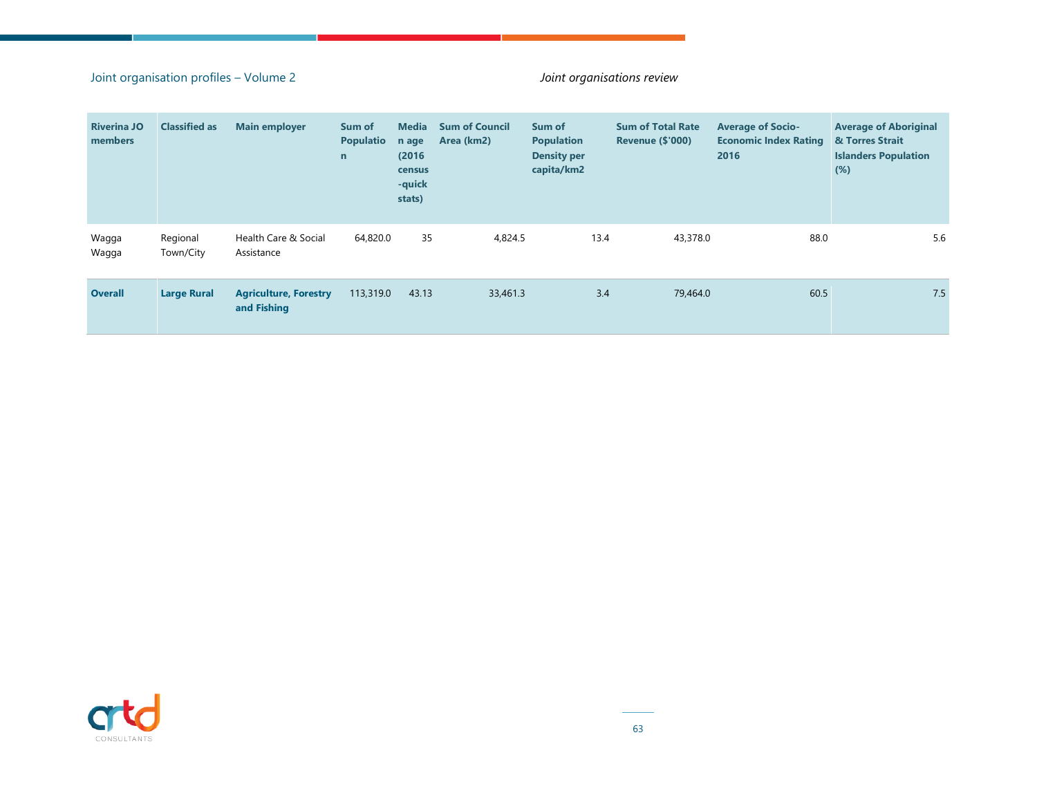#### Joint organisation profiles – Volume 2 *Joint organisations review*

| <b>Riverina JO</b><br>members | <b>Classified as</b>  | <b>Main employer</b>                        | Sum of<br><b>Populatio</b><br>$\mathbf n$ | <b>Media</b><br>n age<br>(2016)<br>census<br>-quick<br>stats) | <b>Sum of Council</b><br>Area (km2) | Sum of<br><b>Population</b><br><b>Density per</b><br>capita/km2 |     | <b>Sum of Total Rate</b><br><b>Revenue (\$'000)</b> | <b>Average of Socio-</b><br><b>Economic Index Rating</b><br>2016 | <b>Average of Aboriginal</b><br>& Torres Strait<br><b>Islanders Population</b><br>$(\%)$ |     |
|-------------------------------|-----------------------|---------------------------------------------|-------------------------------------------|---------------------------------------------------------------|-------------------------------------|-----------------------------------------------------------------|-----|-----------------------------------------------------|------------------------------------------------------------------|------------------------------------------------------------------------------------------|-----|
| Wagga<br>Wagga                | Regional<br>Town/City | Health Care & Social<br>Assistance          | 64,820.0                                  | 35                                                            | 4,824.5                             | 13.4                                                            |     | 43,378.0                                            | 88.0                                                             |                                                                                          | 5.6 |
| <b>Overall</b>                | <b>Large Rural</b>    | <b>Agriculture, Forestry</b><br>and Fishing | 113,319.0                                 | 43.13                                                         | 33,461.3                            |                                                                 | 3.4 | 79,464.0                                            | 60.5                                                             |                                                                                          | 7.5 |

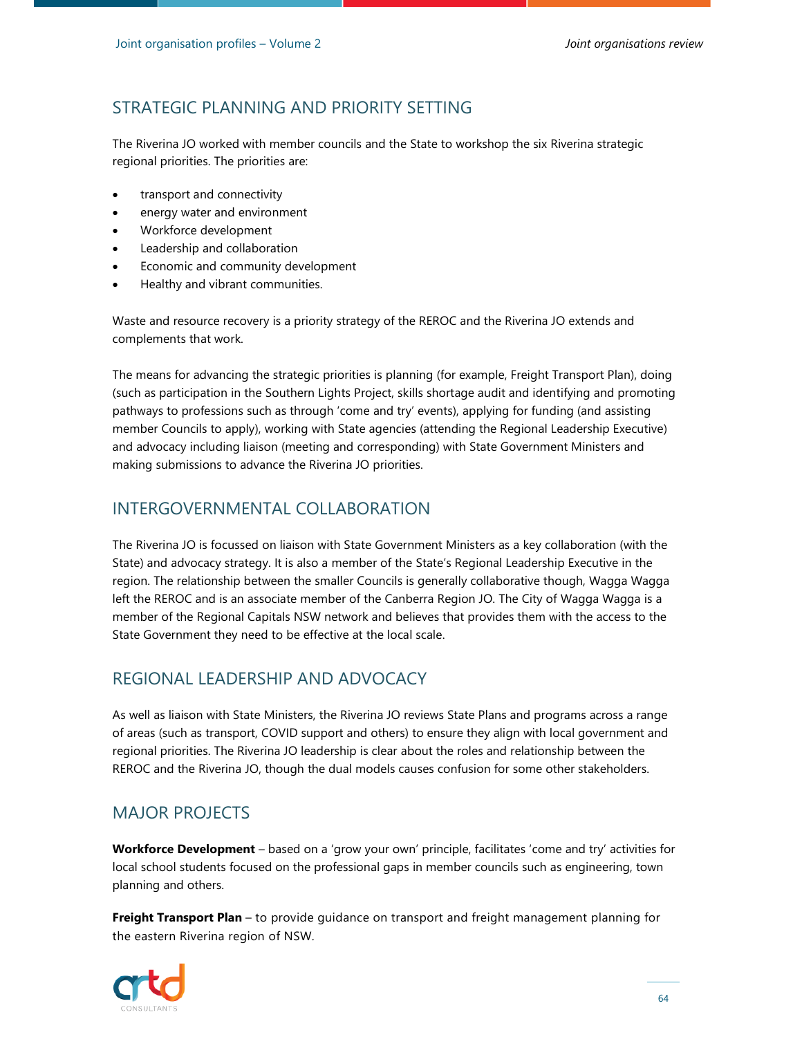The Riverina JO worked with member councils and the State to workshop the six Riverina strategic regional priorities. The priorities are:

- transport and connectivity
- energy water and environment
- Workforce development
- Leadership and collaboration
- Economic and community development
- Healthy and vibrant communities.

Waste and resource recovery is a priority strategy of the REROC and the Riverina JO extends and complements that work.

The means for advancing the strategic priorities is planning (for example, Freight Transport Plan), doing (such as participation in the Southern Lights Project, skills shortage audit and identifying and promoting pathways to professions such as through 'come and try' events), applying for funding (and assisting member Councils to apply), working with State agencies (attending the Regional Leadership Executive) and advocacy including liaison (meeting and corresponding) with State Government Ministers and making submissions to advance the Riverina JO priorities.

### INTERGOVERNMENTAL COLLABORATION

The Riverina JO is focussed on liaison with State Government Ministers as a key collaboration (with the State) and advocacy strategy. It is also a member of the State's Regional Leadership Executive in the region. The relationship between the smaller Councils is generally collaborative though, Wagga Wagga left the REROC and is an associate member of the Canberra Region JO. The City of Wagga Wagga is a member of the Regional Capitals NSW network and believes that provides them with the access to the State Government they need to be effective at the local scale.

# REGIONAL LEADERSHIP AND ADVOCACY

As well as liaison with State Ministers, the Riverina JO reviews State Plans and programs across a range of areas (such as transport, COVID support and others) to ensure they align with local government and regional priorities. The Riverina JO leadership is clear about the roles and relationship between the REROC and the Riverina JO, though the dual models causes confusion for some other stakeholders.

# MAJOR PROJECTS

**Workforce Development** – based on a 'grow your own' principle, facilitates 'come and try' activities for local school students focused on the professional gaps in member councils such as engineering, town planning and others.

**Freight Transport Plan** – to provide guidance on transport and freight management planning for the eastern Riverina region of NSW.

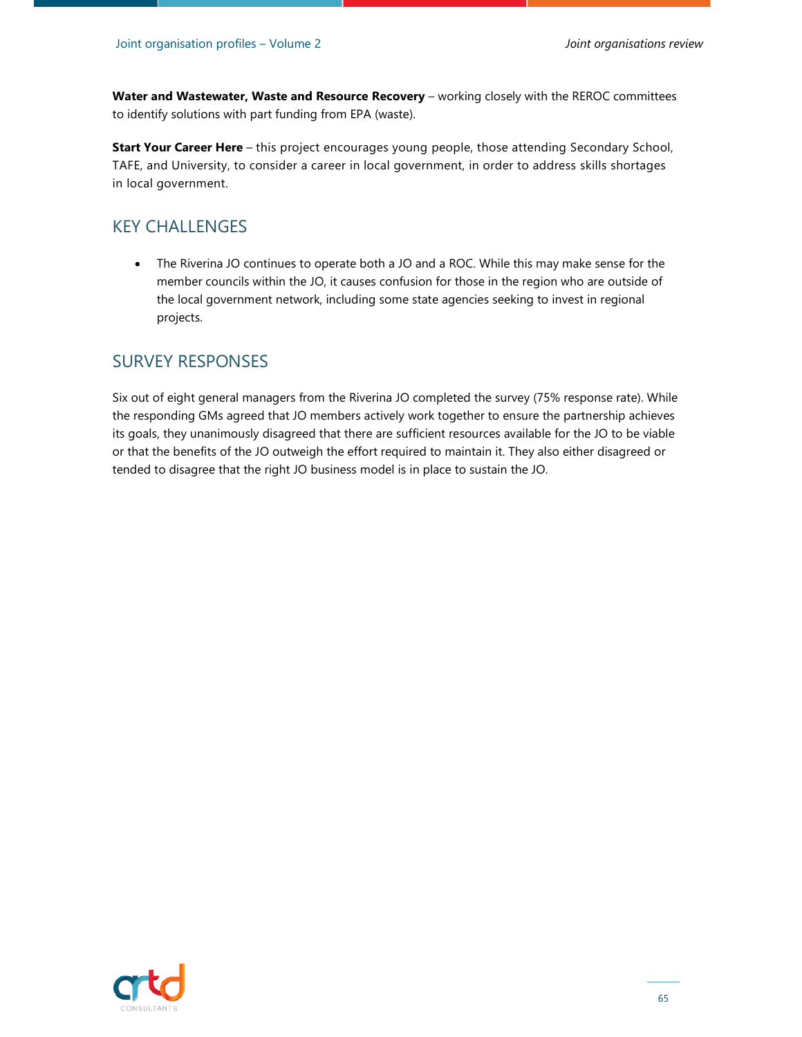**Water and Wastewater, Waste and Resource Recovery** – working closely with the REROC committees to identify solutions with part funding from EPA (waste).

**Start Your Career Here** – this project encourages young people, those attending Secondary School, TAFE, and University, to consider a career in local government, in order to address skills shortages in local government.

#### KEY CHALLENGES

 The Riverina JO continues to operate both a JO and a ROC. While this may make sense for the member councils within the JO, it causes confusion for those in the region who are outside of the local government network, including some state agencies seeking to invest in regional projects.

#### SURVEY RESPONSES

Six out of eight general managers from the Riverina JO completed the survey (75% response rate). While the responding GMs agreed that JO members actively work together to ensure the partnership achieves its goals, they unanimously disagreed that there are sufficient resources available for the JO to be viable or that the benefits of the JO outweigh the effort required to maintain it. They also either disagreed or tended to disagree that the right JO business model is in place to sustain the JO.

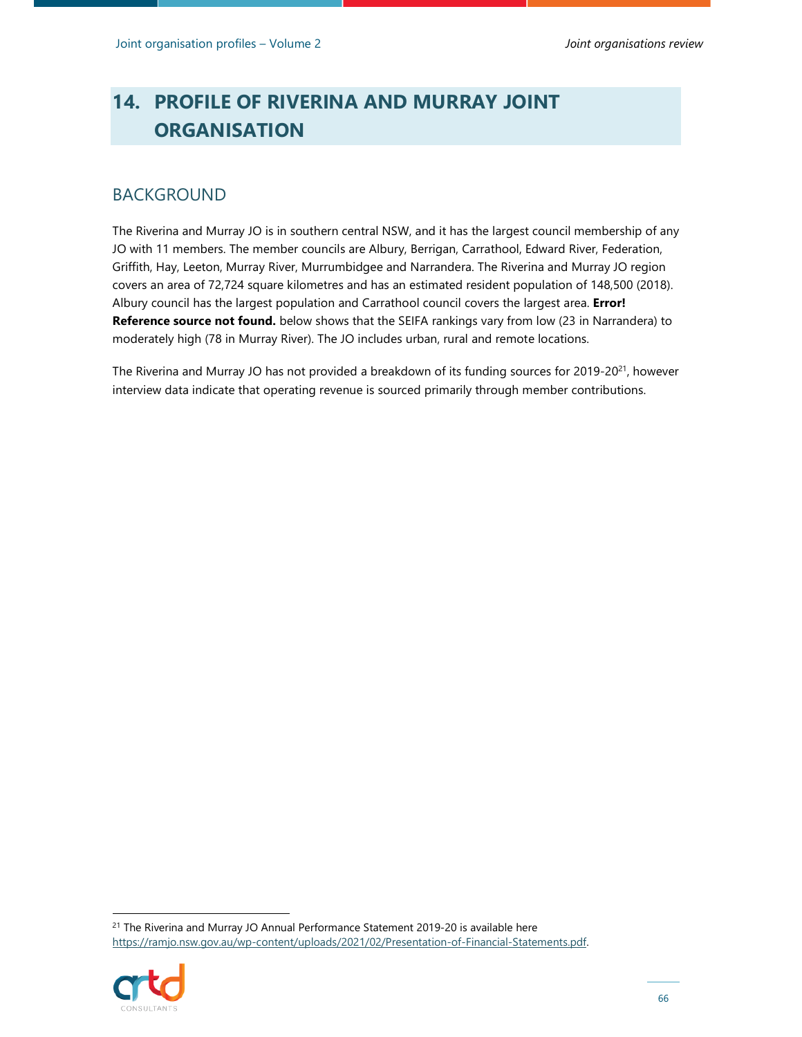# **14. PROFILE OF RIVERINA AND MURRAY JOINT ORGANISATION**

### BACKGROUND

The Riverina and Murray JO is in southern central NSW, and it has the largest council membership of any JO with 11 members. The member councils are Albury, Berrigan, Carrathool, Edward River, Federation, Griffith, Hay, Leeton, Murray River, Murrumbidgee and Narrandera. The Riverina and Murray JO region covers an area of 72,724 square kilometres and has an estimated resident population of 148,500 (2018). Albury council has the largest population and Carrathool council covers the largest area. **Error! Reference source not found.** below shows that the SEIFA rankings vary from low (23 in Narrandera) to moderately high (78 in Murray River). The JO includes urban, rural and remote locations.

The Riverina and Murray JO has not provided a breakdown of its funding sources for 2019-20 $^{21}$ , however interview data indicate that operating revenue is sourced primarily through member contributions.

<sup>&</sup>lt;sup>21</sup> The Riverina and Murray JO Annual Performance Statement 2019-20 is available here https://ramjo.nsw.gov.au/wp-content/uploads/2021/02/Presentation-of-Financial-Statements.pdf.

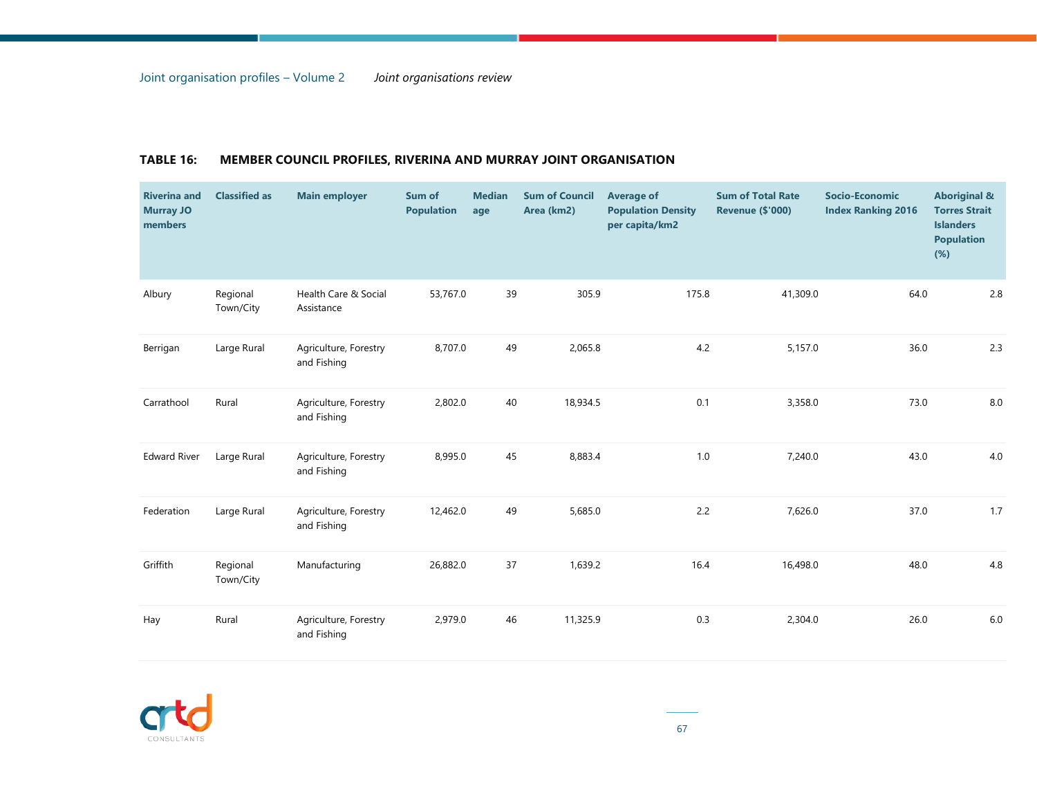| <b>Riverina and</b><br><b>Murray JO</b><br>members | <b>Classified as</b>  | <b>Main employer</b>                 | Sum of<br><b>Population</b> | <b>Median</b><br>age | <b>Sum of Council</b><br>Area (km2) | <b>Average of</b><br><b>Population Density</b><br>per capita/km2 | <b>Sum of Total Rate</b><br><b>Revenue (\$'000)</b> | <b>Socio-Economic</b><br><b>Index Ranking 2016</b> | <b>Aboriginal &amp;</b><br><b>Torres Strait</b><br><b>Islanders</b><br><b>Population</b><br>$(\%)$ |
|----------------------------------------------------|-----------------------|--------------------------------------|-----------------------------|----------------------|-------------------------------------|------------------------------------------------------------------|-----------------------------------------------------|----------------------------------------------------|----------------------------------------------------------------------------------------------------|
| Albury                                             | Regional<br>Town/City | Health Care & Social<br>Assistance   | 53,767.0                    | 39                   | 305.9                               | 175.8                                                            | 41,309.0                                            | 64.0                                               | 2.8                                                                                                |
| Berrigan                                           | Large Rural           | Agriculture, Forestry<br>and Fishing | 8,707.0                     | 49                   | 2,065.8                             | 4.2                                                              | 5,157.0                                             | 36.0                                               | 2.3                                                                                                |
| Carrathool                                         | Rural                 | Agriculture, Forestry<br>and Fishing | 2,802.0                     | 40                   | 18,934.5                            | 0.1                                                              | 3,358.0                                             | 73.0                                               | 8.0                                                                                                |
| <b>Edward River</b>                                | Large Rural           | Agriculture, Forestry<br>and Fishing | 8,995.0                     | 45                   | 8,883.4                             | 1.0                                                              | 7,240.0                                             | 43.0                                               | 4.0                                                                                                |
| Federation                                         | Large Rural           | Agriculture, Forestry<br>and Fishing | 12,462.0                    | 49                   | 5,685.0                             | 2.2                                                              | 7,626.0                                             | 37.0                                               | 1.7                                                                                                |
| Griffith                                           | Regional<br>Town/City | Manufacturing                        | 26,882.0                    | 37                   | 1,639.2                             | 16.4                                                             | 16,498.0                                            | 48.0                                               | 4.8                                                                                                |
| Hay                                                | Rural                 | Agriculture, Forestry<br>and Fishing | 2,979.0                     | 46                   | 11,325.9                            | 0.3                                                              | 2,304.0                                             | 26.0                                               | $6.0\,$                                                                                            |

#### **TABLE 16: MEMBER COUNCIL PROFILES, RIVERINA AND MURRAY JOINT ORGANISATION**

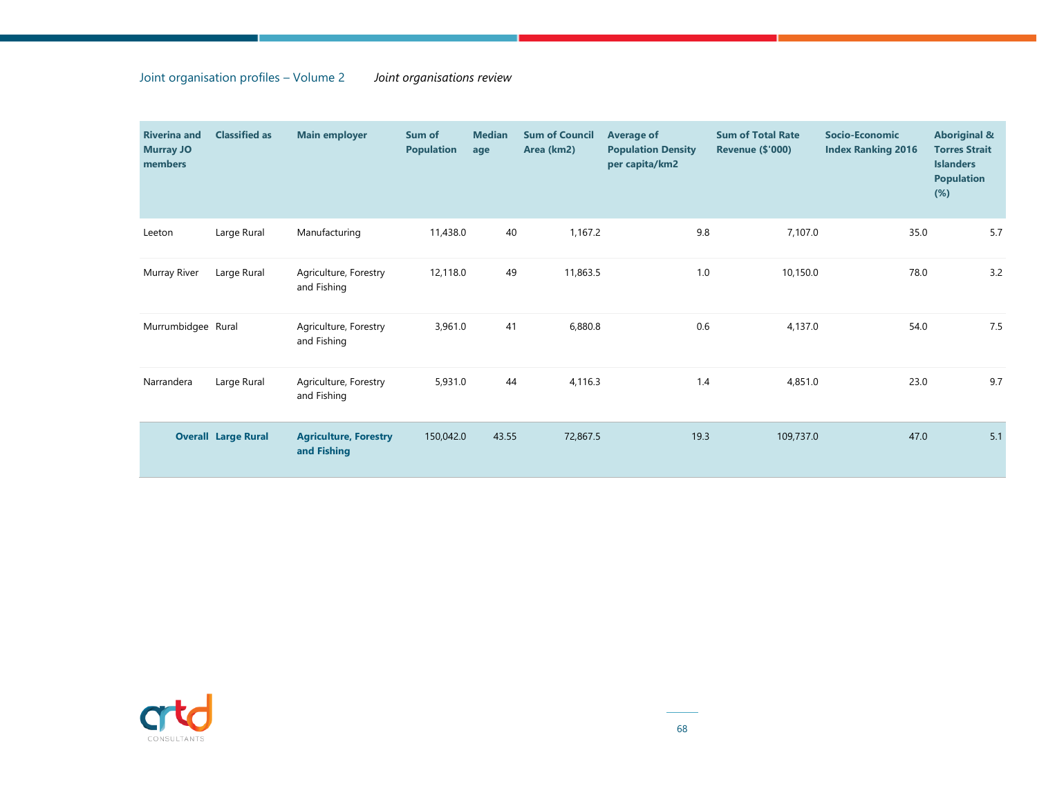#### Joint organisation profiles – Volume 2 *Joint organisations review*

| <b>Riverina and</b><br><b>Murray JO</b><br>members | <b>Classified as</b>       | <b>Main employer</b>                        | Sum of<br><b>Population</b> | <b>Median</b><br>age | <b>Sum of Council</b><br>Area (km2) | <b>Average of</b><br><b>Population Density</b><br>per capita/km2 | <b>Sum of Total Rate</b><br><b>Revenue (\$'000)</b> | <b>Socio-Economic</b><br><b>Index Ranking 2016</b> | <b>Aboriginal &amp;</b><br><b>Torres Strait</b><br><b>Islanders</b><br><b>Population</b><br>(%) |
|----------------------------------------------------|----------------------------|---------------------------------------------|-----------------------------|----------------------|-------------------------------------|------------------------------------------------------------------|-----------------------------------------------------|----------------------------------------------------|-------------------------------------------------------------------------------------------------|
| Leeton                                             | Large Rural                | Manufacturing                               | 11,438.0                    | 40                   | 1,167.2                             | 9.8                                                              | 7,107.0                                             | 35.0                                               | 5.7                                                                                             |
| Murray River                                       | Large Rural                | Agriculture, Forestry<br>and Fishing        | 12,118.0                    | 49                   | 11,863.5                            | 1.0                                                              | 10,150.0                                            | 78.0                                               | 3.2                                                                                             |
| Murrumbidgee Rural                                 |                            | Agriculture, Forestry<br>and Fishing        | 3,961.0                     | 41                   | 6,880.8                             | 0.6                                                              | 4,137.0                                             | 54.0                                               | 7.5                                                                                             |
| Narrandera                                         | Large Rural                | Agriculture, Forestry<br>and Fishing        | 5,931.0                     | 44                   | 4,116.3                             | 1.4                                                              | 4,851.0                                             | 23.0                                               | 9.7                                                                                             |
|                                                    | <b>Overall Large Rural</b> | <b>Agriculture, Forestry</b><br>and Fishing | 150,042.0                   | 43.55                | 72,867.5                            | 19.3                                                             | 109,737.0                                           | 47.0                                               | 5.1                                                                                             |

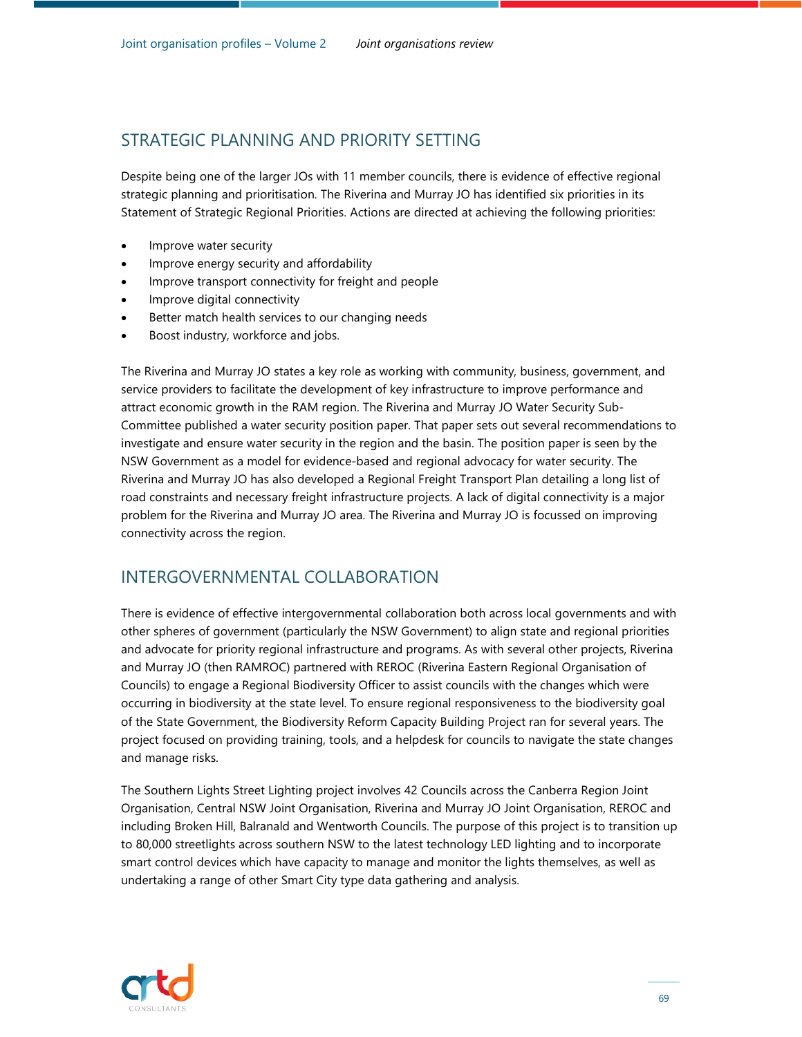Despite being one of the larger JOs with 11 member councils, there is evidence of effective regional strategic planning and prioritisation. The Riverina and Murray JO has identified six priorities in its Statement of Strategic Regional Priorities. Actions are directed at achieving the following priorities:

- Improve water security
- Improve energy security and affordability
- Improve transport connectivity for freight and people
- Improve digital connectivity
- Better match health services to our changing needs
- Boost industry, workforce and jobs.

The Riverina and Murray JO states a key role as working with community, business, government, and service providers to facilitate the development of key infrastructure to improve performance and attract economic growth in the RAM region. The Riverina and Murray JO Water Security Sub-Committee published a water security position paper. That paper sets out several recommendations to investigate and ensure water security in the region and the basin. The position paper is seen by the NSW Government as a model for evidence-based and regional advocacy for water security. The Riverina and Murray JO has also developed a Regional Freight Transport Plan detailing a long list of road constraints and necessary freight infrastructure projects. A lack of digital connectivity is a major problem for the Riverina and Murray JO area. The Riverina and Murray JO is focussed on improving connectivity across the region.

# INTERGOVERNMENTAL COLLABORATION

There is evidence of effective intergovernmental collaboration both across local governments and with other spheres of government (particularly the NSW Government) to align state and regional priorities and advocate for priority regional infrastructure and programs. As with several other projects, Riverina and Murray JO (then RAMROC) partnered with REROC (Riverina Eastern Regional Organisation of Councils) to engage a Regional Biodiversity Officer to assist councils with the changes which were occurring in biodiversity at the state level. To ensure regional responsiveness to the biodiversity goal of the State Government, the Biodiversity Reform Capacity Building Project ran for several years. The project focused on providing training, tools, and a helpdesk for councils to navigate the state changes and manage risks.

The Southern Lights Street Lighting project involves 42 Councils across the Canberra Region Joint Organisation, Central NSW Joint Organisation, Riverina and Murray JO Joint Organisation, REROC and including Broken Hill, Balranald and Wentworth Councils. The purpose of this project is to transition up to 80,000 streetlights across southern NSW to the latest technology LED lighting and to incorporate smart control devices which have capacity to manage and monitor the lights themselves, as well as undertaking a range of other Smart City type data gathering and analysis.

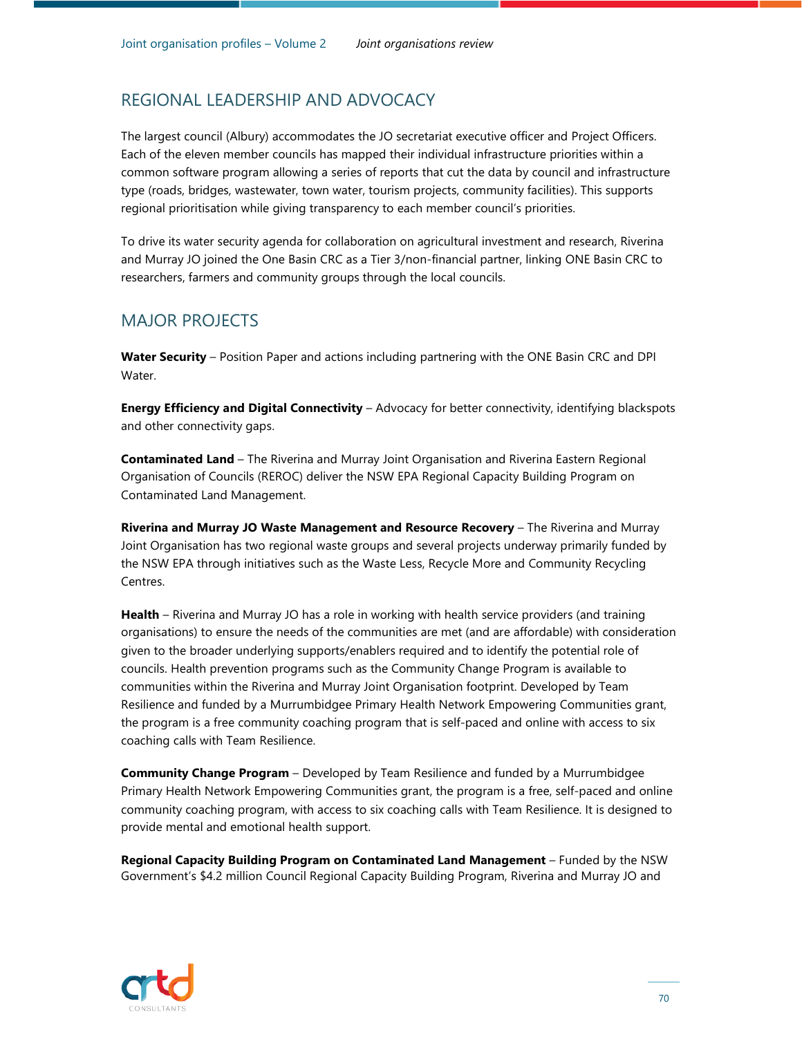# REGIONAL LEADERSHIP AND ADVOCACY

The largest council (Albury) accommodates the JO secretariat executive officer and Project Officers. Each of the eleven member councils has mapped their individual infrastructure priorities within a common software program allowing a series of reports that cut the data by council and infrastructure type (roads, bridges, wastewater, town water, tourism projects, community facilities). This supports regional prioritisation while giving transparency to each member council's priorities.

To drive its water security agenda for collaboration on agricultural investment and research, Riverina and Murray JO joined the One Basin CRC as a Tier 3/non-financial partner, linking ONE Basin CRC to researchers, farmers and community groups through the local councils.

#### MAJOR PROJECTS

**Water Security** – Position Paper and actions including partnering with the ONE Basin CRC and DPI Water.

**Energy Efficiency and Digital Connectivity** – Advocacy for better connectivity, identifying blackspots and other connectivity gaps.

**Contaminated Land** – The Riverina and Murray Joint Organisation and Riverina Eastern Regional Organisation of Councils (REROC) deliver the NSW EPA Regional Capacity Building Program on Contaminated Land Management.

**Riverina and Murray JO Waste Management and Resource Recovery** – The Riverina and Murray Joint Organisation has two regional waste groups and several projects underway primarily funded by the NSW EPA through initiatives such as the Waste Less, Recycle More and Community Recycling Centres.

**Health** – Riverina and Murray JO has a role in working with health service providers (and training organisations) to ensure the needs of the communities are met (and are affordable) with consideration given to the broader underlying supports/enablers required and to identify the potential role of councils. Health prevention programs such as the Community Change Program is available to communities within the Riverina and Murray Joint Organisation footprint. Developed by Team Resilience and funded by a Murrumbidgee Primary Health Network Empowering Communities grant, the program is a free community coaching program that is self-paced and online with access to six coaching calls with Team Resilience.

**Community Change Program** – Developed by Team Resilience and funded by a Murrumbidgee Primary Health Network Empowering Communities grant, the program is a free, self-paced and online community coaching program, with access to six coaching calls with Team Resilience. It is designed to provide mental and emotional health support.

**Regional Capacity Building Program on Contaminated Land Management** – Funded by the NSW Government's \$4.2 million Council Regional Capacity Building Program, Riverina and Murray JO and

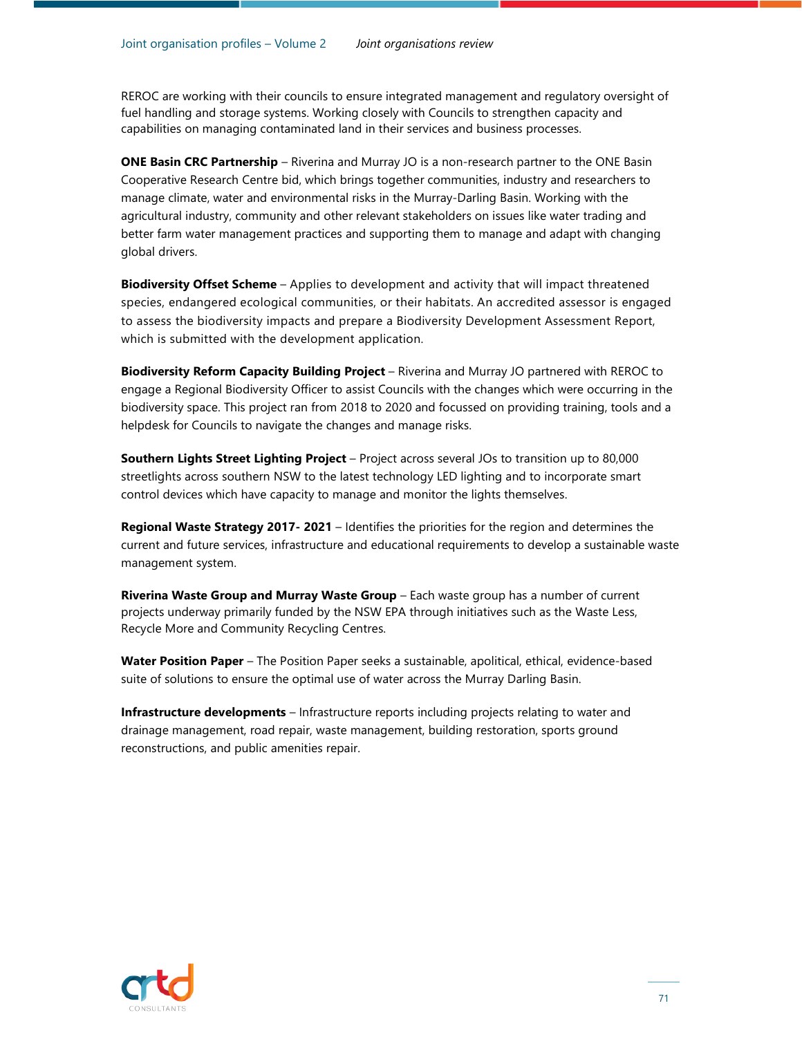REROC are working with their councils to ensure integrated management and regulatory oversight of fuel handling and storage systems. Working closely with Councils to strengthen capacity and capabilities on managing contaminated land in their services and business processes.

**ONE Basin CRC Partnership** – Riverina and Murray JO is a non-research partner to the ONE Basin Cooperative Research Centre bid, which brings together communities, industry and researchers to manage climate, water and environmental risks in the Murray-Darling Basin. Working with the agricultural industry, community and other relevant stakeholders on issues like water trading and better farm water management practices and supporting them to manage and adapt with changing global drivers.

**Biodiversity Offset Scheme** – Applies to development and activity that will impact threatened species, endangered ecological communities, or their habitats. An accredited assessor is engaged to assess the biodiversity impacts and prepare a Biodiversity Development Assessment Report, which is submitted with the development application.

**Biodiversity Reform Capacity Building Project** – Riverina and Murray JO partnered with REROC to engage a Regional Biodiversity Officer to assist Councils with the changes which were occurring in the biodiversity space. This project ran from 2018 to 2020 and focussed on providing training, tools and a helpdesk for Councils to navigate the changes and manage risks.

**Southern Lights Street Lighting Project** – Project across several JOs to transition up to 80,000 streetlights across southern NSW to the latest technology LED lighting and to incorporate smart control devices which have capacity to manage and monitor the lights themselves.

**Regional Waste Strategy 2017- 2021** – Identifies the priorities for the region and determines the current and future services, infrastructure and educational requirements to develop a sustainable waste management system.

**Riverina Waste Group and Murray Waste Group** – Each waste group has a number of current projects underway primarily funded by the NSW EPA through initiatives such as the Waste Less, Recycle More and Community Recycling Centres.

**Water Position Paper** – The Position Paper seeks a sustainable, apolitical, ethical, evidence-based suite of solutions to ensure the optimal use of water across the Murray Darling Basin.

**Infrastructure developments** – Infrastructure reports including projects relating to water and drainage management, road repair, waste management, building restoration, sports ground reconstructions, and public amenities repair.